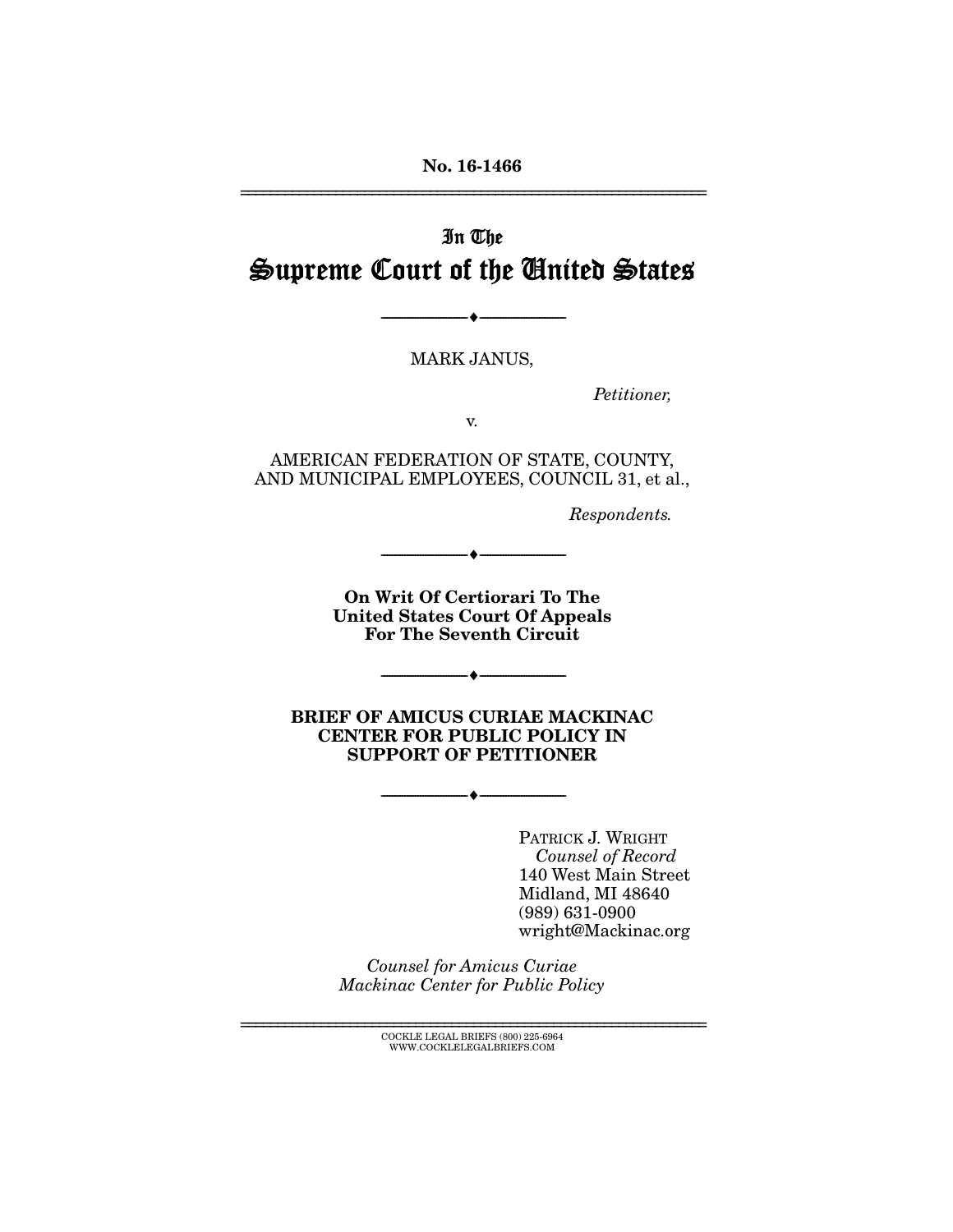**No. 16-1466**  ================================================================

In The Supreme Court of the United States

MARK JANUS,

--------------------------------- ---------------------------------

Petitioner,

v.

AMERICAN FEDERATION OF STATE, COUNTY, AND MUNICIPAL EMPLOYEES, COUNCIL 31, et al.,

Respondents.

**On Writ Of Certiorari To The United States Court Of Appeals For The Seventh Circuit** 

 $\bullet$   $-$ 

--------------------------------- ---------------------------------

**BRIEF OF AMICUS CURIAE MACKINAC CENTER FOR PUBLIC POLICY IN SUPPORT OF PETITIONER** 

--------------------------------- ---------------------------------

PATRICK J. WRIGHT Counsel of Record 140 West Main Street Midland, MI 48640 (989) 631-0900 wright@Mackinac.org

Counsel for Amicus Curiae Mackinac Center for Public Policy

> ================================================================ COCKLE LEGAL BRIEFS (800) 225-6964 WWW.COCKLELEGALBRIEFS.COM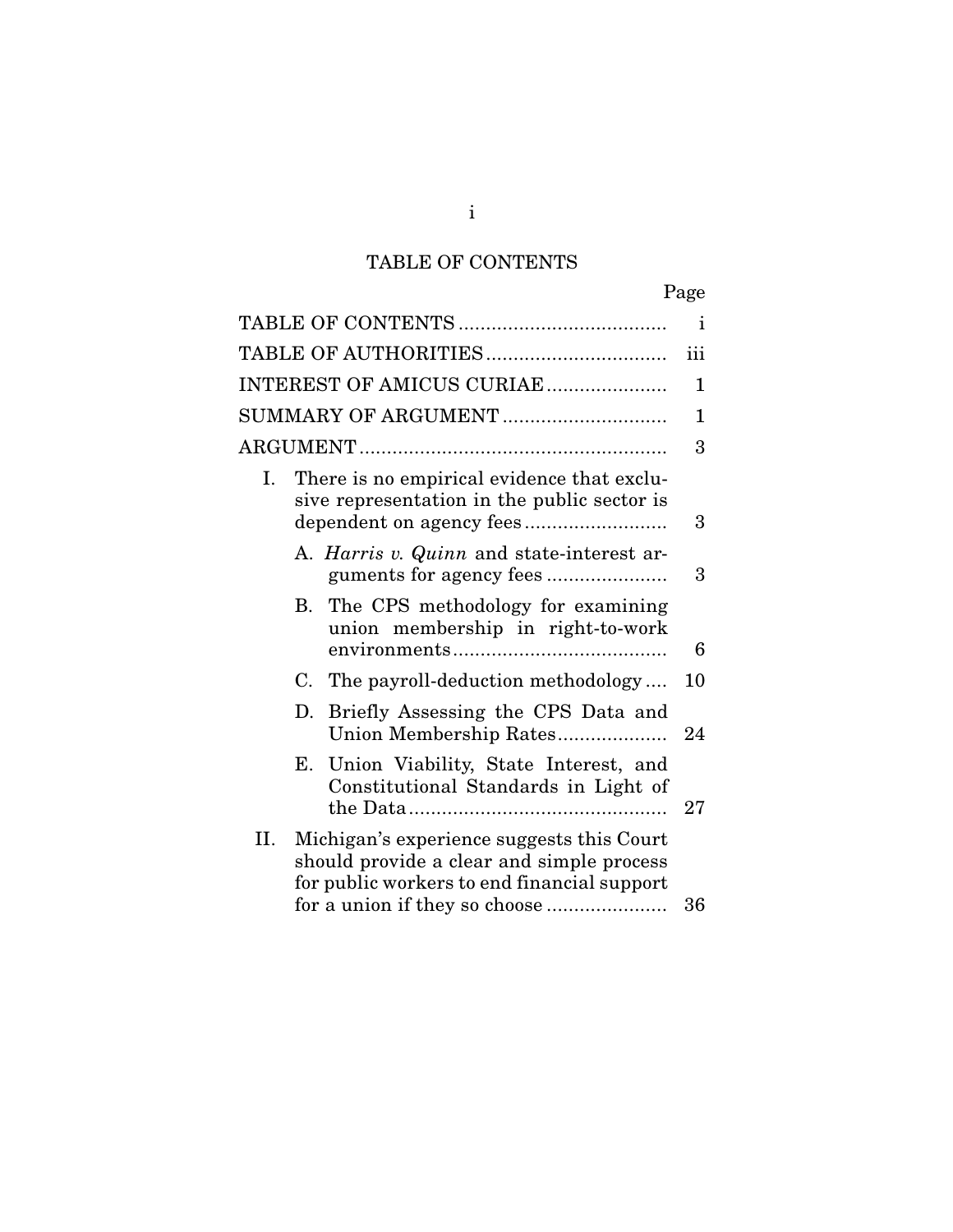## TABLE OF CONTENTS

|                                                                                                                                                                               | Page         |
|-------------------------------------------------------------------------------------------------------------------------------------------------------------------------------|--------------|
|                                                                                                                                                                               | $\mathbf{1}$ |
|                                                                                                                                                                               | iii          |
| INTEREST OF AMICUS CURIAE                                                                                                                                                     | 1            |
| SUMMARY OF ARGUMENT                                                                                                                                                           | 1            |
|                                                                                                                                                                               | 3            |
| There is no empirical evidence that exclu-<br>Ι.<br>sive representation in the public sector is                                                                               | 3            |
| A. Harris v. Quinn and state-interest ar-                                                                                                                                     | 3            |
| B. The CPS methodology for examining<br>union membership in right-to-work                                                                                                     | 6            |
| The payroll-deduction methodology<br>C.                                                                                                                                       | 10           |
| Briefly Assessing the CPS Data and<br>D.<br>Union Membership Rates                                                                                                            | 24           |
| Union Viability, State Interest, and<br>Е.<br>Constitutional Standards in Light of                                                                                            | 27           |
| II.<br>Michigan's experience suggests this Court<br>should provide a clear and simple process<br>for public workers to end financial support<br>for a union if they so choose | 36           |

i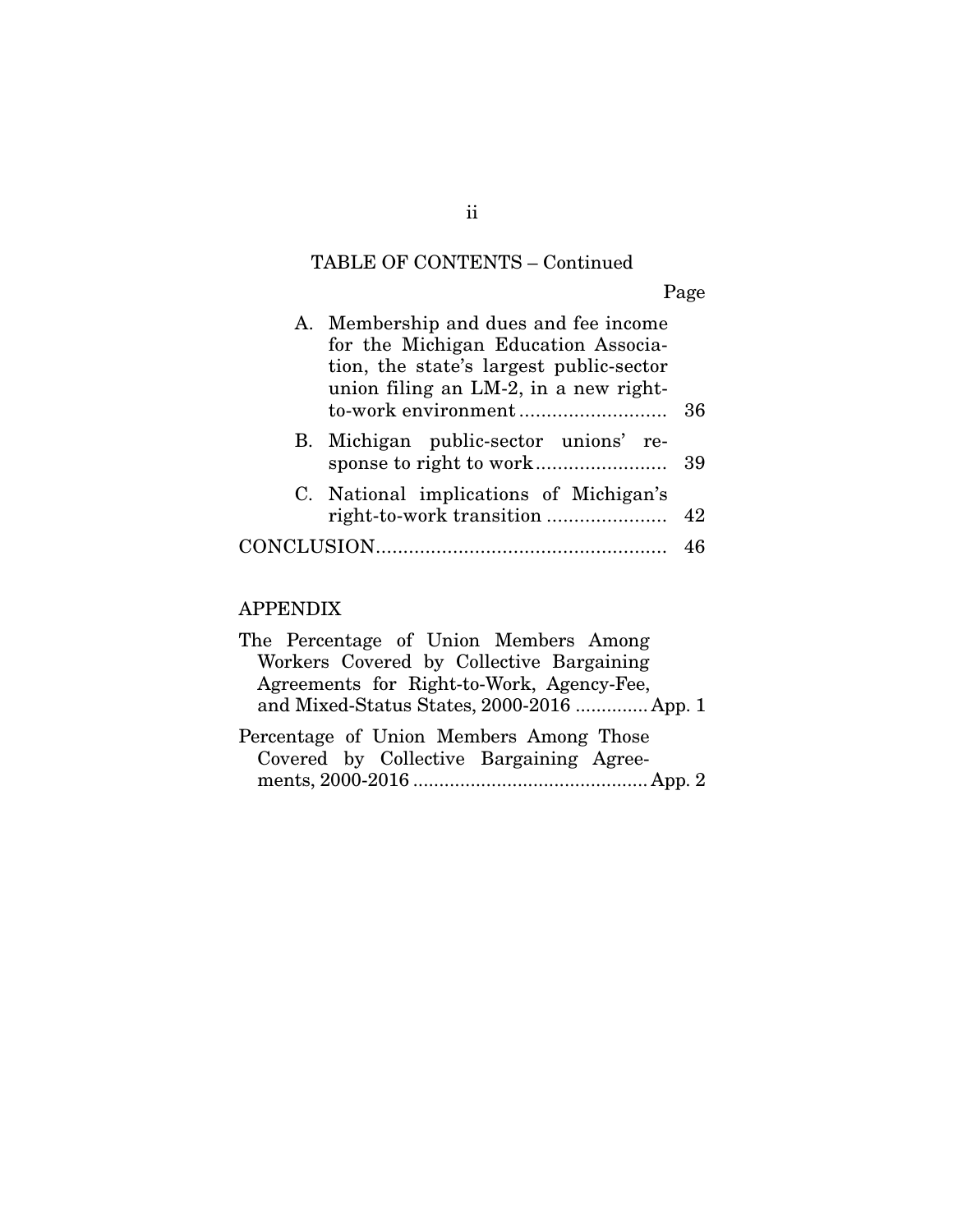# TABLE OF CONTENTS – Continued

Page

|  | A. Membership and dues and fee income   |    |  |  |  |  |
|--|-----------------------------------------|----|--|--|--|--|
|  | for the Michigan Education Associa-     |    |  |  |  |  |
|  | tion, the state's largest public-sector |    |  |  |  |  |
|  | union filing an LM-2, in a new right-   |    |  |  |  |  |
|  |                                         | 36 |  |  |  |  |
|  | B. Michigan public-sector unions' re-   |    |  |  |  |  |
|  |                                         | 39 |  |  |  |  |
|  | C. National implications of Michigan's  |    |  |  |  |  |
|  |                                         |    |  |  |  |  |
|  |                                         |    |  |  |  |  |
|  |                                         |    |  |  |  |  |

## APPENDIX

| The Percentage of Union Members Among      |
|--------------------------------------------|
| Workers Covered by Collective Bargaining   |
| Agreements for Right-to-Work, Agency-Fee,  |
| and Mixed-Status States, 2000-2016  App. 1 |
| Percentage of Union Members Among Those    |
| Covered by Collective Bargaining Agree-    |
|                                            |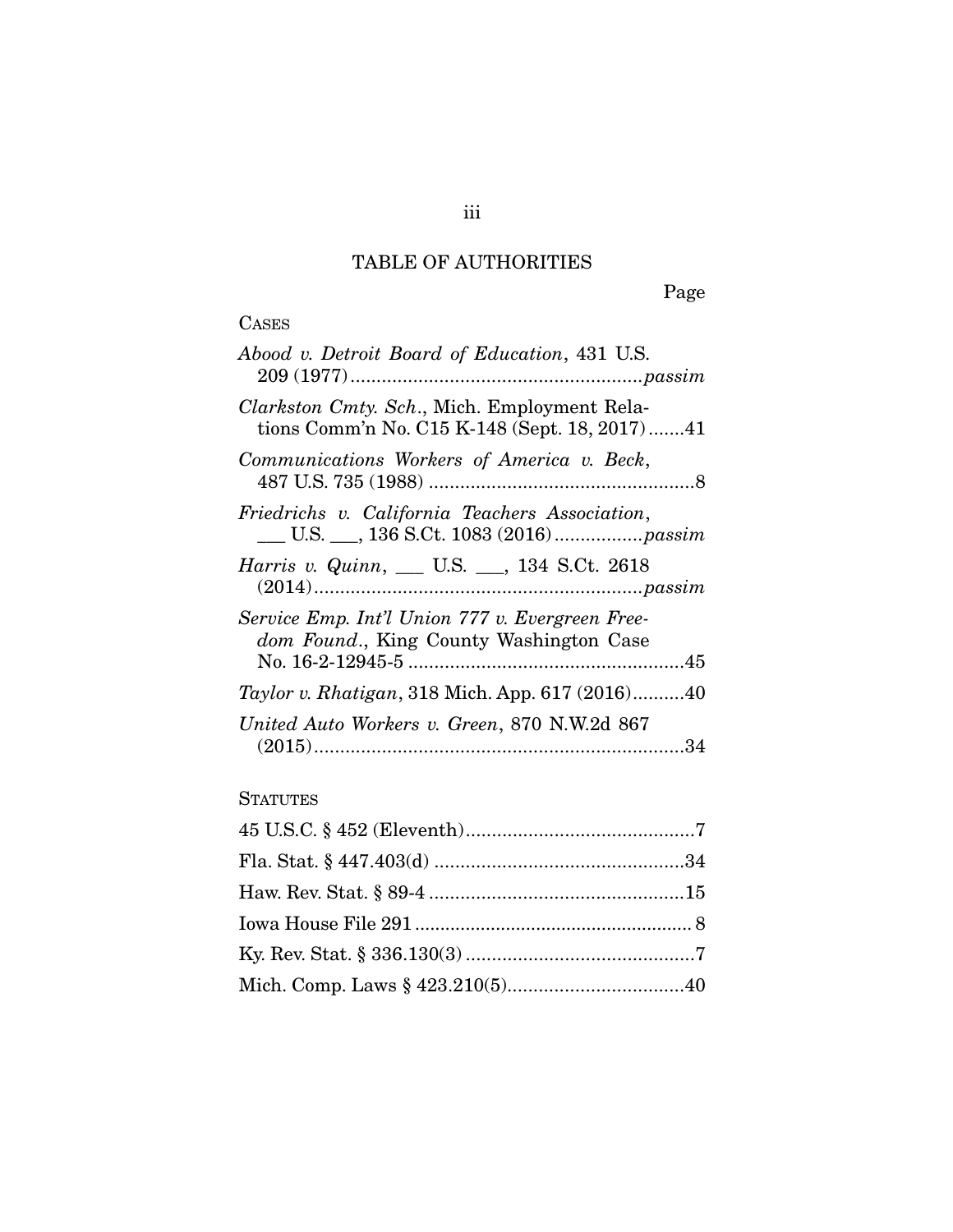## TABLE OF AUTHORITIES

Page

# **CASES**

## **STATUTES**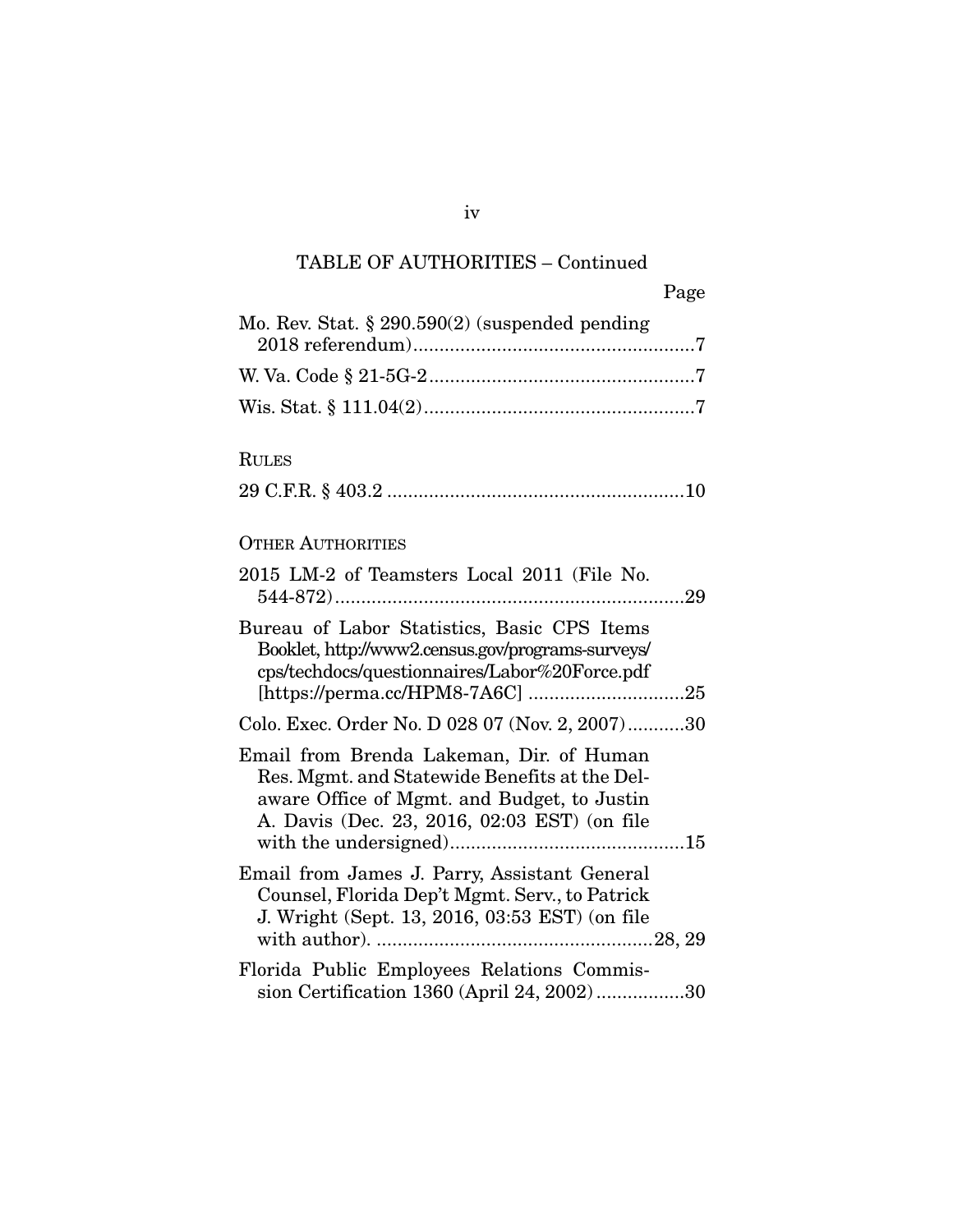| Page                                                                                                                                                                                     |
|------------------------------------------------------------------------------------------------------------------------------------------------------------------------------------------|
| Mo. Rev. Stat. $\S 290.590(2)$ (suspended pending                                                                                                                                        |
|                                                                                                                                                                                          |
|                                                                                                                                                                                          |
| <b>RULES</b>                                                                                                                                                                             |
| <b>OTHER AUTHORITIES</b>                                                                                                                                                                 |
| 2015 LM-2 of Teamsters Local 2011 (File No.                                                                                                                                              |
| Bureau of Labor Statistics, Basic CPS Items<br>Booklet, http://www2.census.gov/programs-surveys/<br>cps/techdocs/questionnaires/Labor%20Force.pdf                                        |
| Colo. Exec. Order No. D 028 07 (Nov. 2, 2007)30                                                                                                                                          |
| Email from Brenda Lakeman, Dir. of Human<br>Res. Mgmt. and Statewide Benefits at the Del-<br>aware Office of Mgmt. and Budget, to Justin<br>A. Davis (Dec. 23, 2016, 02:03 EST) (on file |
| Email from James J. Parry, Assistant General<br>Counsel, Florida Dep't Mgmt. Serv., to Patrick<br>J. Wright (Sept. 13, 2016, 03:53 EST) (on file                                         |
| Florida Public Employees Relations Commis-                                                                                                                                               |

sion Certification 1360 (April 24, 2002) ................. 30

iv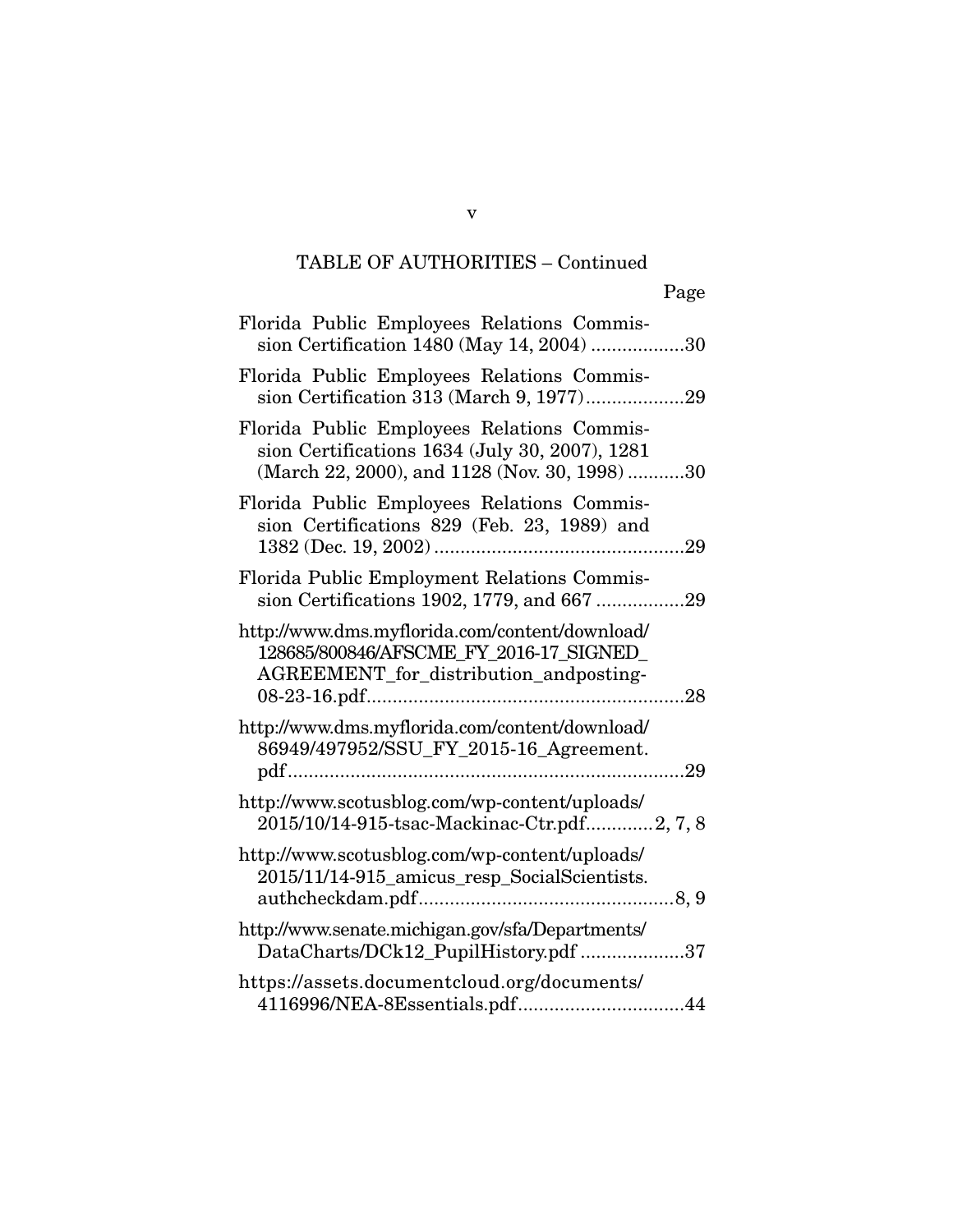| Florida Public Employees Relations Commis-<br>sion Certification 1480 (May 14, 2004) 30                                                       |
|-----------------------------------------------------------------------------------------------------------------------------------------------|
| Florida Public Employees Relations Commis-<br>sion Certification 313 (March 9, 1977)29                                                        |
| Florida Public Employees Relations Commis-<br>sion Certifications 1634 (July 30, 2007), 1281<br>(March 22, 2000), and 1128 (Nov. 30, 1998) 30 |
| Florida Public Employees Relations Commis-<br>sion Certifications 829 (Feb. 23, 1989) and<br>.29                                              |
| Florida Public Employment Relations Commis-<br>sion Certifications 1902, 1779, and 667 29                                                     |
| http://www.dms.myflorida.com/content/download/<br>128685/800846/AFSCME_FY_2016-17_SIGNED_<br>AGREEMENT_for_distribution_andposting-<br>.28    |
| http://www.dms.myflorida.com/content/download/<br>86949/497952/SSU_FY_2015-16_Agreement.                                                      |
| http://www.scotusblog.com/wp-content/uploads/<br>2015/10/14-915-tsac-Mackinac-Ctr.pdf2, 7, 8                                                  |
| http://www.scotusblog.com/wp-content/uploads/<br>2015/11/14-915_amicus_resp_SocialScientists.                                                 |
| http://www.senate.michigan.gov/sfa/Departments/<br>DataCharts/DCk12_PupilHistory.pdf 37                                                       |
| https://assets.documentcloud.org/documents/<br>4116996/NEA-8Essentials.pdf44                                                                  |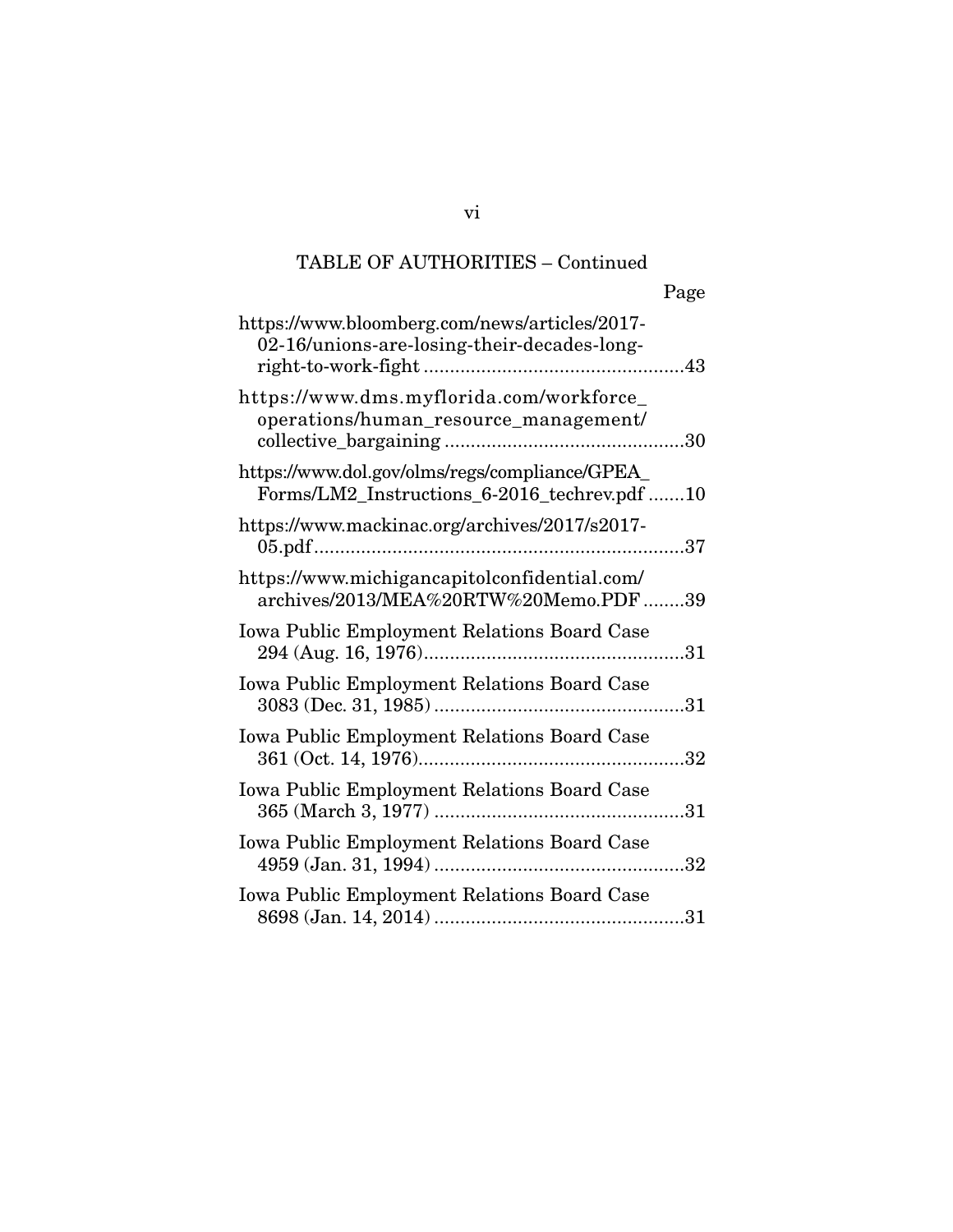|                                                                                                | Page |
|------------------------------------------------------------------------------------------------|------|
| https://www.bloomberg.com/news/articles/2017-<br>02-16/unions-are-losing-their-decades-long-   |      |
| https://www.dms.myflorida.com/workforce_<br>operations/human_resource_management/              |      |
| https://www.dol.gov/olms/regs/compliance/GPEA_<br>Forms/LM2_Instructions_6-2016_techrev.pdf 10 |      |
| https://www.mackinac.org/archives/2017/s2017-                                                  |      |
| https://www.michigancapitolconfidential.com/<br>archives/2013/MEA%20RTW%20Memo.PDF39           |      |
| <b>Iowa Public Employment Relations Board Case</b>                                             |      |
| <b>Iowa Public Employment Relations Board Case</b>                                             |      |
| Iowa Public Employment Relations Board Case                                                    |      |
| Iowa Public Employment Relations Board Case                                                    |      |
| Iowa Public Employment Relations Board Case                                                    |      |
| Iowa Public Employment Relations Board Case                                                    |      |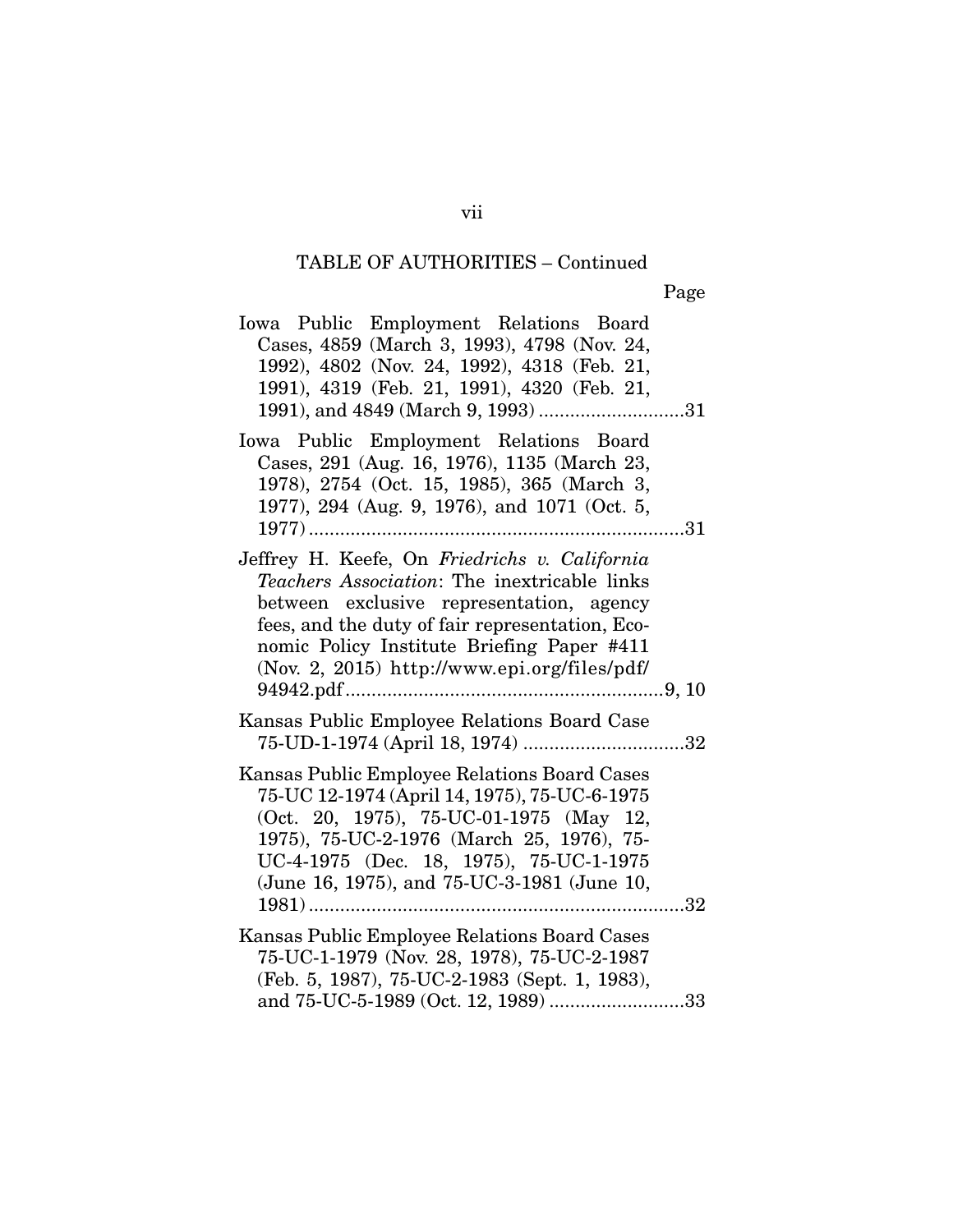Page

| Iowa Public Employment Relations Board                                               |
|--------------------------------------------------------------------------------------|
| Cases, 4859 (March 3, 1993), 4798 (Nov. 24,                                          |
| 1992), 4802 (Nov. 24, 1992), 4318 (Feb. 21,                                          |
| 1991), 4319 (Feb. 21, 1991), 4320 (Feb. 21,                                          |
| 1991), and 4849 (March 9, 1993) 31                                                   |
| Iowa Public Employment Relations Board                                               |
| Cases, 291 (Aug. 16, 1976), 1135 (March 23,                                          |
| 1978), 2754 (Oct. 15, 1985), 365 (March 3,                                           |
| 1977), 294 (Aug. 9, 1976), and 1071 (Oct. 5,                                         |
| 31<br>$1977)$                                                                        |
| Jeffrey H. Keefe, On Friedrichs v. California                                        |
| Teachers Association: The inextricable links                                         |
| between exclusive representation, agency                                             |
| fees, and the duty of fair representation, Eco-                                      |
| nomic Policy Institute Briefing Paper #411                                           |
| (Nov. 2, 2015) http://www.epi.org/files/pdf/                                         |
|                                                                                      |
| Kansas Public Employee Relations Board Case                                          |
| 75-UD-1-1974 (April 18, 1974) 32                                                     |
|                                                                                      |
| Kansas Public Employee Relations Board Cases                                         |
|                                                                                      |
| 75-UC 12-1974 (April 14, 1975), 75-UC-6-1975                                         |
| (Oct. 20, 1975), 75-UC-01-1975 (May 12,                                              |
| 1975), 75-UC-2-1976 (March 25, 1976), 75-                                            |
| UC-4-1975 (Dec. 18, 1975), 75-UC-1-1975                                              |
| (June 16, 1975), and 75-UC-3-1981 (June 10,                                          |
|                                                                                      |
| Kansas Public Employee Relations Board Cases                                         |
| 75-UC-1-1979 (Nov. 28, 1978), 75-UC-2-1987                                           |
| (Feb. 5, 1987), 75-UC-2-1983 (Sept. 1, 1983),<br>and 75-UC-5-1989 (Oct. 12, 1989) 33 |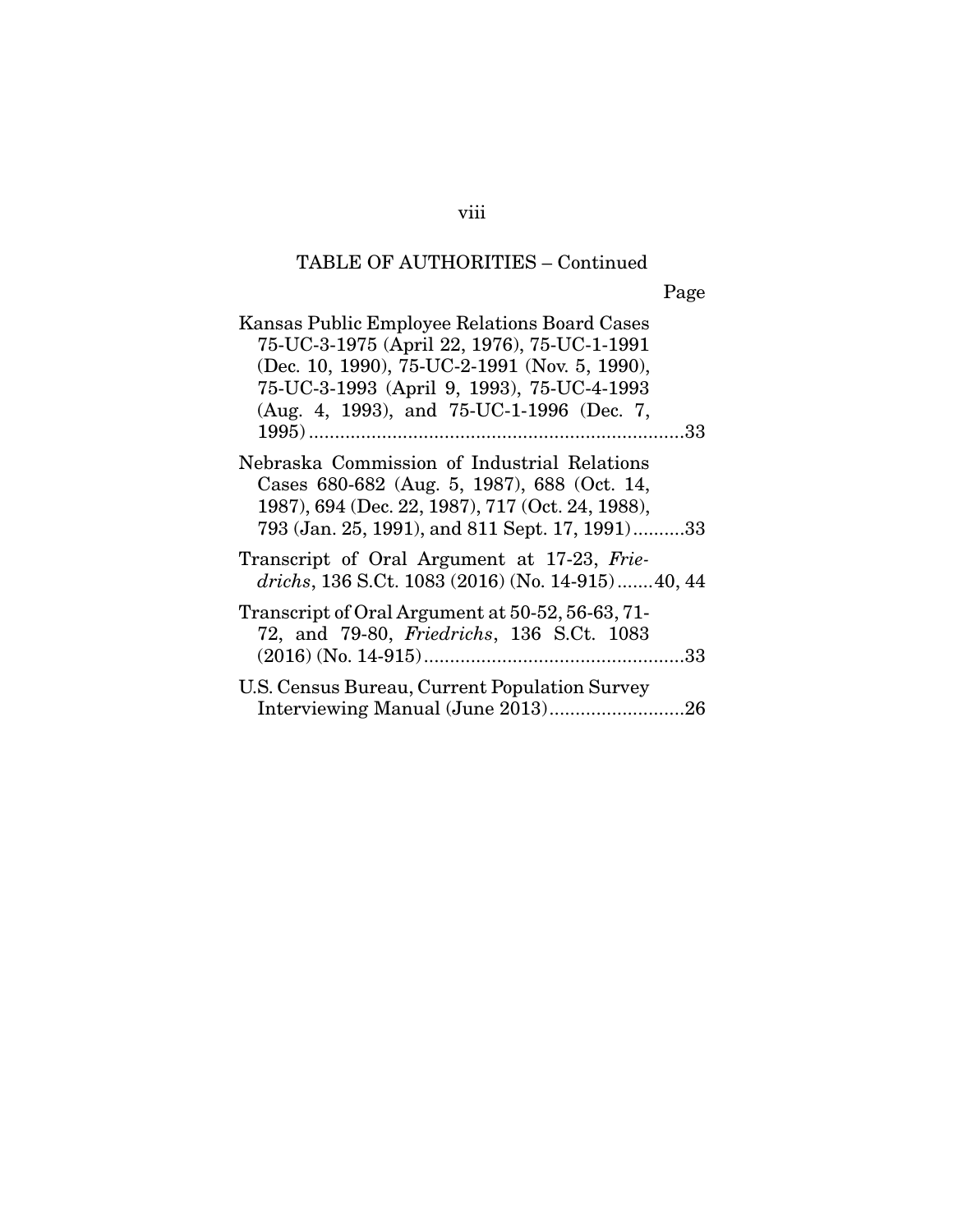Page

| Kansas Public Employee Relations Board Cases<br>75-UC-3-1975 (April 22, 1976), 75-UC-1-1991<br>(Dec. 10, 1990), 75-UC-2-1991 (Nov. 5, 1990),<br>75-UC-3-1993 (April 9, 1993), 75-UC-4-1993<br>(Aug. 4, 1993), and 75-UC-1-1996 (Dec. 7, |
|-----------------------------------------------------------------------------------------------------------------------------------------------------------------------------------------------------------------------------------------|
| Nebraska Commission of Industrial Relations<br>Cases 680-682 (Aug. 5, 1987), 688 (Oct. 14,<br>1987), 694 (Dec. 22, 1987), 717 (Oct. 24, 1988),<br>793 (Jan. 25, 1991), and 811 Sept. 17, 1991)33                                        |
| Transcript of Oral Argument at 17-23, Frie-<br>drichs, 136 S.Ct. 1083 (2016) (No. 14-915) 40, 44                                                                                                                                        |
| Transcript of Oral Argument at 50-52, 56-63, 71-<br>72, and 79-80, Friedrichs, 136 S.Ct. 1083                                                                                                                                           |
| U.S. Census Bureau, Current Population Survey                                                                                                                                                                                           |

viii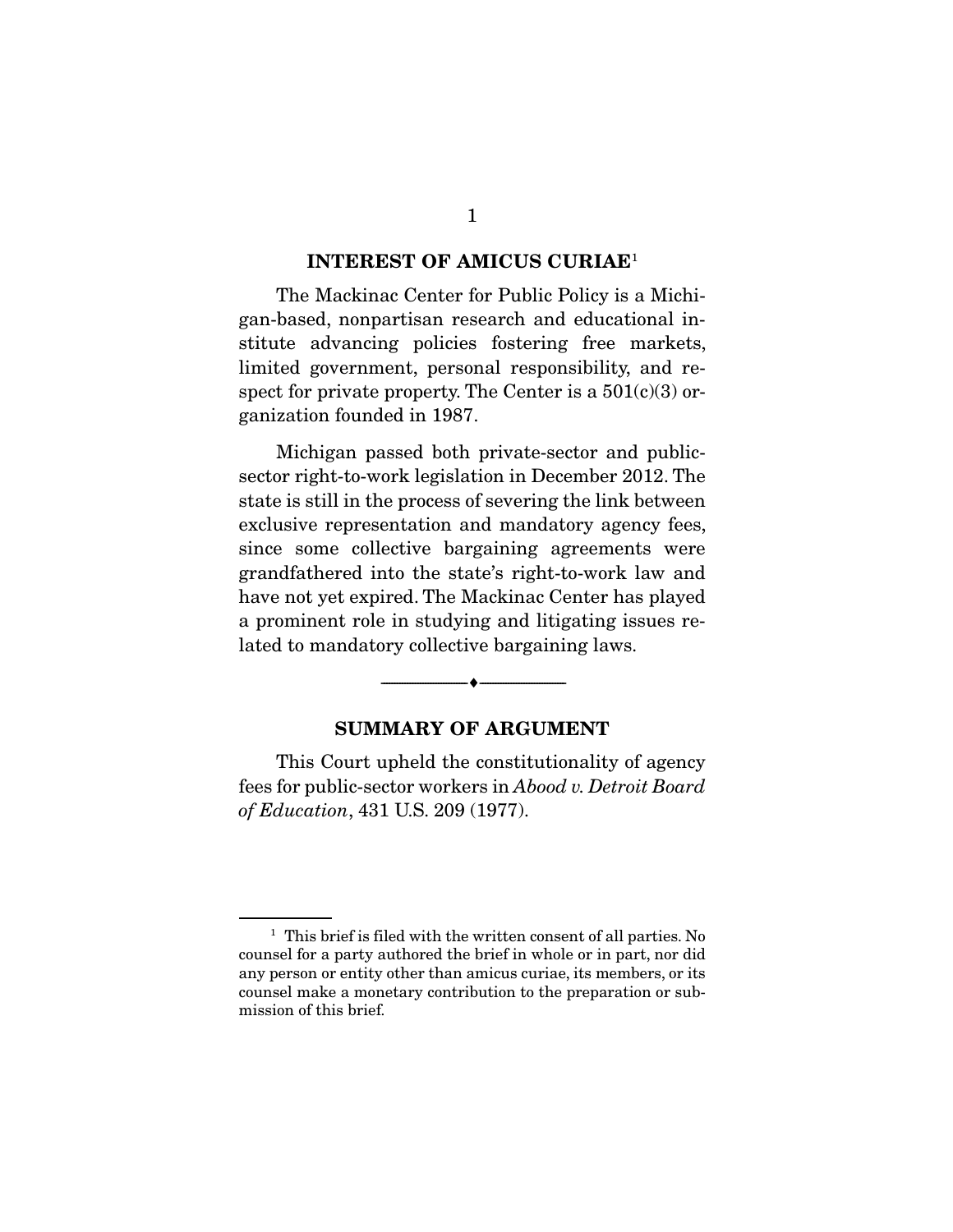#### **INTEREST OF AMICUS CURIAE**<sup>1</sup>

 The Mackinac Center for Public Policy is a Michigan-based, nonpartisan research and educational institute advancing policies fostering free markets, limited government, personal responsibility, and respect for private property. The Center is a  $501(c)(3)$  organization founded in 1987.

 Michigan passed both private-sector and publicsector right-to-work legislation in December 2012. The state is still in the process of severing the link between exclusive representation and mandatory agency fees, since some collective bargaining agreements were grandfathered into the state's right-to-work law and have not yet expired. The Mackinac Center has played a prominent role in studying and litigating issues related to mandatory collective bargaining laws.

#### **SUMMARY OF ARGUMENT**

--------------------------------- ---------------------------------

 This Court upheld the constitutionality of agency fees for public-sector workers in Abood v. Detroit Board of Education, 431 U.S. 209 (1977).

<sup>&</sup>lt;sup>1</sup> This brief is filed with the written consent of all parties. No counsel for a party authored the brief in whole or in part, nor did any person or entity other than amicus curiae, its members, or its counsel make a monetary contribution to the preparation or submission of this brief.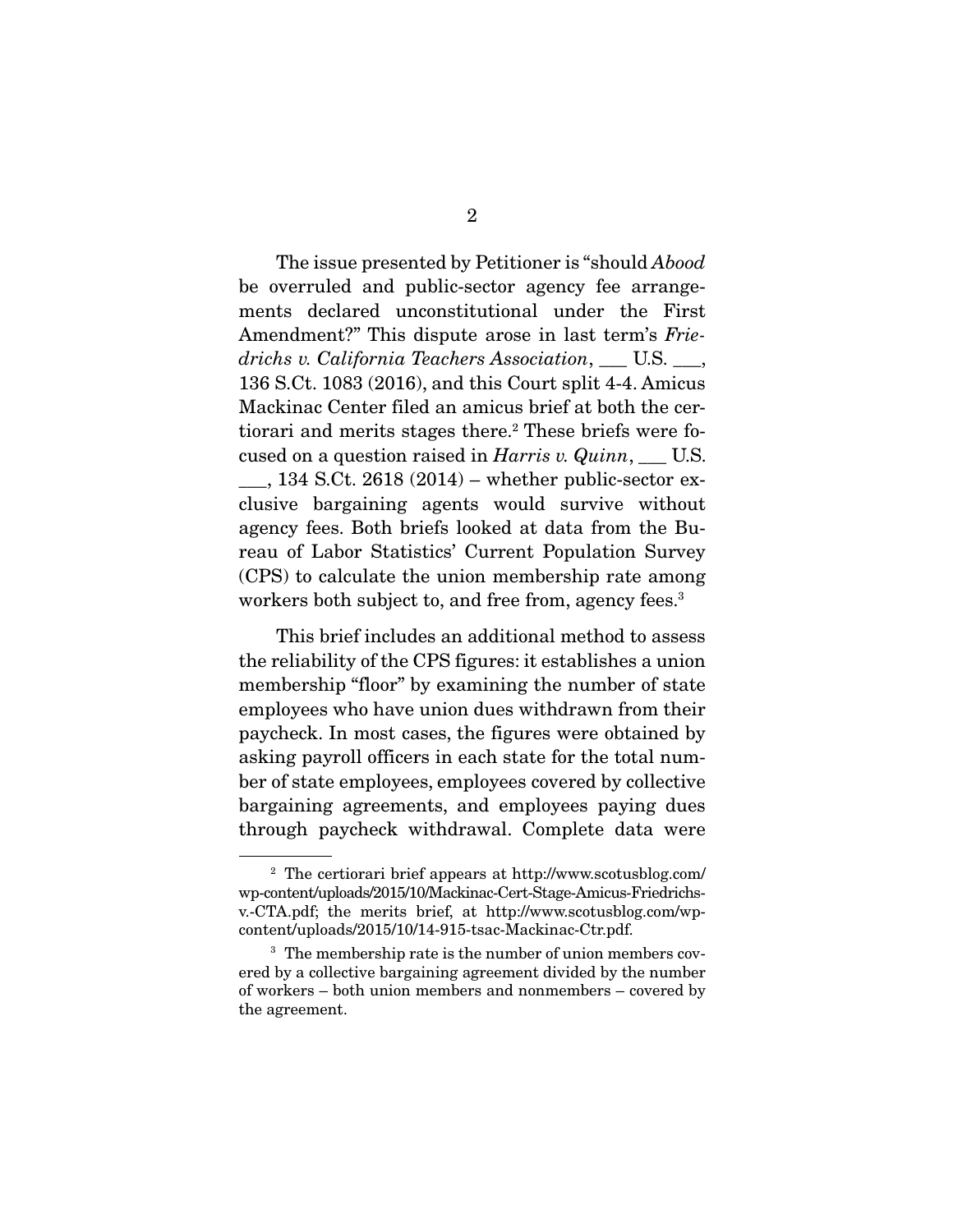The issue presented by Petitioner is "should *Abood*" be overruled and public-sector agency fee arrangements declared unconstitutional under the First Amendment?" This dispute arose in last term's Friedrichs v. California Teachers Association, \_\_\_ U.S. \_\_\_, 136 S.Ct. 1083 (2016), and this Court split 4-4. Amicus Mackinac Center filed an amicus brief at both the certiorari and merits stages there.<sup>2</sup> These briefs were focused on a question raised in  $Harris$  v.  $Quinn$ , \_\_\_ U.S.

 $\_\_$ , 134 S.Ct. 2618 (2014) – whether public-sector exclusive bargaining agents would survive without agency fees. Both briefs looked at data from the Bureau of Labor Statistics' Current Population Survey (CPS) to calculate the union membership rate among workers both subject to, and free from, agency fees.<sup>3</sup>

 This brief includes an additional method to assess the reliability of the CPS figures: it establishes a union membership "floor" by examining the number of state employees who have union dues withdrawn from their paycheck. In most cases, the figures were obtained by asking payroll officers in each state for the total number of state employees, employees covered by collective bargaining agreements, and employees paying dues through paycheck withdrawal. Complete data were

<sup>2</sup> The certiorari brief appears at http://www.scotusblog.com/ wp-content/uploads/2015/10/Mackinac-Cert-Stage-Amicus-Friedrichsv.-CTA.pdf; the merits brief, at http://www.scotusblog.com/wpcontent/uploads/2015/10/14-915-tsac-Mackinac-Ctr.pdf.

<sup>&</sup>lt;sup>3</sup> The membership rate is the number of union members covered by a collective bargaining agreement divided by the number of workers – both union members and nonmembers – covered by the agreement.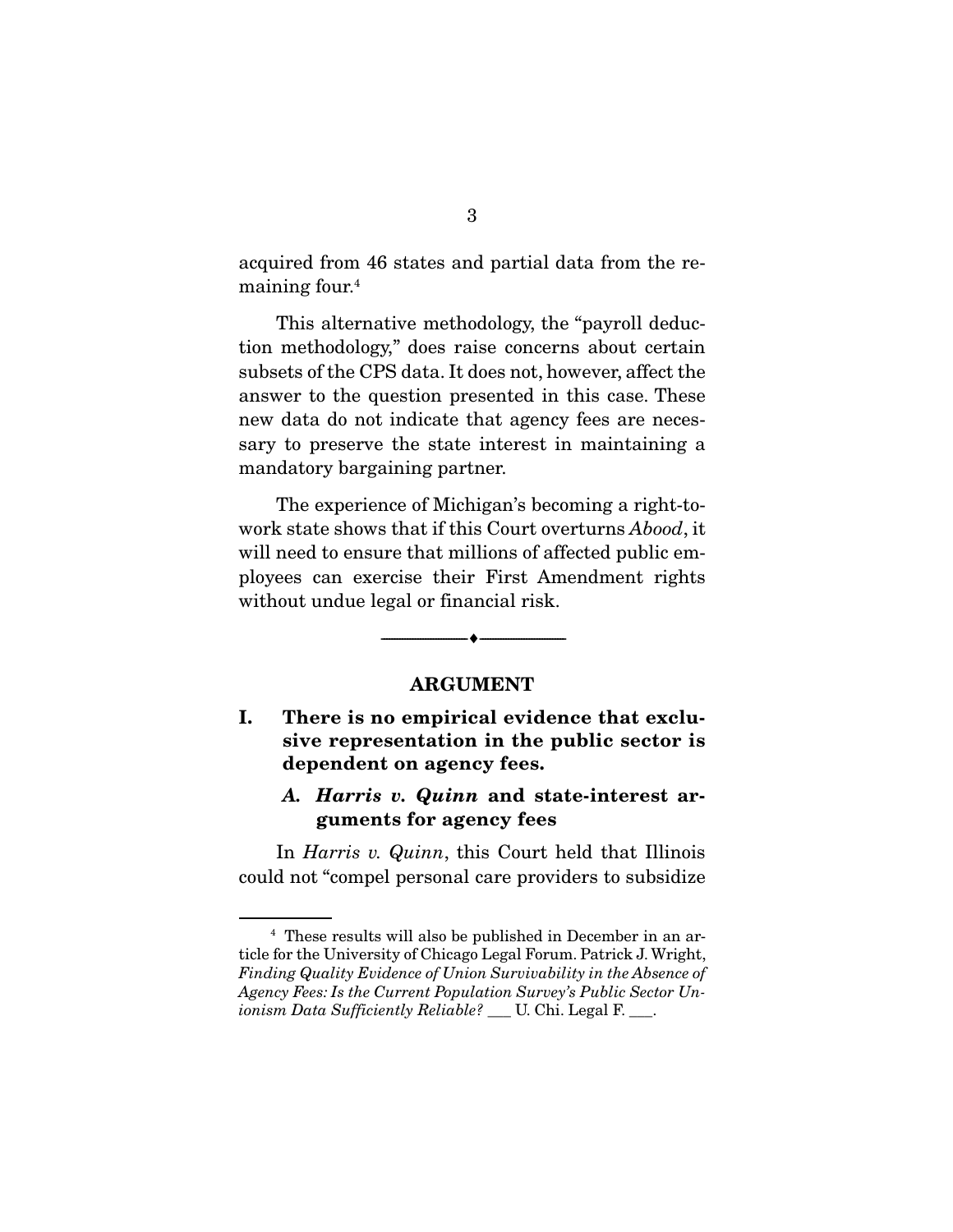acquired from 46 states and partial data from the remaining four.4

 This alternative methodology, the "payroll deduction methodology," does raise concerns about certain subsets of the CPS data. It does not, however, affect the answer to the question presented in this case. These new data do not indicate that agency fees are necessary to preserve the state interest in maintaining a mandatory bargaining partner.

 The experience of Michigan's becoming a right-towork state shows that if this Court overturns *Abood*, it will need to ensure that millions of affected public employees can exercise their First Amendment rights without undue legal or financial risk.

#### **ARGUMENT**

--------------------------------- ---------------------------------

### **I. There is no empirical evidence that exclusive representation in the public sector is dependent on agency fees.**

### *A. Harris v. Quinn* **and state-interest arguments for agency fees**

In *Harris v. Quinn*, this Court held that Illinois could not "compel personal care providers to subsidize

<sup>4</sup> These results will also be published in December in an article for the University of Chicago Legal Forum. Patrick J. Wright, Finding Quality Evidence of Union Survivability in the Absence of Agency Fees: Is the Current Population Survey's Public Sector Unionism Data Sufficiently Reliable? \_\_ U. Chi. Legal F. \_\_\_.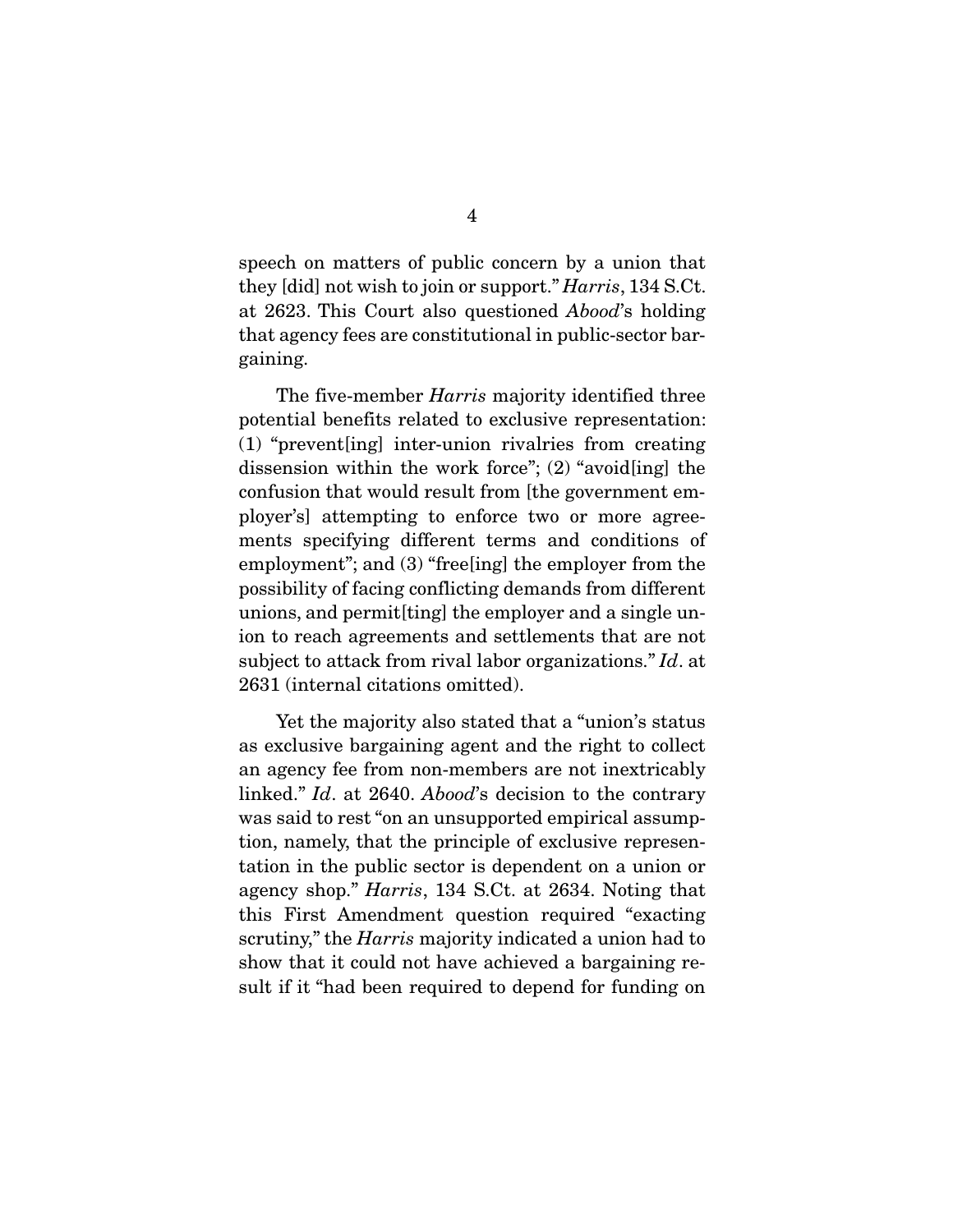speech on matters of public concern by a union that they [did] not wish to join or support." Harris, 134 S.Ct. at 2623. This Court also questioned Abood's holding that agency fees are constitutional in public-sector bargaining.

The five-member *Harris* majority identified three potential benefits related to exclusive representation: (1) "prevent[ing] inter-union rivalries from creating dissension within the work force"; (2) "avoid[ing] the confusion that would result from [the government employer's] attempting to enforce two or more agreements specifying different terms and conditions of employment"; and (3) "free[ing] the employer from the possibility of facing conflicting demands from different unions, and permit[ting] the employer and a single union to reach agreements and settlements that are not subject to attack from rival labor organizations." Id. at 2631 (internal citations omitted).

 Yet the majority also stated that a "union's status as exclusive bargaining agent and the right to collect an agency fee from non-members are not inextricably linked." Id. at 2640. Abood's decision to the contrary was said to rest "on an unsupported empirical assumption, namely, that the principle of exclusive representation in the public sector is dependent on a union or agency shop." Harris, 134 S.Ct. at 2634. Noting that this First Amendment question required "exacting scrutiny," the *Harris* majority indicated a union had to show that it could not have achieved a bargaining result if it "had been required to depend for funding on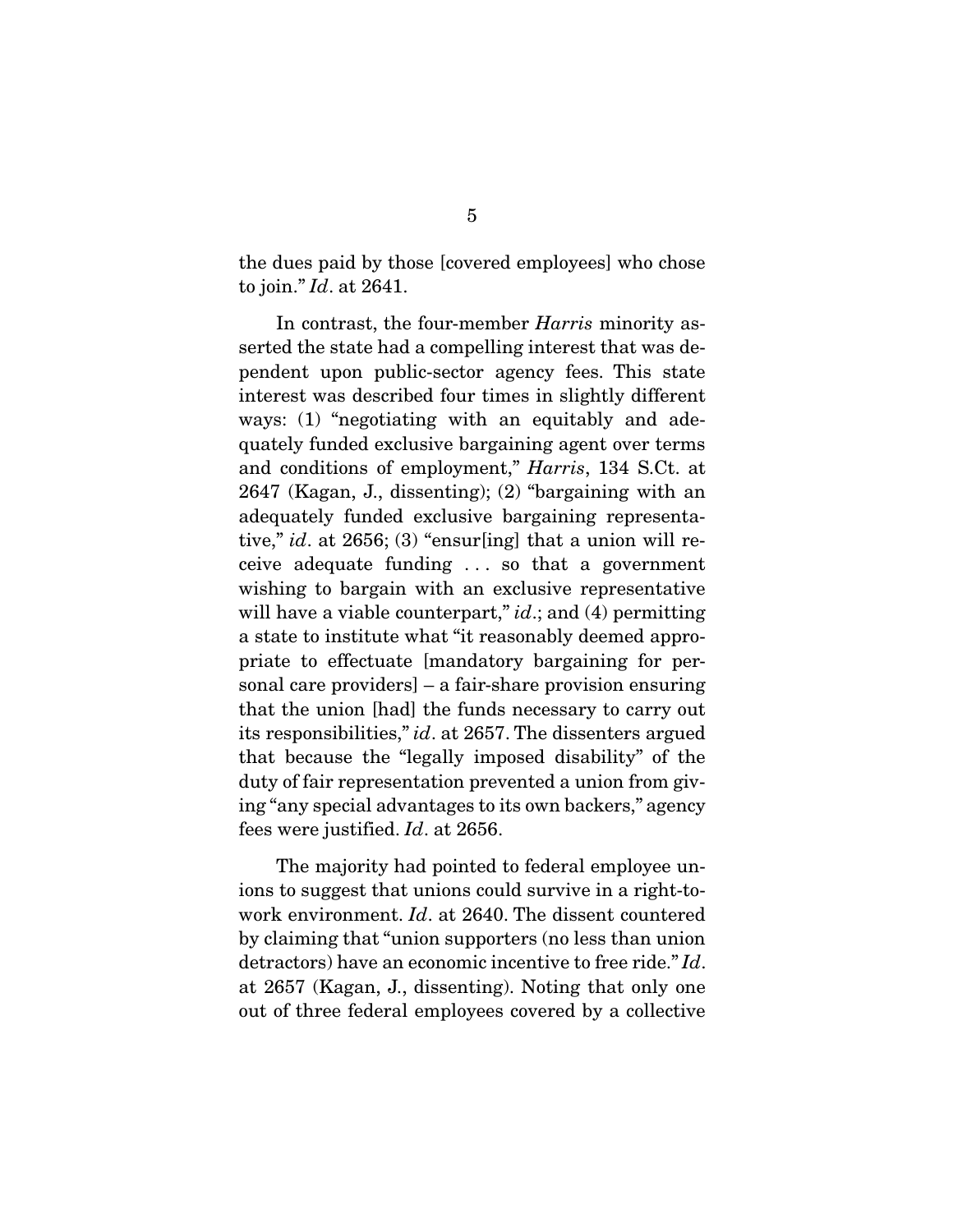the dues paid by those [covered employees] who chose to join." Id. at 2641.

 In contrast, the four-member Harris minority asserted the state had a compelling interest that was dependent upon public-sector agency fees. This state interest was described four times in slightly different ways: (1) "negotiating with an equitably and adequately funded exclusive bargaining agent over terms and conditions of employment," Harris, 134 S.Ct. at 2647 (Kagan, J., dissenting); (2) "bargaining with an adequately funded exclusive bargaining representative," id. at  $2656$ ; (3) "ensur[ing] that a union will receive adequate funding . . . so that a government wishing to bargain with an exclusive representative will have a viable counterpart,"  $id$ ; and (4) permitting a state to institute what "it reasonably deemed appropriate to effectuate [mandatory bargaining for personal care providers] – a fair-share provision ensuring that the union [had] the funds necessary to carry out its responsibilities," id. at 2657. The dissenters argued that because the "legally imposed disability" of the duty of fair representation prevented a union from giving "any special advantages to its own backers," agency fees were justified. Id. at 2656.

 The majority had pointed to federal employee unions to suggest that unions could survive in a right-towork environment. Id. at 2640. The dissent countered by claiming that "union supporters (no less than union detractors) have an economic incentive to free ride." Id. at 2657 (Kagan, J., dissenting). Noting that only one out of three federal employees covered by a collective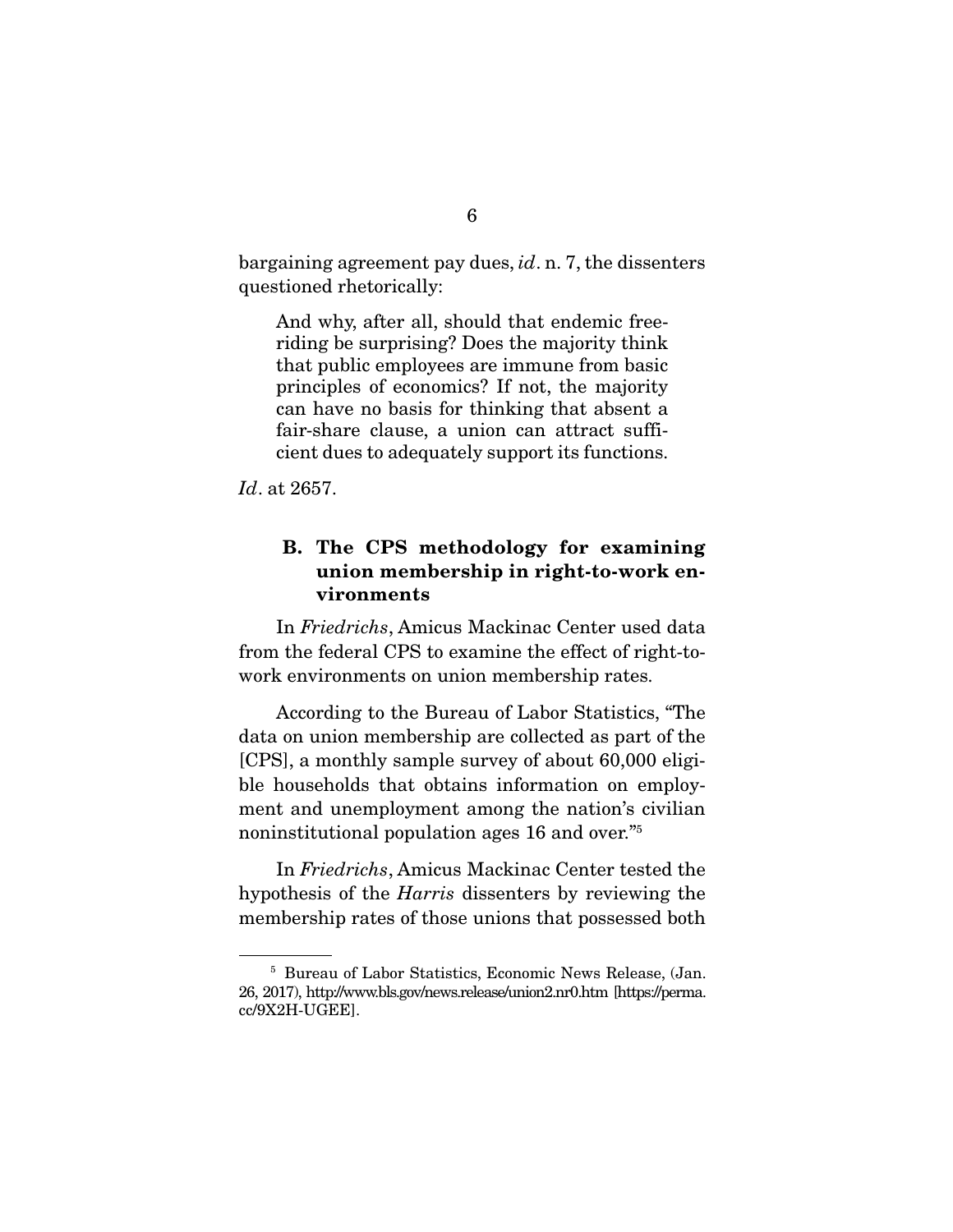bargaining agreement pay dues, id. n. 7, the dissenters questioned rhetorically:

And why, after all, should that endemic freeriding be surprising? Does the majority think that public employees are immune from basic principles of economics? If not, the majority can have no basis for thinking that absent a fair-share clause, a union can attract sufficient dues to adequately support its functions.

Id. at 2657.

### **B. The CPS methodology for examining union membership in right-to-work environments**

 In Friedrichs, Amicus Mackinac Center used data from the federal CPS to examine the effect of right-towork environments on union membership rates.

 According to the Bureau of Labor Statistics, "The data on union membership are collected as part of the [CPS], a monthly sample survey of about 60,000 eligible households that obtains information on employment and unemployment among the nation's civilian noninstitutional population ages 16 and over."<sup>5</sup>

 In Friedrichs, Amicus Mackinac Center tested the hypothesis of the Harris dissenters by reviewing the membership rates of those unions that possessed both

<sup>5</sup> Bureau of Labor Statistics, Economic News Release, (Jan. 26, 2017), http://www.bls.gov/news.release/union2.nr0.htm [https://perma. cc/9X2H-UGEE].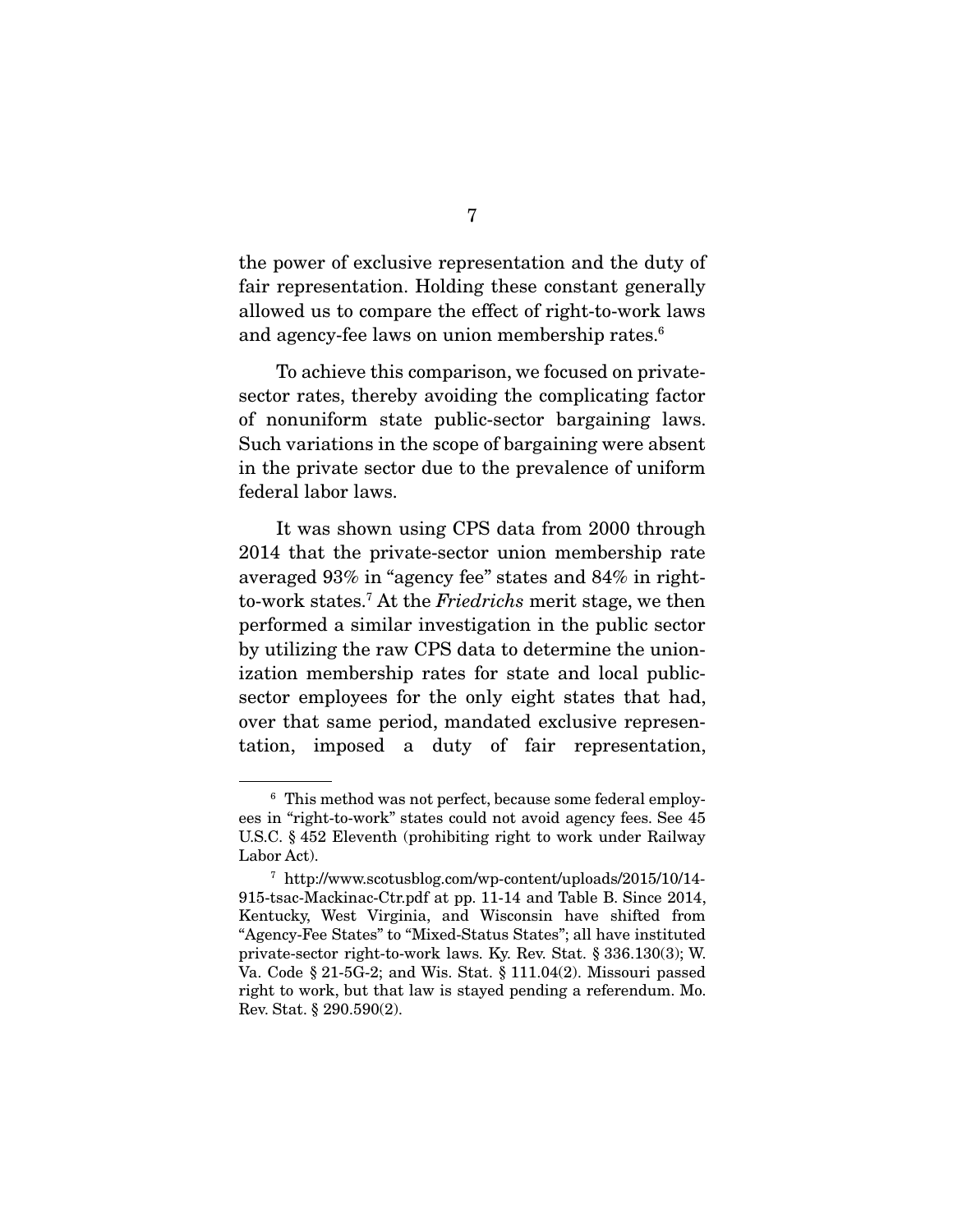the power of exclusive representation and the duty of fair representation. Holding these constant generally allowed us to compare the effect of right-to-work laws and agency-fee laws on union membership rates.<sup>6</sup>

 To achieve this comparison, we focused on privatesector rates, thereby avoiding the complicating factor of nonuniform state public-sector bargaining laws. Such variations in the scope of bargaining were absent in the private sector due to the prevalence of uniform federal labor laws.

 It was shown using CPS data from 2000 through 2014 that the private-sector union membership rate averaged 93% in "agency fee" states and 84% in rightto-work states.<sup>7</sup> At the Friedrichs merit stage, we then performed a similar investigation in the public sector by utilizing the raw CPS data to determine the unionization membership rates for state and local publicsector employees for the only eight states that had, over that same period, mandated exclusive representation, imposed a duty of fair representation,

<sup>6</sup> This method was not perfect, because some federal employees in "right-to-work" states could not avoid agency fees. See 45 U.S.C. § 452 Eleventh (prohibiting right to work under Railway Labor Act).

<sup>7</sup> http://www.scotusblog.com/wp-content/uploads/2015/10/14- 915-tsac-Mackinac-Ctr.pdf at pp. 11-14 and Table B. Since 2014, Kentucky, West Virginia, and Wisconsin have shifted from "Agency-Fee States" to "Mixed-Status States"; all have instituted private-sector right-to-work laws. Ky. Rev. Stat. § 336.130(3); W. Va. Code § 21-5G-2; and Wis. Stat. § 111.04(2). Missouri passed right to work, but that law is stayed pending a referendum. Mo. Rev. Stat. § 290.590(2).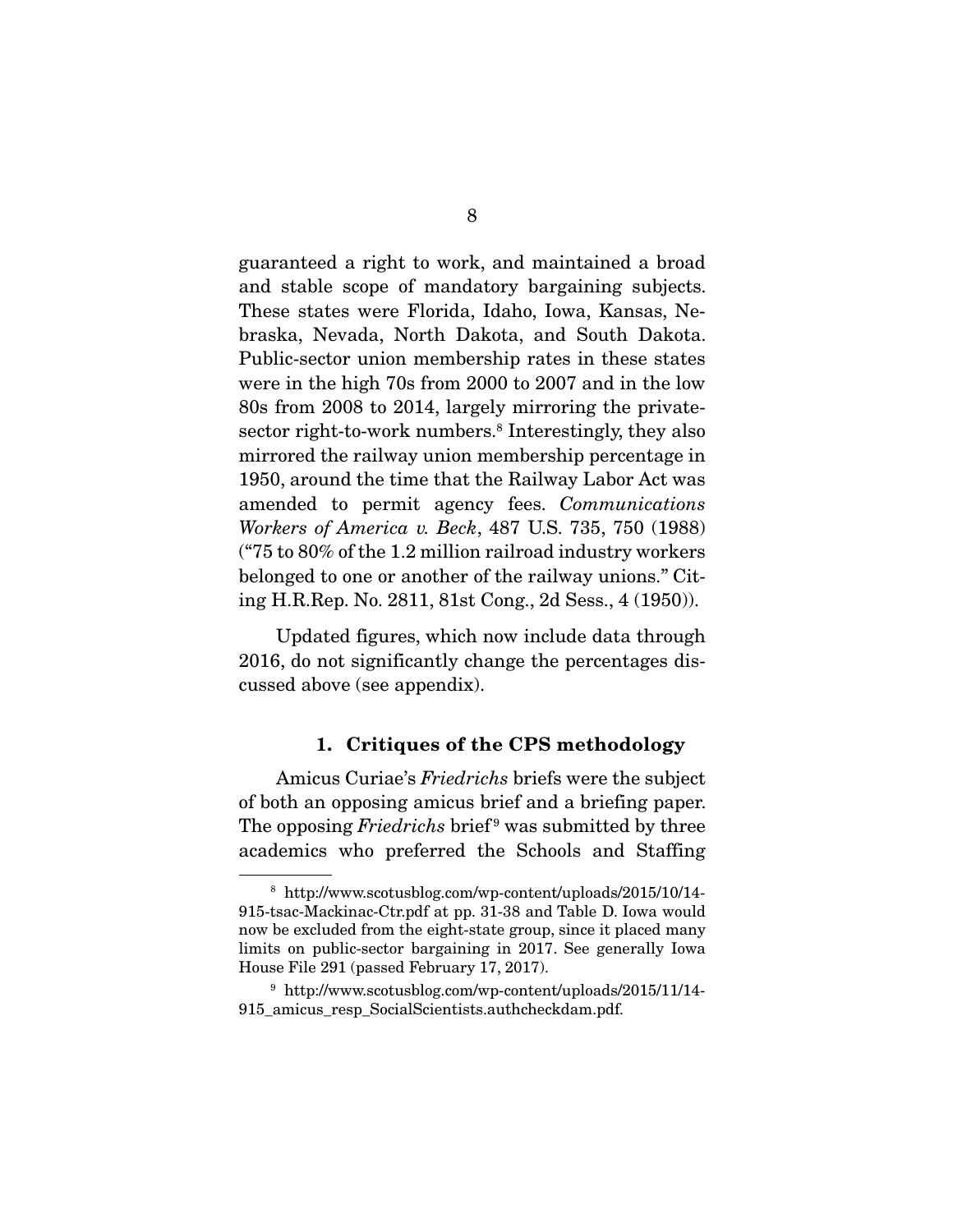guaranteed a right to work, and maintained a broad and stable scope of mandatory bargaining subjects. These states were Florida, Idaho, Iowa, Kansas, Nebraska, Nevada, North Dakota, and South Dakota. Public-sector union membership rates in these states were in the high 70s from 2000 to 2007 and in the low 80s from 2008 to 2014, largely mirroring the privatesector right-to-work numbers.<sup>8</sup> Interestingly, they also mirrored the railway union membership percentage in 1950, around the time that the Railway Labor Act was amended to permit agency fees. Communications Workers of America v. Beck, 487 U.S. 735, 750 (1988) ("75 to 80% of the 1.2 million railroad industry workers belonged to one or another of the railway unions." Citing H.R.Rep. No. 2811, 81st Cong., 2d Sess., 4 (1950)).

 Updated figures, which now include data through 2016, do not significantly change the percentages discussed above (see appendix).

#### **1. Critiques of the CPS methodology**

 Amicus Curiae's Friedrichs briefs were the subject of both an opposing amicus brief and a briefing paper. The opposing Friedrichs brief<sup>9</sup> was submitted by three academics who preferred the Schools and Staffing

<sup>8</sup> http://www.scotusblog.com/wp-content/uploads/2015/10/14- 915-tsac-Mackinac-Ctr.pdf at pp. 31-38 and Table D. Iowa would now be excluded from the eight-state group, since it placed many limits on public-sector bargaining in 2017. See generally Iowa House File 291 (passed February 17, 2017).

<sup>9</sup> http://www.scotusblog.com/wp-content/uploads/2015/11/14- 915\_amicus\_resp\_SocialScientists.authcheckdam.pdf.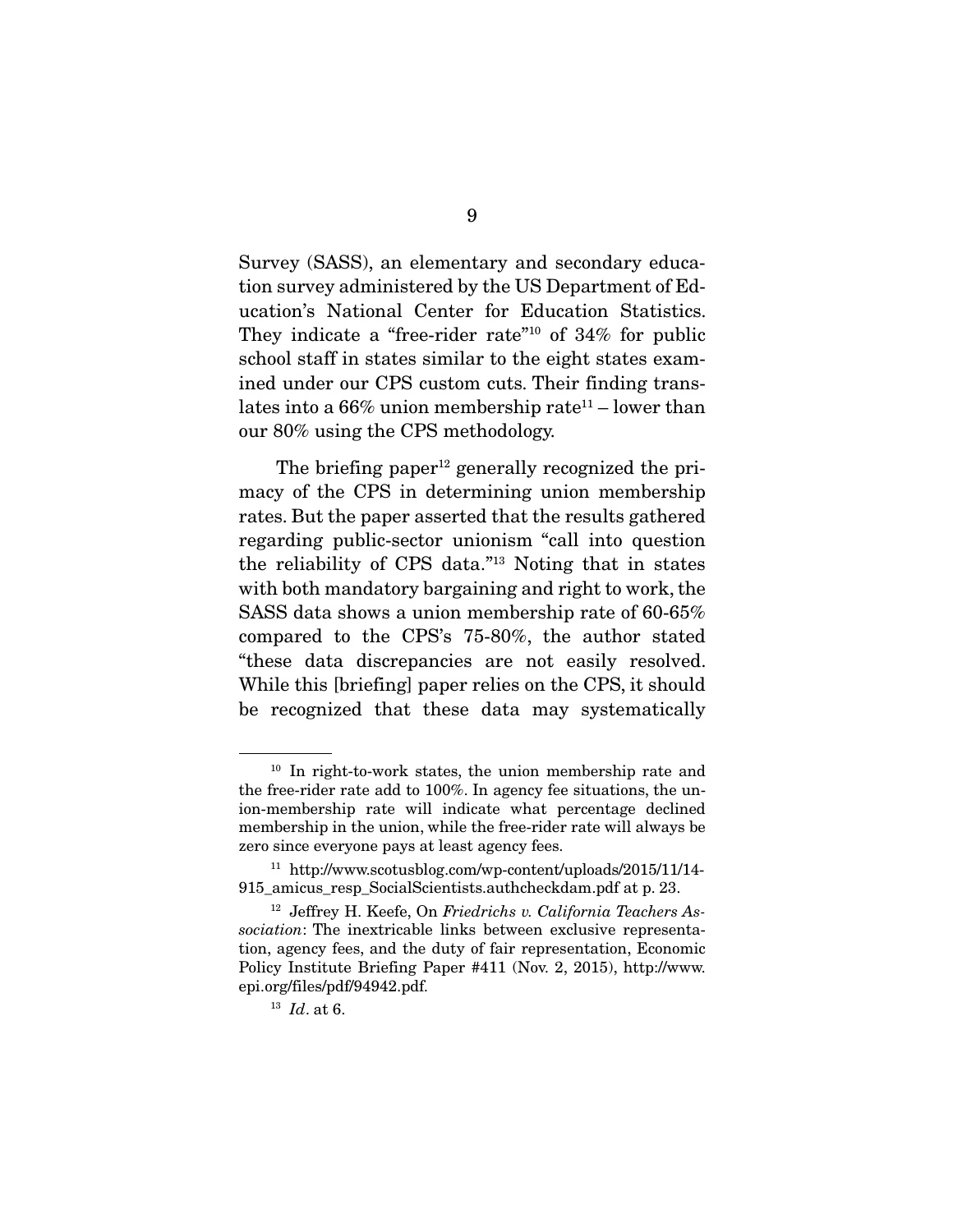Survey (SASS), an elementary and secondary education survey administered by the US Department of Education's National Center for Education Statistics. They indicate a "free-rider rate"<sup>10</sup> of 34% for public school staff in states similar to the eight states examined under our CPS custom cuts. Their finding translates into a  $66\%$  union membership rate<sup>11</sup> – lower than our 80% using the CPS methodology.

The briefing paper $12$  generally recognized the primacy of the CPS in determining union membership rates. But the paper asserted that the results gathered regarding public-sector unionism "call into question the reliability of CPS data."13 Noting that in states with both mandatory bargaining and right to work, the SASS data shows a union membership rate of 60-65% compared to the CPS's 75-80%, the author stated "these data discrepancies are not easily resolved. While this [briefing] paper relies on the CPS, it should be recognized that these data may systematically

<sup>10</sup> In right-to-work states, the union membership rate and the free-rider rate add to 100%. In agency fee situations, the union-membership rate will indicate what percentage declined membership in the union, while the free-rider rate will always be zero since everyone pays at least agency fees.

<sup>11</sup> http://www.scotusblog.com/wp-content/uploads/2015/11/14- 915\_amicus\_resp\_SocialScientists.authcheckdam.pdf at p. 23.

 $12$  Jeffrey H. Keefe, On Friedrichs v. California Teachers Association: The inextricable links between exclusive representation, agency fees, and the duty of fair representation, Economic Policy Institute Briefing Paper #411 (Nov. 2, 2015), http://www. epi.org/files/pdf/94942.pdf.

 $13$  *Id.* at 6.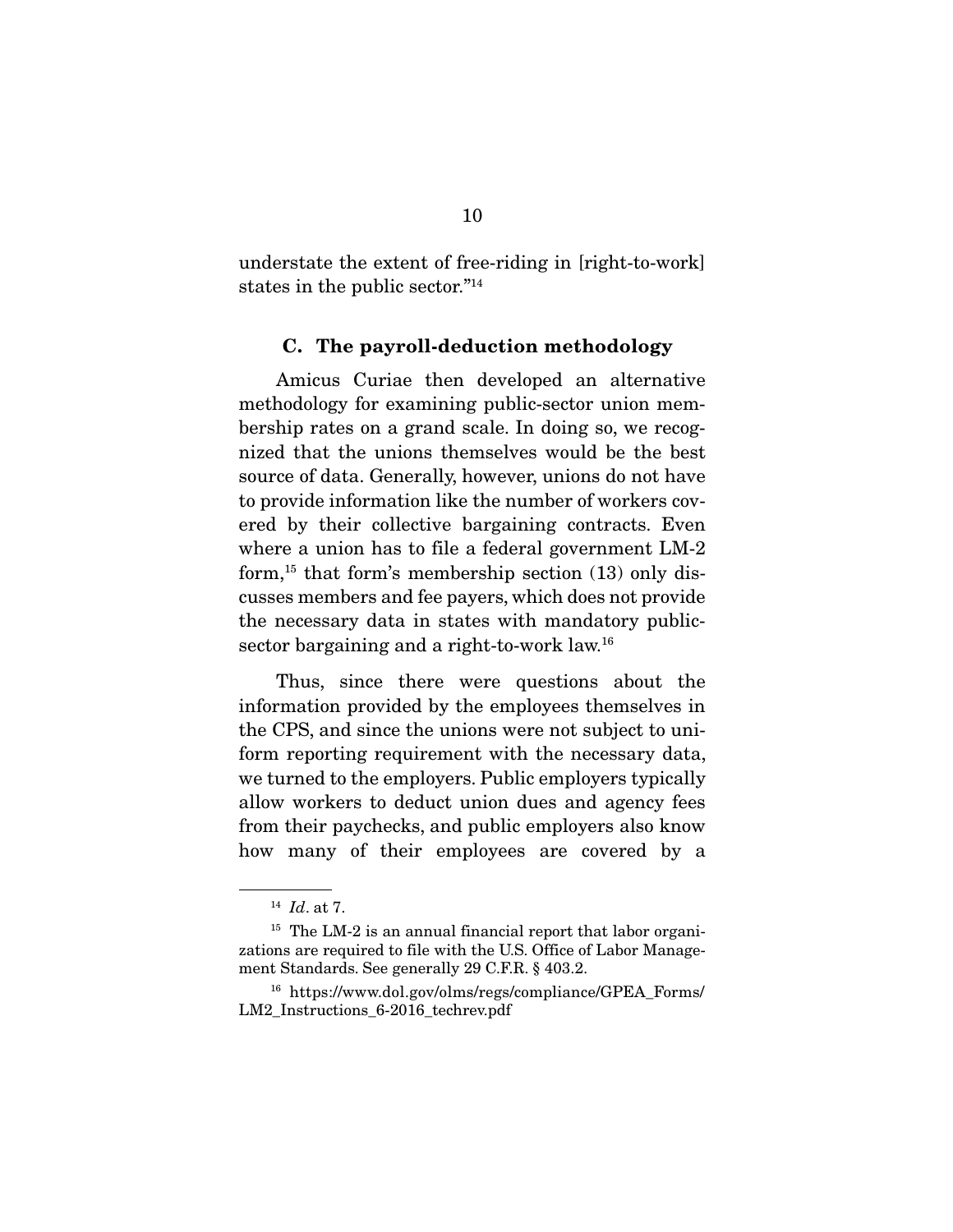understate the extent of free-riding in [right-to-work] states in the public sector."14

#### **C. The payroll-deduction methodology**

 Amicus Curiae then developed an alternative methodology for examining public-sector union membership rates on a grand scale. In doing so, we recognized that the unions themselves would be the best source of data. Generally, however, unions do not have to provide information like the number of workers covered by their collective bargaining contracts. Even where a union has to file a federal government LM-2 form,<sup>15</sup> that form's membership section  $(13)$  only discusses members and fee payers, which does not provide the necessary data in states with mandatory publicsector bargaining and a right-to-work law.<sup>16</sup>

 Thus, since there were questions about the information provided by the employees themselves in the CPS, and since the unions were not subject to uniform reporting requirement with the necessary data, we turned to the employers. Public employers typically allow workers to deduct union dues and agency fees from their paychecks, and public employers also know how many of their employees are covered by a

 $14$  *Id.* at 7.

<sup>&</sup>lt;sup>15</sup> The LM-2 is an annual financial report that labor organizations are required to file with the U.S. Office of Labor Management Standards. See generally 29 C.F.R. § 403.2.

<sup>16</sup> https://www.dol.gov/olms/regs/compliance/GPEA\_Forms/ LM2 Instructions 6-2016 techrev.pdf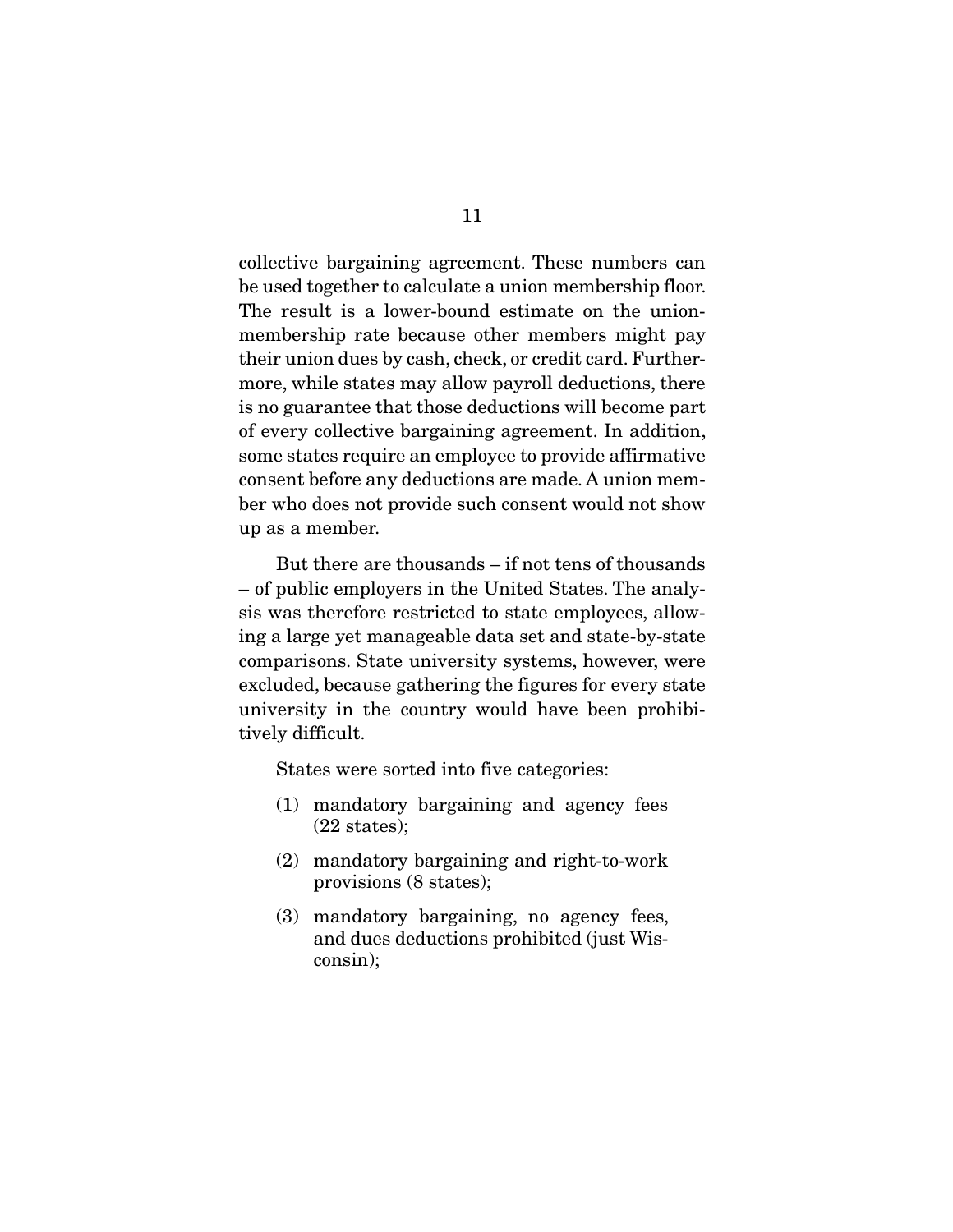collective bargaining agreement. These numbers can be used together to calculate a union membership floor. The result is a lower-bound estimate on the unionmembership rate because other members might pay their union dues by cash, check, or credit card. Furthermore, while states may allow payroll deductions, there is no guarantee that those deductions will become part of every collective bargaining agreement. In addition, some states require an employee to provide affirmative consent before any deductions are made. A union member who does not provide such consent would not show up as a member.

 But there are thousands – if not tens of thousands – of public employers in the United States. The analysis was therefore restricted to state employees, allowing a large yet manageable data set and state-by-state comparisons. State university systems, however, were excluded, because gathering the figures for every state university in the country would have been prohibitively difficult.

States were sorted into five categories:

- (1) mandatory bargaining and agency fees (22 states);
- (2) mandatory bargaining and right-to-work provisions (8 states);
- (3) mandatory bargaining, no agency fees, and dues deductions prohibited (just Wisconsin);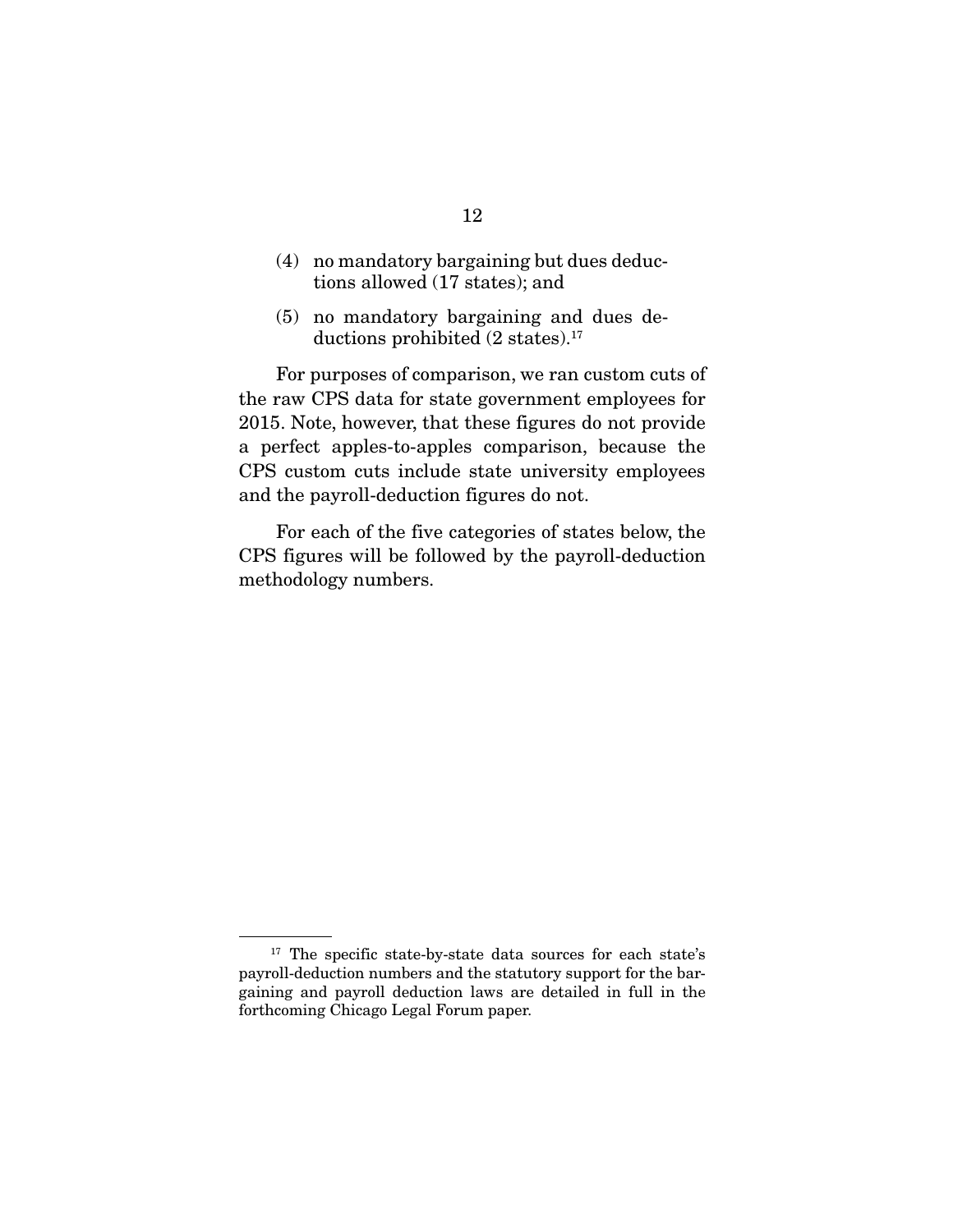- (4) no mandatory bargaining but dues deductions allowed (17 states); and
- (5) no mandatory bargaining and dues deductions prohibited (2 states).<sup>17</sup>

 For purposes of comparison, we ran custom cuts of the raw CPS data for state government employees for 2015. Note, however, that these figures do not provide a perfect apples-to-apples comparison, because the CPS custom cuts include state university employees and the payroll-deduction figures do not.

 For each of the five categories of states below, the CPS figures will be followed by the payroll-deduction methodology numbers.

<sup>&</sup>lt;sup>17</sup> The specific state-by-state data sources for each state's payroll-deduction numbers and the statutory support for the bargaining and payroll deduction laws are detailed in full in the forthcoming Chicago Legal Forum paper.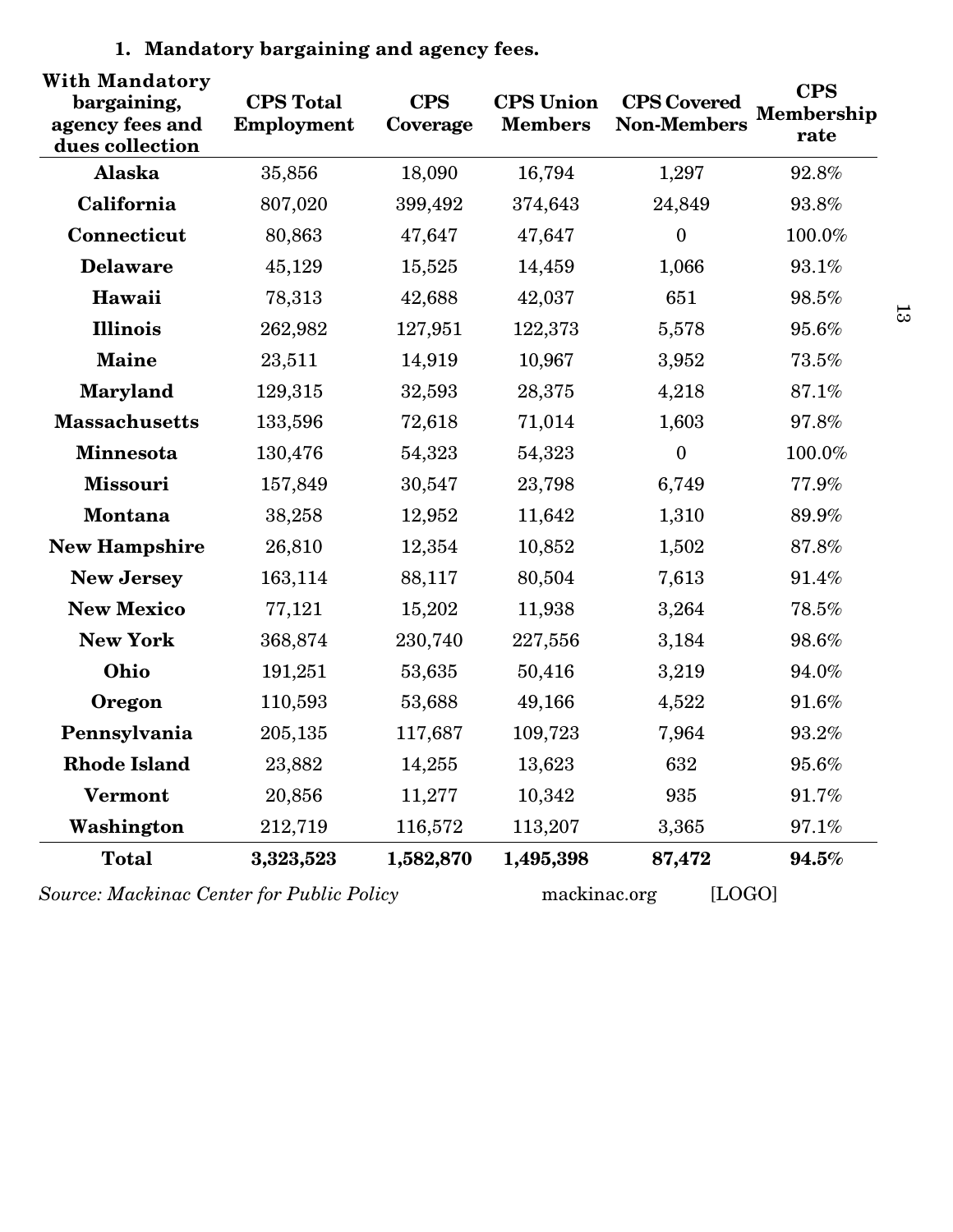| With Mandatory<br>bargaining,<br>agency fees and<br>dues collection | <b>CPS</b> Total<br><b>Employment</b> | <b>CPS</b><br>Coverage | <b>CPS</b> Union<br><b>Members</b> | <b>CPS</b> Covered<br><b>Non-Members</b> | <b>CPS</b><br>Membership<br>rate |
|---------------------------------------------------------------------|---------------------------------------|------------------------|------------------------------------|------------------------------------------|----------------------------------|
| Alaska                                                              | 35,856                                | 18,090                 | 16,794                             | 1,297                                    | 92.8%                            |
| California                                                          | 807,020                               | 399,492                | 374,643                            | 24,849                                   | 93.8%                            |
| Connecticut                                                         | 80,863                                | 47,647                 | 47,647                             | $\mathbf{0}$                             | $100.0\%$                        |
| <b>Delaware</b>                                                     | 45,129                                | 15,525                 | 14,459                             | 1,066                                    | 93.1%                            |
| Hawaii                                                              | 78,313                                | 42,688                 | 42,037                             | 651                                      | 98.5%                            |
| <b>Illinois</b>                                                     | 262,982                               | 127,951                | 122,373                            | 5,578                                    | 95.6%                            |
| <b>Maine</b>                                                        | 23,511                                | 14,919                 | 10,967                             | 3,952                                    | 73.5%                            |
| Maryland                                                            | 129,315                               | 32,593                 | 28,375                             | 4,218                                    | 87.1%                            |
| <b>Massachusetts</b>                                                | 133,596                               | 72,618                 | 71,014                             | 1,603                                    | 97.8%                            |
| Minnesota                                                           | 130,476                               | 54,323                 | 54,323                             | $\boldsymbol{0}$                         | 100.0%                           |
| <b>Missouri</b>                                                     | 157,849                               | 30,547                 | 23,798                             | 6,749                                    | 77.9%                            |
| <b>Montana</b>                                                      | 38,258                                | 12,952                 | 11,642                             | 1,310                                    | 89.9%                            |
| <b>New Hampshire</b>                                                | 26,810                                | 12,354                 | 10,852                             | 1,502                                    | 87.8%                            |
| <b>New Jersey</b>                                                   | 163,114                               | 88,117                 | 80,504                             | 7,613                                    | 91.4%                            |
| <b>New Mexico</b>                                                   | 77,121                                | 15,202                 | 11,938                             | 3,264                                    | 78.5%                            |
| <b>New York</b>                                                     | 368,874                               | 230,740                | 227,556                            | 3,184                                    | 98.6%                            |
| Ohio                                                                | 191,251                               | 53,635                 | 50,416                             | 3,219                                    | 94.0%                            |
| Oregon                                                              | 110,593                               | 53,688                 | 49,166                             | 4,522                                    | 91.6%                            |
| Pennsylvania                                                        | 205,135                               | 117,687                | 109,723                            | 7,964                                    | 93.2%                            |
| <b>Rhode Island</b>                                                 | 23,882                                | 14,255                 | 13,623                             | 632                                      | $95.6\%$                         |
| <b>Vermont</b>                                                      | 20,856                                | 11,277                 | 10,342                             | 935                                      | 91.7%                            |
| Washington                                                          | 212,719                               | 116,572                | 113,207                            | 3,365                                    | 97.1%                            |
| <b>Total</b>                                                        | 3,323,523                             | 1,582,870              | 1,495,398                          | 87,472                                   | 94.5%                            |
| Source: Mackinac Center for Public Policy                           |                                       |                        | mackinac.org                       | [LOGO]                                   |                                  |

## **1. Mandatory bargaining and agency fees.**

 $13$  $13\,$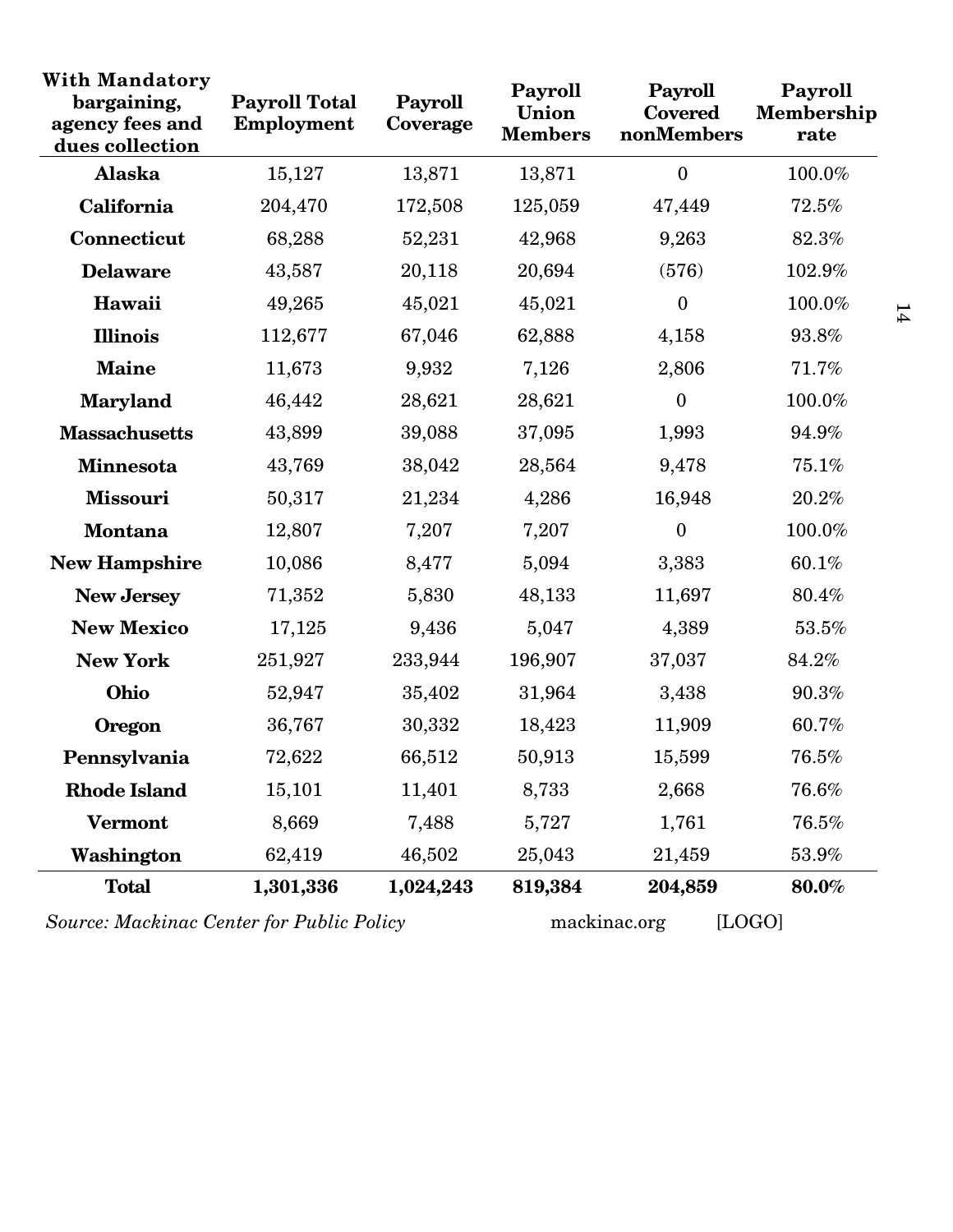| <b>With Mandatory</b><br>bargaining,<br>agency fees and<br>dues collection | <b>Payroll Total</b><br>Employment | Payroll<br>Coverage | Payroll<br>Union<br><b>Members</b> | Payroll<br><b>Covered</b><br>nonMembers | Payroll<br>Membership<br>rate |
|----------------------------------------------------------------------------|------------------------------------|---------------------|------------------------------------|-----------------------------------------|-------------------------------|
| Alaska                                                                     | 15,127                             | 13,871              | 13,871                             | $\boldsymbol{0}$                        | 100.0%                        |
| California                                                                 | 204,470                            | 172,508             | 125,059                            | 47,449                                  | 72.5%                         |
| Connecticut                                                                | 68,288                             | 52,231              | 42,968                             | 9,263                                   | 82.3%                         |
| <b>Delaware</b>                                                            | 43,587                             | 20,118              | 20,694                             | (576)                                   | 102.9%                        |
| Hawaii                                                                     | 49,265                             | 45,021              | 45,021                             | $\boldsymbol{0}$                        | 100.0%                        |
| <b>Illinois</b>                                                            | 112,677                            | 67,046              | 62,888                             | 4,158                                   | 93.8%                         |
| <b>Maine</b>                                                               | 11,673                             | 9,932               | 7,126                              | 2,806                                   | 71.7%                         |
| <b>Maryland</b>                                                            | 46,442                             | 28,621              | 28,621                             | $\boldsymbol{0}$                        | 100.0%                        |
| <b>Massachusetts</b>                                                       | 43,899                             | 39,088              | 37,095                             | 1,993                                   | 94.9%                         |
| Minnesota                                                                  | 43,769                             | 38,042              | 28,564                             | 9,478                                   | 75.1%                         |
| <b>Missouri</b>                                                            | 50,317                             | 21,234              | 4,286                              | 16,948                                  | 20.2%                         |
| <b>Montana</b>                                                             | 12,807                             | 7,207               | 7,207                              | $\boldsymbol{0}$                        | 100.0%                        |
| <b>New Hampshire</b>                                                       | 10,086                             | 8,477               | 5,094                              | 3,383                                   | 60.1%                         |
| <b>New Jersey</b>                                                          | 71,352                             | 5,830               | 48,133                             | 11,697                                  | 80.4%                         |
| <b>New Mexico</b>                                                          | 17,125                             | 9,436               | 5,047                              | 4,389                                   | 53.5%                         |
| <b>New York</b>                                                            | 251,927                            | 233,944             | 196,907                            | 37,037                                  | 84.2%                         |
| Ohio                                                                       | 52,947                             | 35,402              | 31,964                             | 3,438                                   | 90.3%                         |
| <b>Oregon</b>                                                              | 36,767                             | 30,332              | 18,423                             | 11,909                                  | 60.7%                         |
| Pennsylvania                                                               | 72,622                             | 66,512              | 50,913                             | 15,599                                  | 76.5%                         |
| <b>Rhode Island</b>                                                        | 15,101                             | 11,401              | 8,733                              | 2,668                                   | 76.6%                         |
| <b>Vermont</b>                                                             | 8,669                              | 7,488               | 5,727                              | 1,761                                   | $76.5\%$                      |
| Washington                                                                 | 62,419                             | 46,502              | 25,043                             | 21,459                                  | 53.9%                         |
| <b>Total</b>                                                               | 1,301,336                          | 1,024,243           | 819,384                            | 204,859                                 | 80.0%                         |

*Source: Mackinac Center for Public Policy* mackinac.org [LOGO]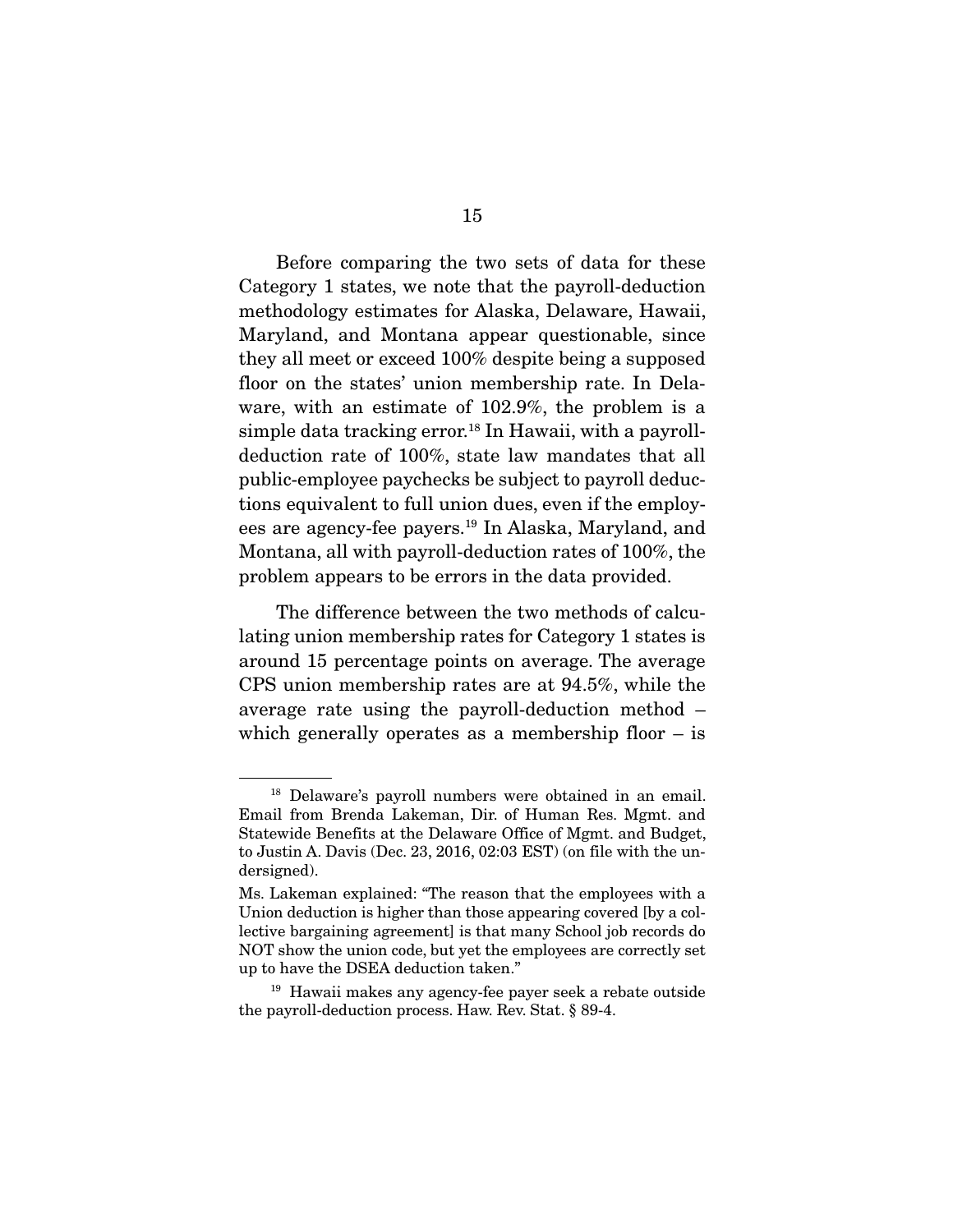Before comparing the two sets of data for these Category 1 states, we note that the payroll-deduction methodology estimates for Alaska, Delaware, Hawaii, Maryland, and Montana appear questionable, since they all meet or exceed 100% despite being a supposed floor on the states' union membership rate. In Delaware, with an estimate of 102.9%, the problem is a simple data tracking error.<sup>18</sup> In Hawaii, with a payrolldeduction rate of 100%, state law mandates that all public-employee paychecks be subject to payroll deductions equivalent to full union dues, even if the employees are agency-fee payers.19 In Alaska, Maryland, and Montana, all with payroll-deduction rates of 100%, the problem appears to be errors in the data provided.

 The difference between the two methods of calculating union membership rates for Category 1 states is around 15 percentage points on average. The average CPS union membership rates are at 94.5%, while the average rate using the payroll-deduction method – which generally operates as a membership floor  $-$  is

<sup>18</sup> Delaware's payroll numbers were obtained in an email. Email from Brenda Lakeman, Dir. of Human Res. Mgmt. and Statewide Benefits at the Delaware Office of Mgmt. and Budget, to Justin A. Davis (Dec. 23, 2016, 02:03 EST) (on file with the undersigned).

Ms. Lakeman explained: "The reason that the employees with a Union deduction is higher than those appearing covered [by a collective bargaining agreement] is that many School job records do NOT show the union code, but yet the employees are correctly set up to have the DSEA deduction taken."

<sup>19</sup> Hawaii makes any agency-fee payer seek a rebate outside the payroll-deduction process. Haw. Rev. Stat. § 89-4.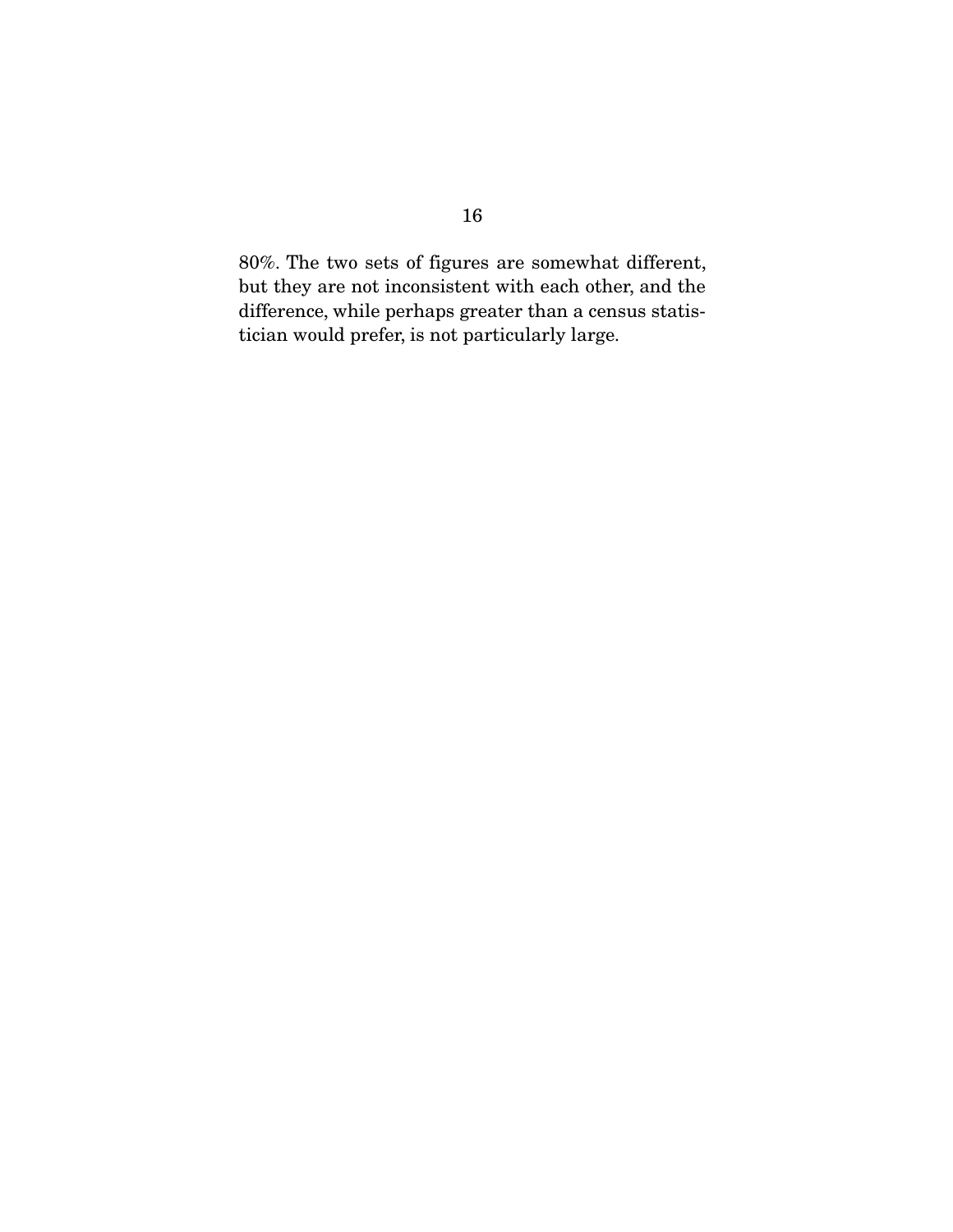80%. The two sets of figures are somewhat different, but they are not inconsistent with each other, and the difference, while perhaps greater than a census statistician would prefer, is not particularly large.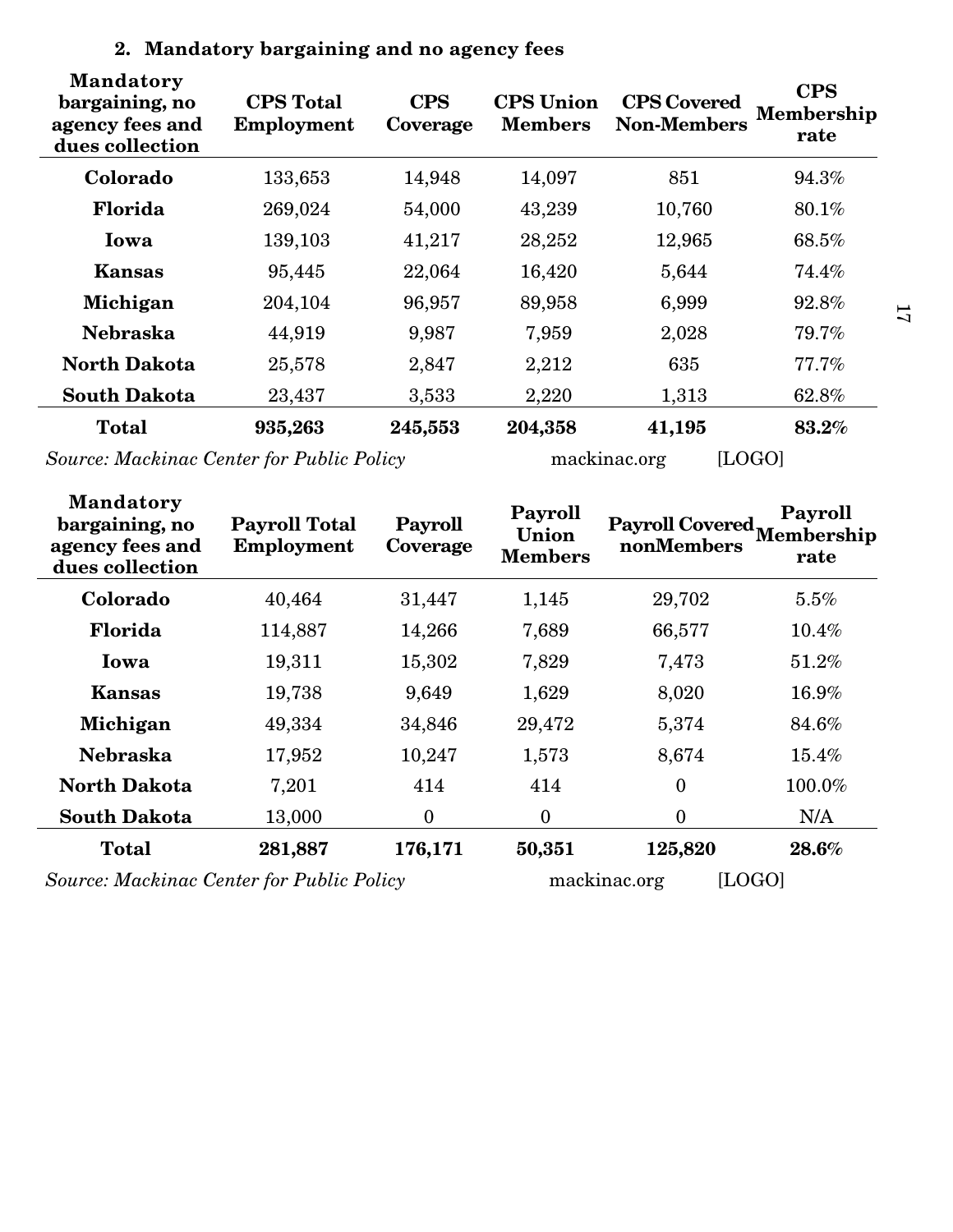| <b>Mandatory</b><br>bargaining, no<br>agency fees and<br>dues collection | <b>CPS</b> Total<br>Employment | <b>CPS</b><br>Coverage | <b>CPS</b> Union<br><b>Members</b> | <b>CPS Covered</b><br><b>Non-Members</b> | <b>CPS</b><br>Membership<br>rate |
|--------------------------------------------------------------------------|--------------------------------|------------------------|------------------------------------|------------------------------------------|----------------------------------|
| Colorado                                                                 | 133,653                        | 14,948                 | 14,097                             | 851                                      | 94.3%                            |
| Florida                                                                  | 269,024                        | 54,000                 | 43,239                             | 10,760                                   | 80.1%                            |
| Iowa                                                                     | 139,103                        | 41,217                 | 28,252                             | 12,965                                   | 68.5%                            |
| Kansas                                                                   | 95,445                         | 22,064                 | 16,420                             | 5,644                                    | $74.4\%$                         |
| Michigan                                                                 | 204,104                        | 96,957                 | 89,958                             | 6,999                                    | 92.8%                            |
| <b>Nebraska</b>                                                          | 44,919                         | 9,987                  | 7,959                              | 2,028                                    | 79.7%                            |
| <b>North Dakota</b>                                                      | 25,578                         | 2,847                  | 2,212                              | 635                                      | 77.7%                            |
| <b>South Dakota</b>                                                      | 23,437                         | 3,533                  | 2,220                              | 1,313                                    | 62.8%                            |
| <b>Total</b>                                                             | 935,263                        | 245,553                | 204,358                            | 41,195                                   | 83.2%                            |

## **2. Mandatory bargaining and no agency fees**

*Source: Mackinac Center for Public Policy* mackinac.org [LOGO]

| <b>Mandatory</b><br>bargaining, no<br>agency fees and<br>dues collection | <b>Payroll Total</b><br>Employment | Payroll<br>Coverage | Payroll<br>Union<br><b>Members</b> | Payroll Covered Membership<br>nonMembers | Payroll<br>rate |
|--------------------------------------------------------------------------|------------------------------------|---------------------|------------------------------------|------------------------------------------|-----------------|
| Colorado                                                                 | 40,464                             | 31,447              | 1,145                              | 29,702                                   | $5.5\%$         |
| Florida                                                                  | 114,887                            | 14,266              | 7,689                              | 66,577                                   | $10.4\%$        |
| Iowa                                                                     | 19,311                             | 15,302              | 7,829                              | 7,473                                    | $51.2\%$        |
| Kansas                                                                   | 19,738                             | 9,649               | 1,629                              | 8,020                                    | 16.9%           |
| Michigan                                                                 | 49,334                             | 34,846              | 29,472                             | 5,374                                    | 84.6%           |
| <b>Nebraska</b>                                                          | 17,952                             | 10,247              | 1,573                              | 8,674                                    | 15.4%           |
| <b>North Dakota</b>                                                      | 7,201                              | 414                 | 414                                | 0                                        | 100.0%          |
| <b>South Dakota</b>                                                      | 13,000                             | $\mathbf{0}$        | $\mathbf{0}$                       | $\overline{0}$                           | N/A             |
| <b>Total</b>                                                             | 281,887                            | 176,171             | 50,351                             | 125,820                                  | 28.6%           |
| Source: Machings Center for Public Policy                                |                                    |                     |                                    | LU OU U<br>mackings org                  |                 |

*Source: Mackinac Center for Public Policy* mackinac.org [LOGO]

 $21$  $11\,$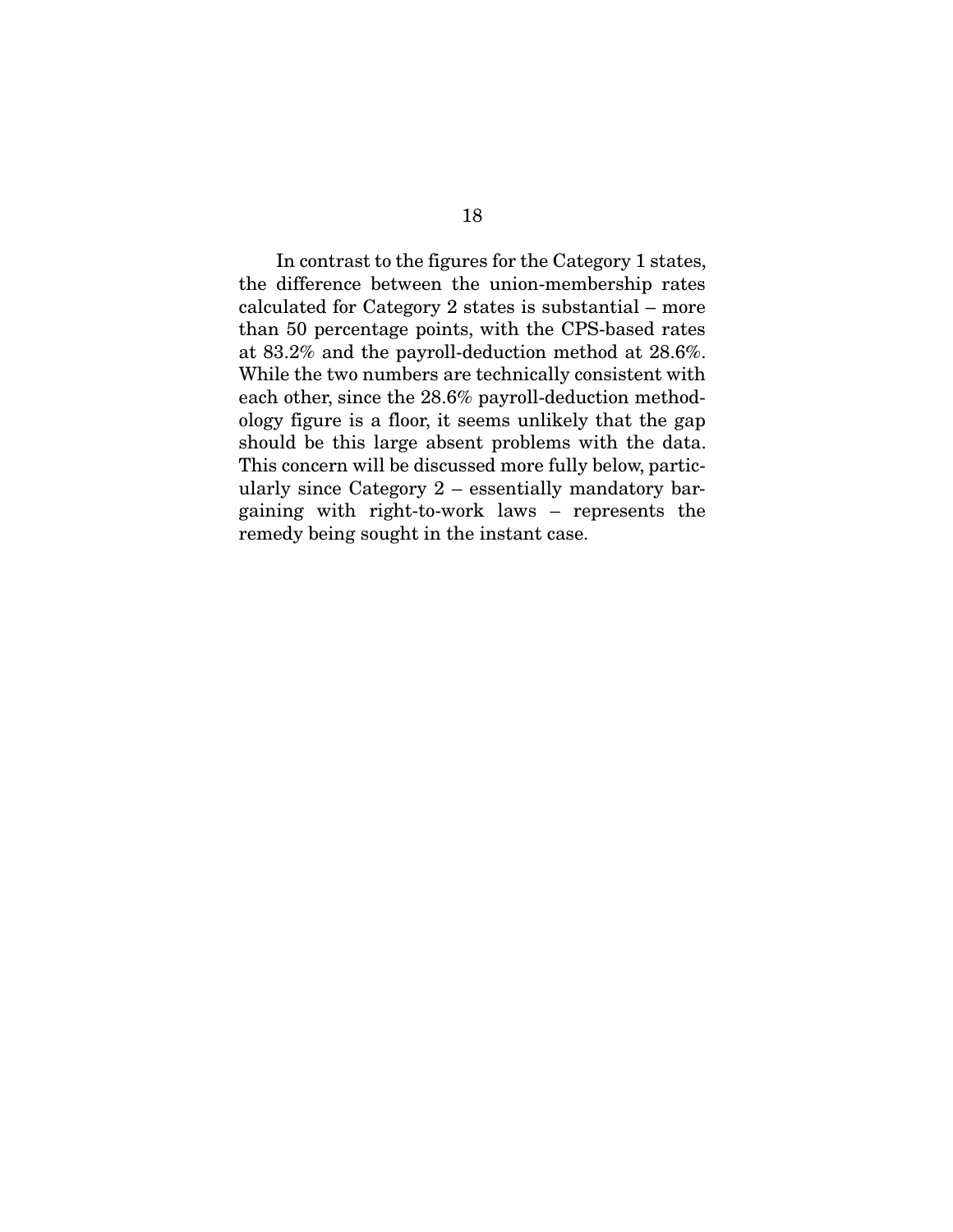In contrast to the figures for the Category 1 states, the difference between the union-membership rates calculated for Category 2 states is substantial – more than 50 percentage points, with the CPS-based rates at 83.2% and the payroll-deduction method at 28.6%. While the two numbers are technically consistent with each other, since the 28.6% payroll-deduction methodology figure is a floor, it seems unlikely that the gap should be this large absent problems with the data. This concern will be discussed more fully below, particularly since Category 2 – essentially mandatory bargaining with right-to-work laws – represents the remedy being sought in the instant case.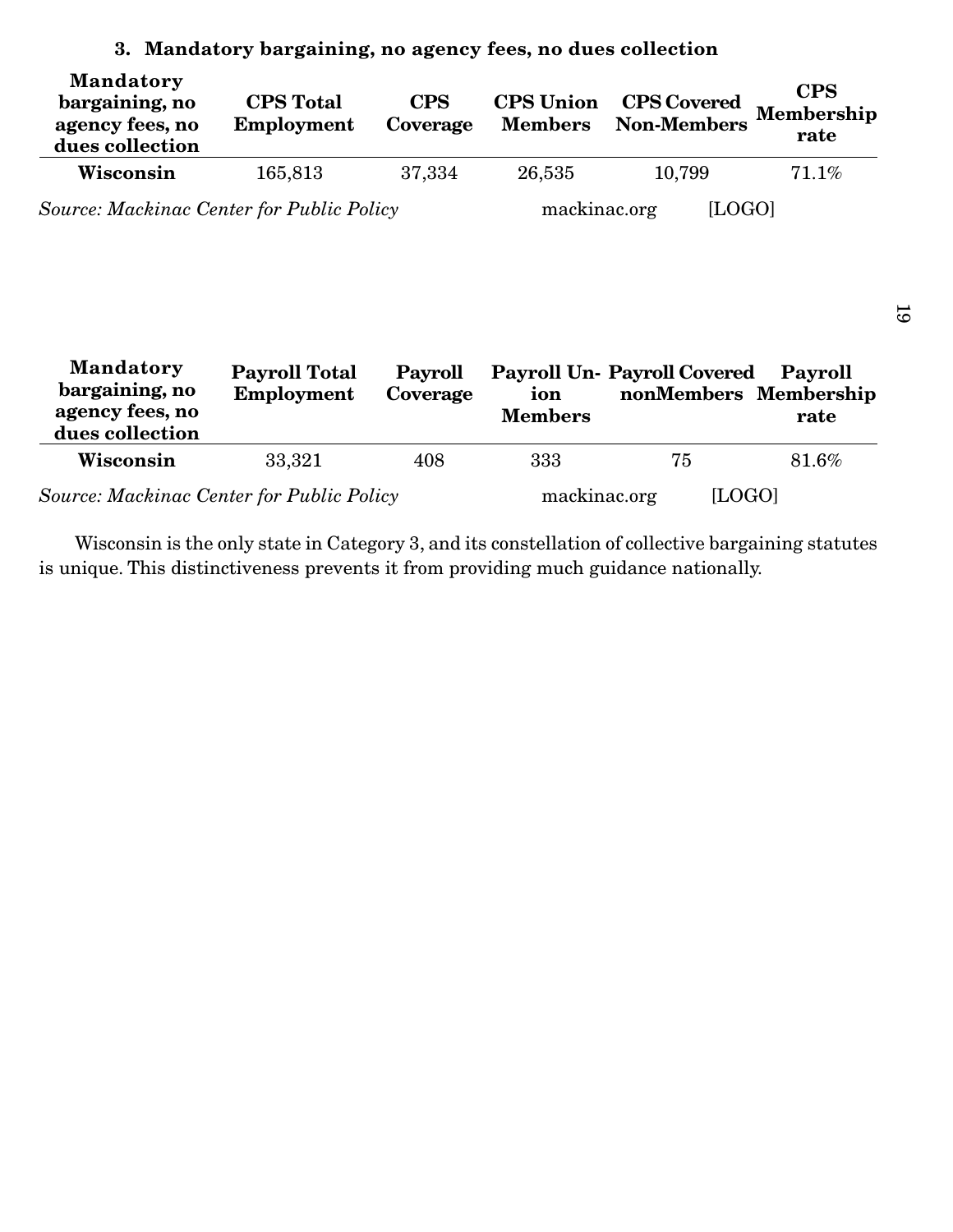| <b>Mandatory</b><br>bargaining, no<br>agency fees, no<br>dues collection | <b>CPS</b> Total<br>Employment | <b>CPS</b><br>Coverage | <b>CPS</b> Union<br><b>Members</b> | <b>CPS Covered</b><br><b>Non-Members</b> | <b>CPS</b><br>Membership<br>rate |
|--------------------------------------------------------------------------|--------------------------------|------------------------|------------------------------------|------------------------------------------|----------------------------------|
| Wisconsin                                                                | 165,813                        | 37,334                 | 26,535                             | 10,799                                   | 71.1%                            |
| Source: Mackinac Center for Public Policy                                |                                |                        | mackinac.org                       | [LOGO]                                   |                                  |

## **3. Mandatory bargaining, no agency fees, no dues collection**

| <b>Mandatory</b><br>bargaining, no<br>agency fees, no<br>dues collection | <b>Payroll Total</b><br>Employment | Payroll<br>Coverage | ion<br><b>Members</b> | <b>Payroll Un- Payroll Covered</b><br>nonMembers Membership | Payroll<br>rate |
|--------------------------------------------------------------------------|------------------------------------|---------------------|-----------------------|-------------------------------------------------------------|-----------------|
| Wisconsin                                                                | 33,321                             | 408                 | 333                   | 75                                                          | 81.6%           |
| <b>Source: Mackinac Center for Public Policy</b>                         |                                    |                     | mackinac.org          | [LOGO]                                                      |                 |

Wisconsin is the only state in Category 3, and its constellation of collective bargaining statutes is unique. This distinctiveness prevents it from providing much guidance nationally.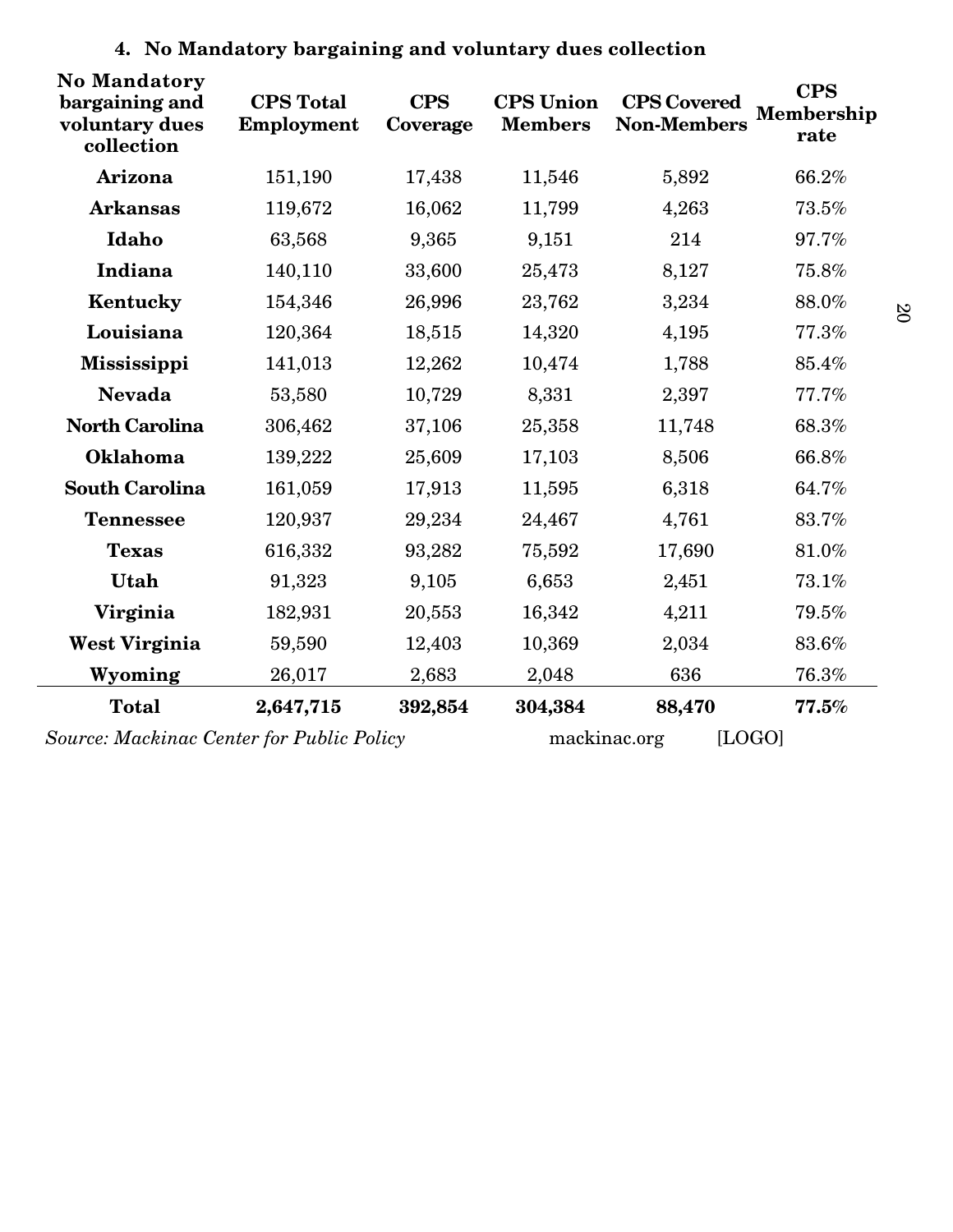| <b>No Mandatory</b><br>bargaining and<br>voluntary dues<br>collection | <b>CPS</b> Total<br>Employment | <b>CPS</b><br>Coverage | <b>CPS</b> Union<br><b>Members</b> | <b>CPS Covered</b><br><b>Non-Members</b> | <b>CPS</b><br>Membership<br>rate |
|-----------------------------------------------------------------------|--------------------------------|------------------------|------------------------------------|------------------------------------------|----------------------------------|
| Arizona                                                               | 151,190                        | 17,438                 | 11,546                             | 5,892                                    | 66.2%                            |
| <b>Arkansas</b>                                                       | 119,672                        | 16,062                 | 11,799                             | 4,263                                    | 73.5%                            |
| Idaho                                                                 | 63,568                         | 9,365                  | 9,151                              | 214                                      | 97.7%                            |
| Indiana                                                               | 140,110                        | 33,600                 | 25,473                             | 8,127                                    | 75.8%                            |
| Kentucky                                                              | 154,346                        | 26,996                 | 23,762                             | 3,234                                    | 88.0%                            |
| Louisiana                                                             | 120,364                        | 18,515                 | 14,320                             | 4,195                                    | 77.3%                            |
| <b>Mississippi</b>                                                    | 141,013                        | 12,262                 | 10,474                             | 1,788                                    | 85.4%                            |
| <b>Nevada</b>                                                         | 53,580                         | 10,729                 | 8,331                              | 2,397                                    | 77.7%                            |
| <b>North Carolina</b>                                                 | 306,462                        | 37,106                 | 25,358                             | 11,748                                   | 68.3%                            |
| Oklahoma                                                              | 139,222                        | 25,609                 | 17,103                             | 8,506                                    | 66.8%                            |
| <b>South Carolina</b>                                                 | 161,059                        | 17,913                 | 11,595                             | 6,318                                    | 64.7%                            |
| <b>Tennessee</b>                                                      | 120,937                        | 29,234                 | 24,467                             | 4,761                                    | 83.7%                            |
| <b>Texas</b>                                                          | 616,332                        | 93,282                 | 75,592                             | 17,690                                   | 81.0%                            |
| Utah                                                                  | 91,323                         | 9,105                  | 6,653                              | 2,451                                    | 73.1%                            |
| Virginia                                                              | 182,931                        | 20,553                 | 16,342                             | 4,211                                    | 79.5%                            |
| West Virginia                                                         | 59,590                         | 12,403                 | 10,369                             | 2,034                                    | 83.6%                            |
| Wyoming                                                               | 26,017                         | 2,683                  | 2,048                              | 636                                      | 76.3%                            |
| <b>Total</b>                                                          | 2,647,715                      | 392,854                | 304,384                            | 88,470                                   | 77.5%                            |
| Source: Mackinac Center for Public Policy                             |                                |                        | [LOGO]<br>mackinac.org             |                                          |                                  |

# **4. No Mandatory bargaining and voluntary dues collection**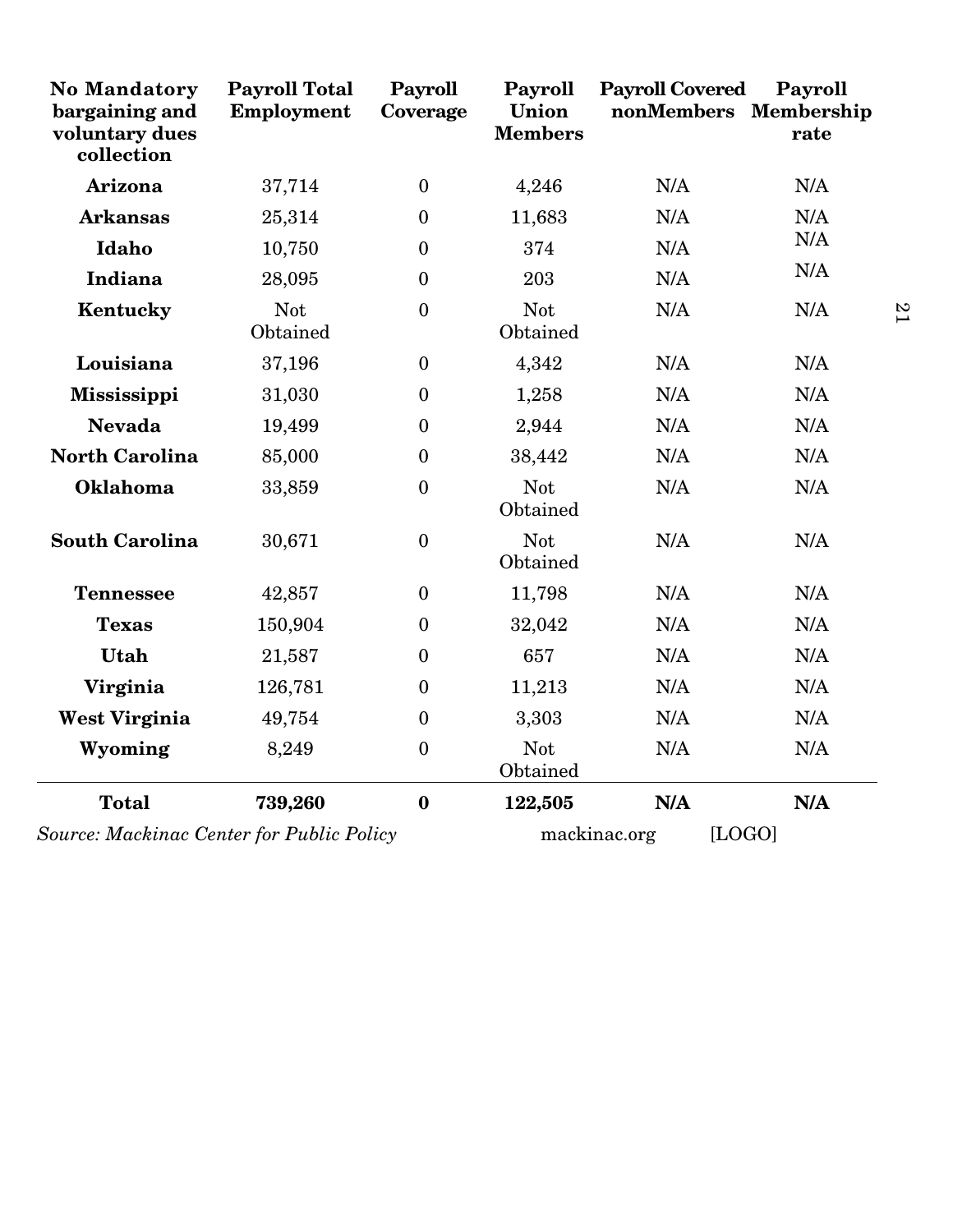| <b>No Mandatory</b><br>bargaining and<br>voluntary dues<br>collection | <b>Payroll Total</b><br>Employment | Payroll<br>Coverage | Payroll<br>Union<br><b>Members</b> | <b>Payroll Covered</b><br>nonMembers Membership | Payroll<br>rate |
|-----------------------------------------------------------------------|------------------------------------|---------------------|------------------------------------|-------------------------------------------------|-----------------|
| Arizona                                                               | 37,714                             | $\mathbf{0}$        | 4,246                              | N/A                                             | N/A             |
| <b>Arkansas</b>                                                       | 25,314                             | $\theta$            | 11,683                             | N/A                                             | N/A             |
| Idaho                                                                 | 10,750                             | $\overline{0}$      | 374                                | N/A                                             | N/A             |
| Indiana                                                               | 28,095                             | $\overline{0}$      | 203                                | N/A                                             | N/A             |
| Kentucky                                                              | <b>Not</b><br>Obtained             | $\overline{0}$      | <b>Not</b><br>Obtained             | N/A                                             | N/A             |
| Louisiana                                                             | 37,196                             | $\boldsymbol{0}$    | 4,342                              | N/A                                             | N/A             |
| <b>Mississippi</b>                                                    | 31,030                             | $\overline{0}$      | 1,258                              | N/A                                             | N/A             |
| <b>Nevada</b>                                                         | 19,499                             | $\boldsymbol{0}$    | 2,944                              | N/A                                             | N/A             |
| <b>North Carolina</b>                                                 | 85,000                             | $\mathbf{0}$        | 38,442                             | N/A                                             | N/A             |
| Oklahoma                                                              | 33,859                             | $\boldsymbol{0}$    | Not<br>Obtained                    | N/A                                             | N/A             |
| <b>South Carolina</b>                                                 | 30,671                             | $\mathbf{0}$        | <b>Not</b><br>Obtained             | N/A                                             | N/A             |
| <b>Tennessee</b>                                                      | 42,857                             | $\boldsymbol{0}$    | 11,798                             | N/A                                             | N/A             |
| <b>Texas</b>                                                          | 150,904                            | $\overline{0}$      | 32,042                             | N/A                                             | N/A             |
| Utah                                                                  | 21,587                             | $\boldsymbol{0}$    | 657                                | N/A                                             | N/A             |
| Virginia                                                              | 126,781                            | $\mathbf{0}$        | 11,213                             | N/A                                             | N/A             |
| <b>West Virginia</b>                                                  | 49,754                             | $\boldsymbol{0}$    | 3,303                              | N/A                                             | N/A             |
| Wyoming                                                               | 8,249                              | $\boldsymbol{0}$    | Not<br>Obtained                    | N/A                                             | N/A             |
| <b>Total</b>                                                          | 739,260                            | $\boldsymbol{0}$    | 122,505                            | N/A                                             | N/A             |
| Source: Mackinac Center for Public Policy                             |                                    |                     |                                    | mackinac.org                                    | [LOGO]          |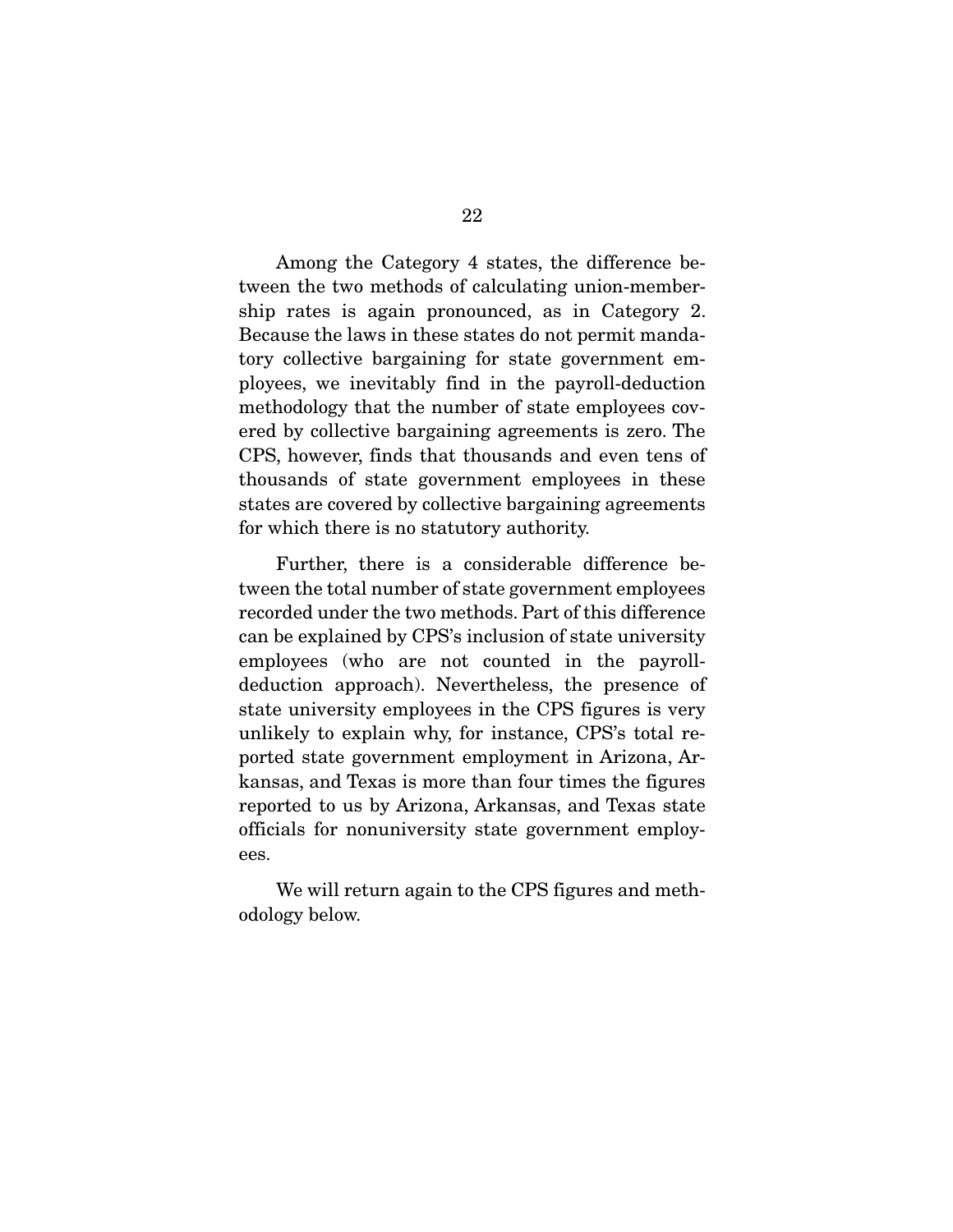Among the Category 4 states, the difference between the two methods of calculating union-membership rates is again pronounced, as in Category 2. Because the laws in these states do not permit mandatory collective bargaining for state government employees, we inevitably find in the payroll-deduction methodology that the number of state employees covered by collective bargaining agreements is zero. The CPS, however, finds that thousands and even tens of thousands of state government employees in these states are covered by collective bargaining agreements for which there is no statutory authority.

 Further, there is a considerable difference between the total number of state government employees recorded under the two methods. Part of this difference can be explained by CPS's inclusion of state university employees (who are not counted in the payrolldeduction approach). Nevertheless, the presence of state university employees in the CPS figures is very unlikely to explain why, for instance, CPS's total reported state government employment in Arizona, Arkansas, and Texas is more than four times the figures reported to us by Arizona, Arkansas, and Texas state officials for nonuniversity state government employees.

 We will return again to the CPS figures and methodology below.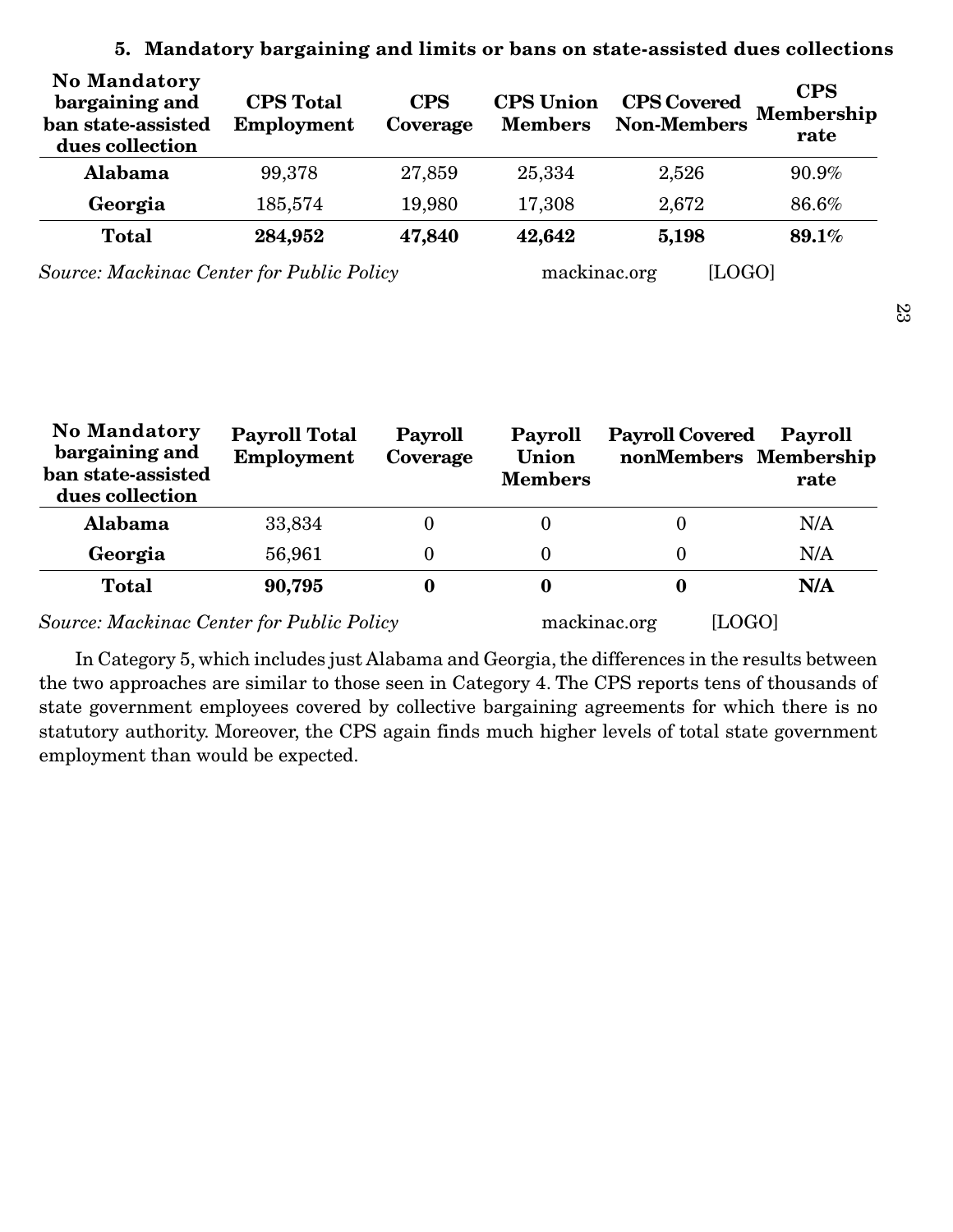| <b>No Mandatory</b><br>bargaining and<br>ban state-assisted<br>dues collection | <b>CPS</b> Total<br>Employment | <b>CPS</b><br>Coverage | <b>CPS</b> Union<br><b>Members</b> | <b>CPS Covered</b><br><b>Non-Members</b> | <b>CPS</b><br>Membership<br>rate |
|--------------------------------------------------------------------------------|--------------------------------|------------------------|------------------------------------|------------------------------------------|----------------------------------|
| Alabama                                                                        | 99,378                         | 27,859                 | 25,334                             | 2,526                                    | 90.9%                            |
| Georgia                                                                        | 185,574                        | 19,980                 | 17,308                             | 2,672                                    | 86.6%                            |
| <b>Total</b>                                                                   | 284,952                        | 47,840                 | 42,642                             | 5,198                                    | 89.1%                            |
| Source: Mackinac Center for Public Policy                                      |                                |                        | mackinac.org                       | [LOGO]                                   |                                  |

### **5. Mandatory bargaining and limits or bans on state-assisted dues collections**

| <b>No Mandatory</b><br>bargaining and<br>ban state-assisted<br>dues collection | <b>Payroll Total</b><br>Employment | <b>Payroll</b><br>Coverage | Payroll<br>Union<br><b>Members</b> | <b>Payroll Covered</b><br>nonMembers Membership | Payroll<br>rate |
|--------------------------------------------------------------------------------|------------------------------------|----------------------------|------------------------------------|-------------------------------------------------|-----------------|
| Alabama                                                                        | 33,834                             | $\bf{0}$                   | O                                  |                                                 | N/A             |
| Georgia                                                                        | 56,961                             | $\theta$                   | $\Omega$                           | 0                                               | N/A             |
| <b>Total</b>                                                                   | 90,795                             |                            | 0                                  |                                                 | N/A             |
| <b>Source: Mackinac Center for Public Policy</b>                               |                                    |                            |                                    | mackinac.org<br>[LOGO]                          |                 |

 In Category 5, which includes just Alabama and Georgia, the differences in the results between the two approaches are similar to those seen in Category 4. The CPS reports tens of thousands of state government employees covered by collective bargaining agreements for which there is no statutory authority. Moreover, the CPS again finds much higher levels of total state government employment than would be expected.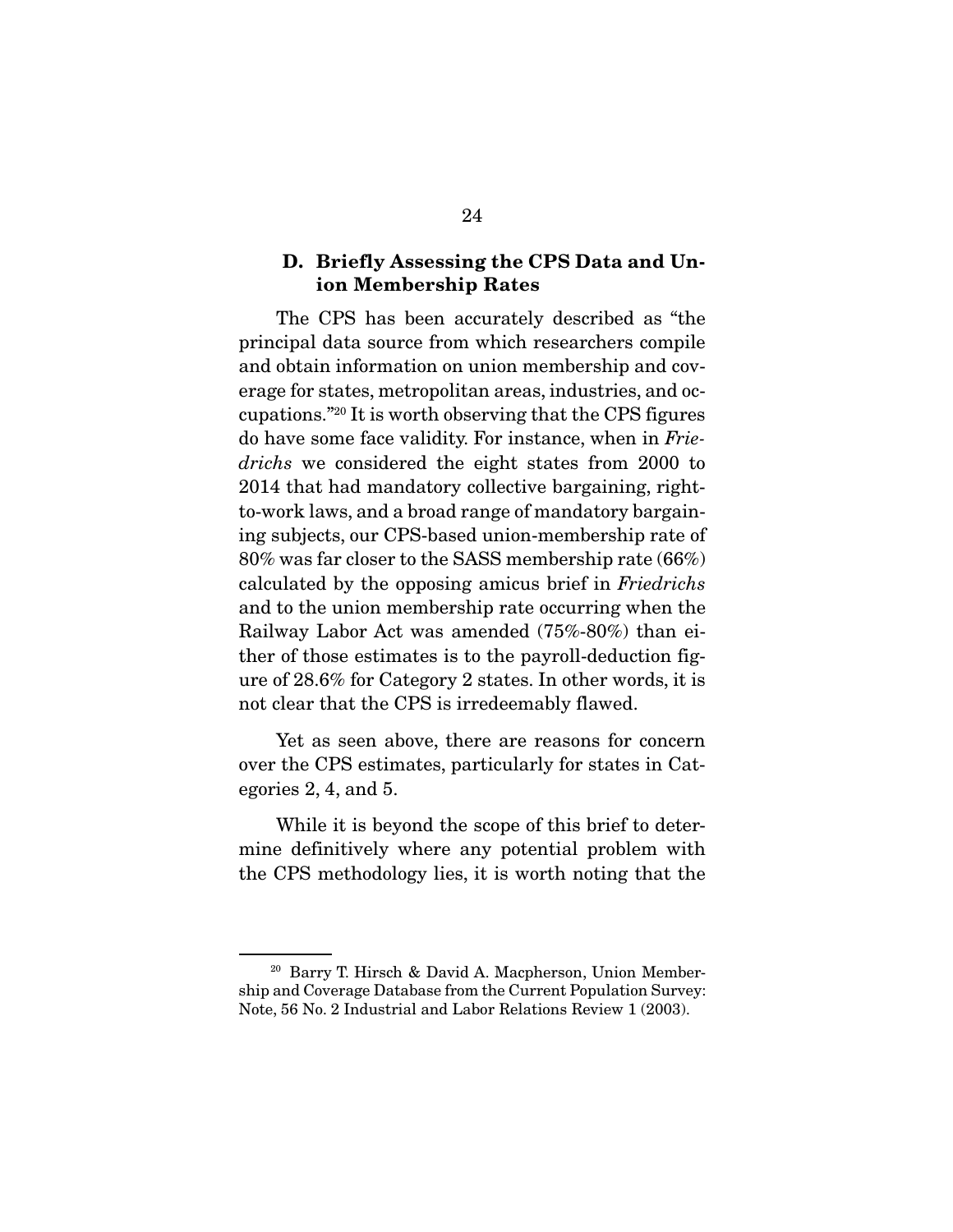### **D. Briefly Assessing the CPS Data and Union Membership Rates**

 The CPS has been accurately described as "the principal data source from which researchers compile and obtain information on union membership and coverage for states, metropolitan areas, industries, and occupations."20 It is worth observing that the CPS figures do have some face validity. For instance, when in Friedrichs we considered the eight states from 2000 to 2014 that had mandatory collective bargaining, rightto-work laws, and a broad range of mandatory bargaining subjects, our CPS-based union-membership rate of 80% was far closer to the SASS membership rate (66%) calculated by the opposing amicus brief in Friedrichs and to the union membership rate occurring when the Railway Labor Act was amended (75%-80%) than either of those estimates is to the payroll-deduction figure of 28.6% for Category 2 states. In other words, it is not clear that the CPS is irredeemably flawed.

 Yet as seen above, there are reasons for concern over the CPS estimates, particularly for states in Categories 2, 4, and 5.

 While it is beyond the scope of this brief to determine definitively where any potential problem with the CPS methodology lies, it is worth noting that the

<sup>20</sup> Barry T. Hirsch & David A. Macpherson, Union Membership and Coverage Database from the Current Population Survey: Note, 56 No. 2 Industrial and Labor Relations Review 1 (2003).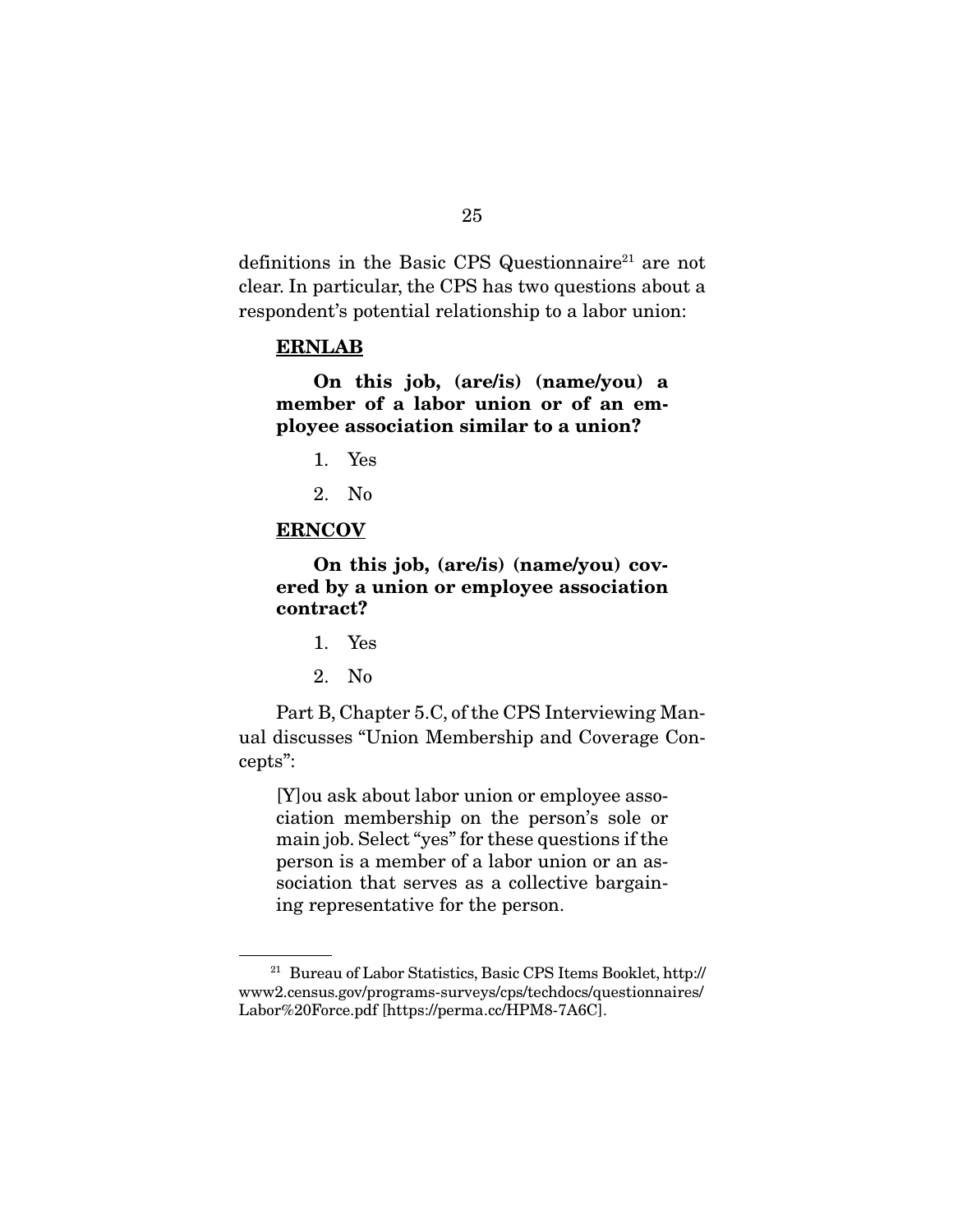definitions in the Basic CPS Questionnaire<sup>21</sup> are not clear. In particular, the CPS has two questions about a respondent's potential relationship to a labor union:

#### **ERNLAB**

 **On this job, (are/is) (name/you) a member of a labor union or of an employee association similar to a union?** 

- 1. Yes
- 2. No

#### **ERNCOV**

**On this job, (are/is) (name/you) covered by a union or employee association contract?** 

- 1. Yes
- 2. No

 Part B, Chapter 5.C, of the CPS Interviewing Manual discusses "Union Membership and Coverage Concepts":

[Y]ou ask about labor union or employee association membership on the person's sole or main job. Select "yes" for these questions if the person is a member of a labor union or an association that serves as a collective bargaining representative for the person.

<sup>21</sup> Bureau of Labor Statistics, Basic CPS Items Booklet, http:// www2.census.gov/programs-surveys/cps/techdocs/questionnaires/ Labor%20Force.pdf [https://perma.cc/HPM8-7A6C].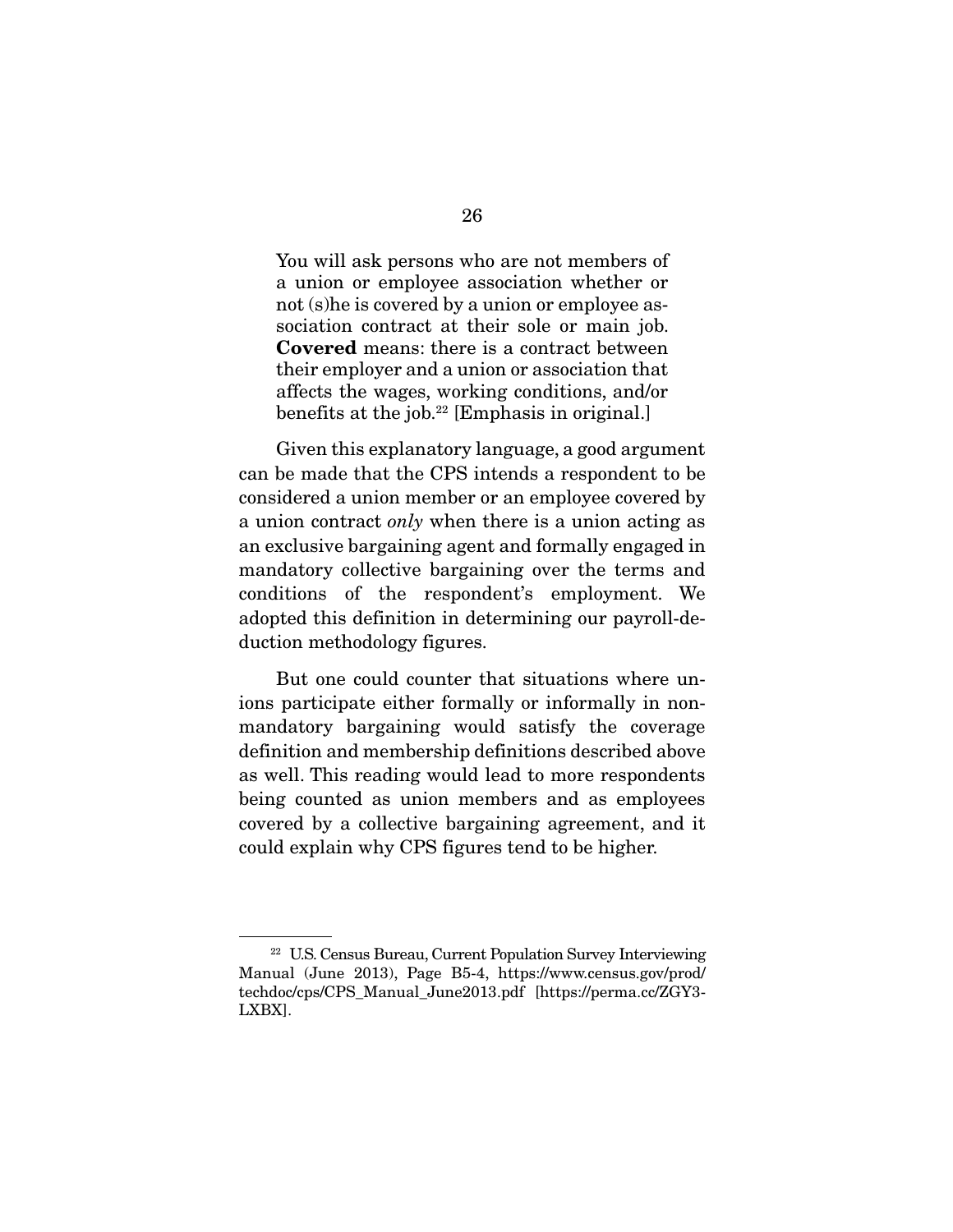You will ask persons who are not members of a union or employee association whether or not (s)he is covered by a union or employee association contract at their sole or main job. **Covered** means: there is a contract between their employer and a union or association that affects the wages, working conditions, and/or benefits at the job. $22$  [Emphasis in original.]

 Given this explanatory language, a good argument can be made that the CPS intends a respondent to be considered a union member or an employee covered by a union contract only when there is a union acting as an exclusive bargaining agent and formally engaged in mandatory collective bargaining over the terms and conditions of the respondent's employment. We adopted this definition in determining our payroll-deduction methodology figures.

 But one could counter that situations where unions participate either formally or informally in nonmandatory bargaining would satisfy the coverage definition and membership definitions described above as well. This reading would lead to more respondents being counted as union members and as employees covered by a collective bargaining agreement, and it could explain why CPS figures tend to be higher.

<sup>22</sup> U.S. Census Bureau, Current Population Survey Interviewing Manual (June 2013), Page B5-4, https://www.census.gov/prod/ techdoc/cps/CPS\_Manual\_June2013.pdf [https://perma.cc/ZGY3- LXBX].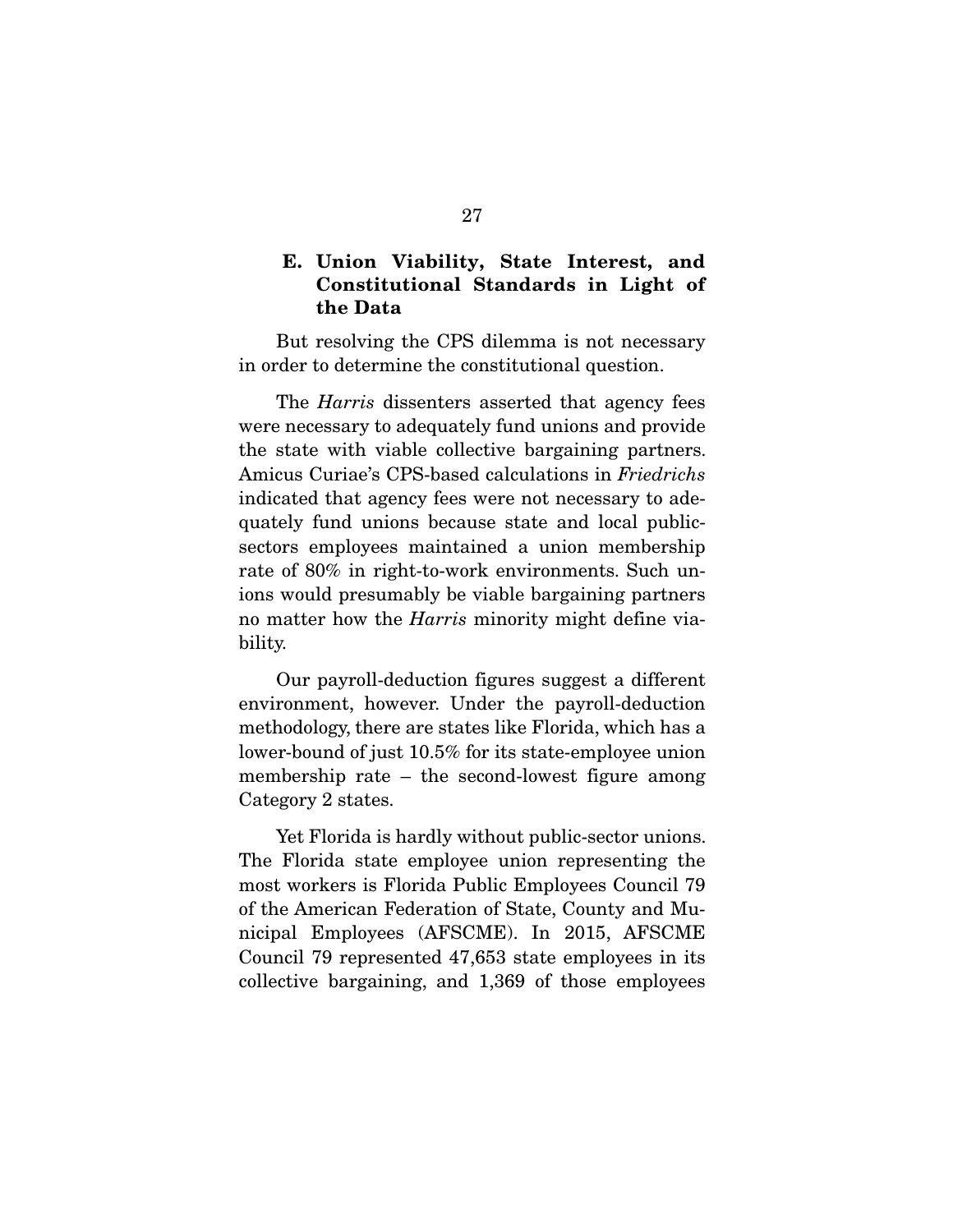### **E. Union Viability, State Interest, and Constitutional Standards in Light of the Data**

 But resolving the CPS dilemma is not necessary in order to determine the constitutional question.

The *Harris* dissenters asserted that agency fees were necessary to adequately fund unions and provide the state with viable collective bargaining partners. Amicus Curiae's CPS-based calculations in Friedrichs indicated that agency fees were not necessary to adequately fund unions because state and local publicsectors employees maintained a union membership rate of 80% in right-to-work environments. Such unions would presumably be viable bargaining partners no matter how the *Harris* minority might define viability.

 Our payroll-deduction figures suggest a different environment, however. Under the payroll-deduction methodology, there are states like Florida, which has a lower-bound of just 10.5% for its state-employee union membership rate – the second-lowest figure among Category 2 states.

 Yet Florida is hardly without public-sector unions. The Florida state employee union representing the most workers is Florida Public Employees Council 79 of the American Federation of State, County and Municipal Employees (AFSCME). In 2015, AFSCME Council 79 represented 47,653 state employees in its collective bargaining, and 1,369 of those employees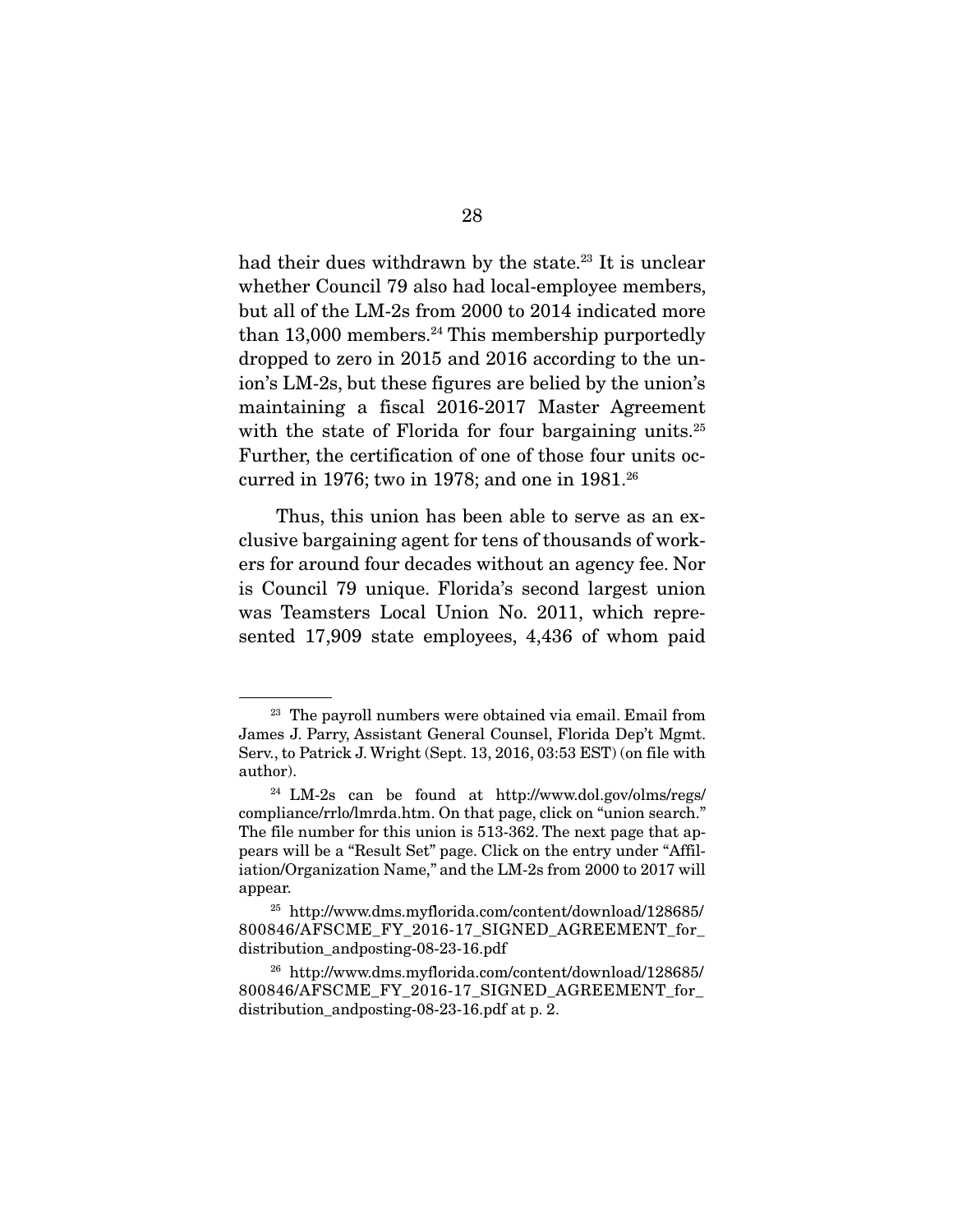had their dues withdrawn by the state.<sup>23</sup> It is unclear whether Council 79 also had local-employee members, but all of the LM-2s from 2000 to 2014 indicated more than  $13,000$  members.<sup>24</sup> This membership purportedly dropped to zero in 2015 and 2016 according to the union's LM-2s, but these figures are belied by the union's maintaining a fiscal 2016-2017 Master Agreement with the state of Florida for four bargaining units.<sup>25</sup> Further, the certification of one of those four units occurred in 1976; two in 1978; and one in 1981.<sup>26</sup>

 Thus, this union has been able to serve as an exclusive bargaining agent for tens of thousands of workers for around four decades without an agency fee. Nor is Council 79 unique. Florida's second largest union was Teamsters Local Union No. 2011, which represented 17,909 state employees, 4,436 of whom paid

<sup>&</sup>lt;sup>23</sup> The payroll numbers were obtained via email. Email from James J. Parry, Assistant General Counsel, Florida Dep't Mgmt. Serv., to Patrick J. Wright (Sept. 13, 2016, 03:53 EST) (on file with author).

<sup>24</sup> LM-2s can be found at http://www.dol.gov/olms/regs/ compliance/rrlo/lmrda.htm. On that page, click on "union search." The file number for this union is 513-362. The next page that appears will be a "Result Set" page. Click on the entry under "Affiliation/Organization Name," and the LM-2s from 2000 to 2017 will appear.

<sup>25</sup> http://www.dms.myflorida.com/content/download/128685/ 800846/AFSCME\_FY\_2016-17\_SIGNED\_AGREEMENT\_for\_ distribution\_andposting-08-23-16.pdf

<sup>26</sup> http://www.dms.myflorida.com/content/download/128685/ 800846/AFSCME\_FY\_2016-17\_SIGNED\_AGREEMENT\_for\_ distribution\_andposting-08-23-16.pdf at p. 2.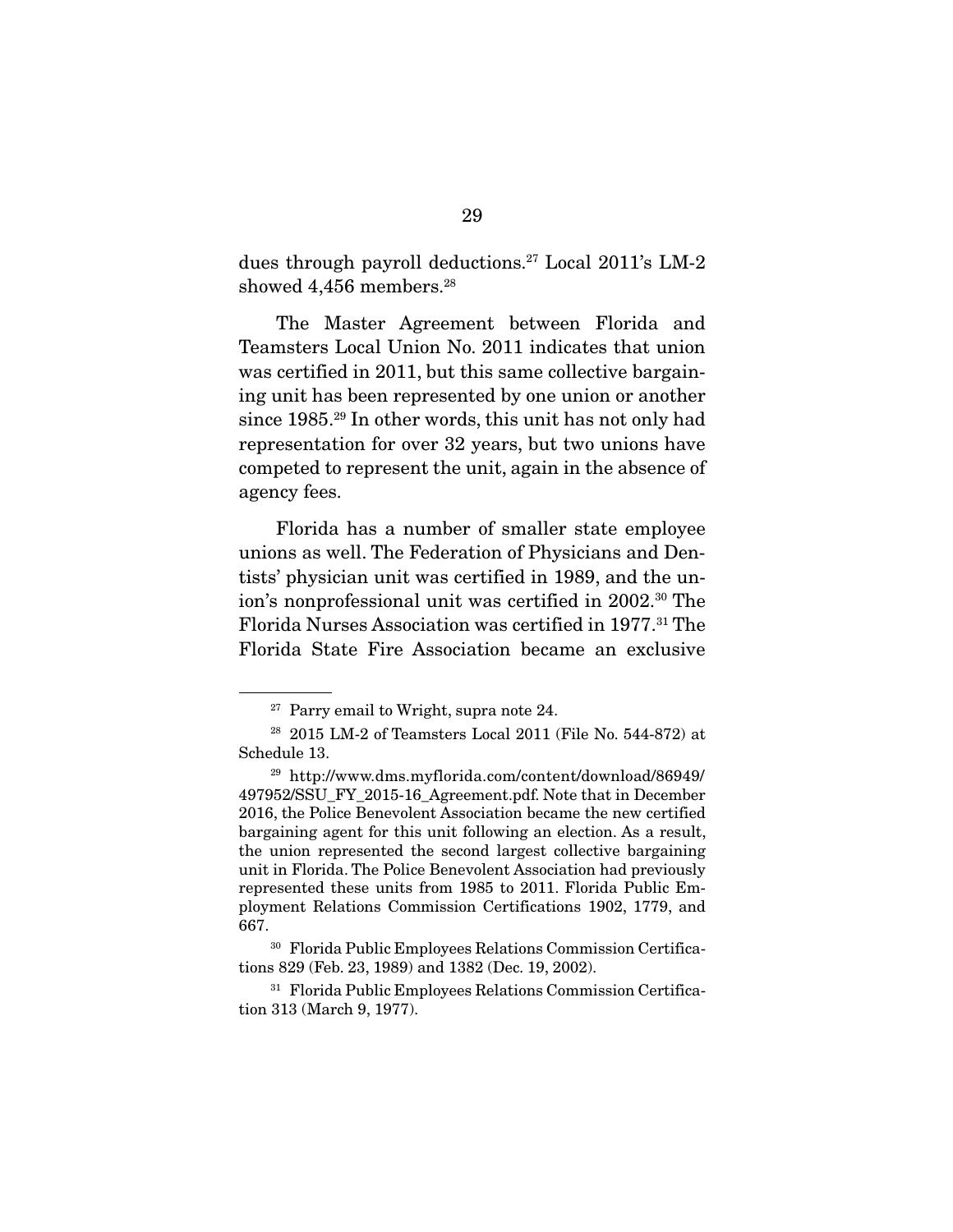dues through payroll deductions.27 Local 2011's LM-2 showed 4,456 members.<sup>28</sup>

 The Master Agreement between Florida and Teamsters Local Union No. 2011 indicates that union was certified in 2011, but this same collective bargaining unit has been represented by one union or another since 1985.29 In other words, this unit has not only had representation for over 32 years, but two unions have competed to represent the unit, again in the absence of agency fees.

 Florida has a number of smaller state employee unions as well. The Federation of Physicians and Dentists' physician unit was certified in 1989, and the union's nonprofessional unit was certified in 2002.<sup>30</sup> The Florida Nurses Association was certified in 1977.31 The Florida State Fire Association became an exclusive

 $27$  Parry email to Wright, supra note 24.

<sup>28 2015</sup> LM-2 of Teamsters Local 2011 (File No. 544-872) at Schedule 13.

<sup>29</sup> http://www.dms.myflorida.com/content/download/86949/ 497952/SSU\_FY\_2015-16\_Agreement.pdf. Note that in December 2016, the Police Benevolent Association became the new certified bargaining agent for this unit following an election. As a result, the union represented the second largest collective bargaining unit in Florida. The Police Benevolent Association had previously represented these units from 1985 to 2011. Florida Public Employment Relations Commission Certifications 1902, 1779, and 667.

<sup>30</sup> Florida Public Employees Relations Commission Certifications 829 (Feb. 23, 1989) and 1382 (Dec. 19, 2002).

<sup>31</sup> Florida Public Employees Relations Commission Certification 313 (March 9, 1977).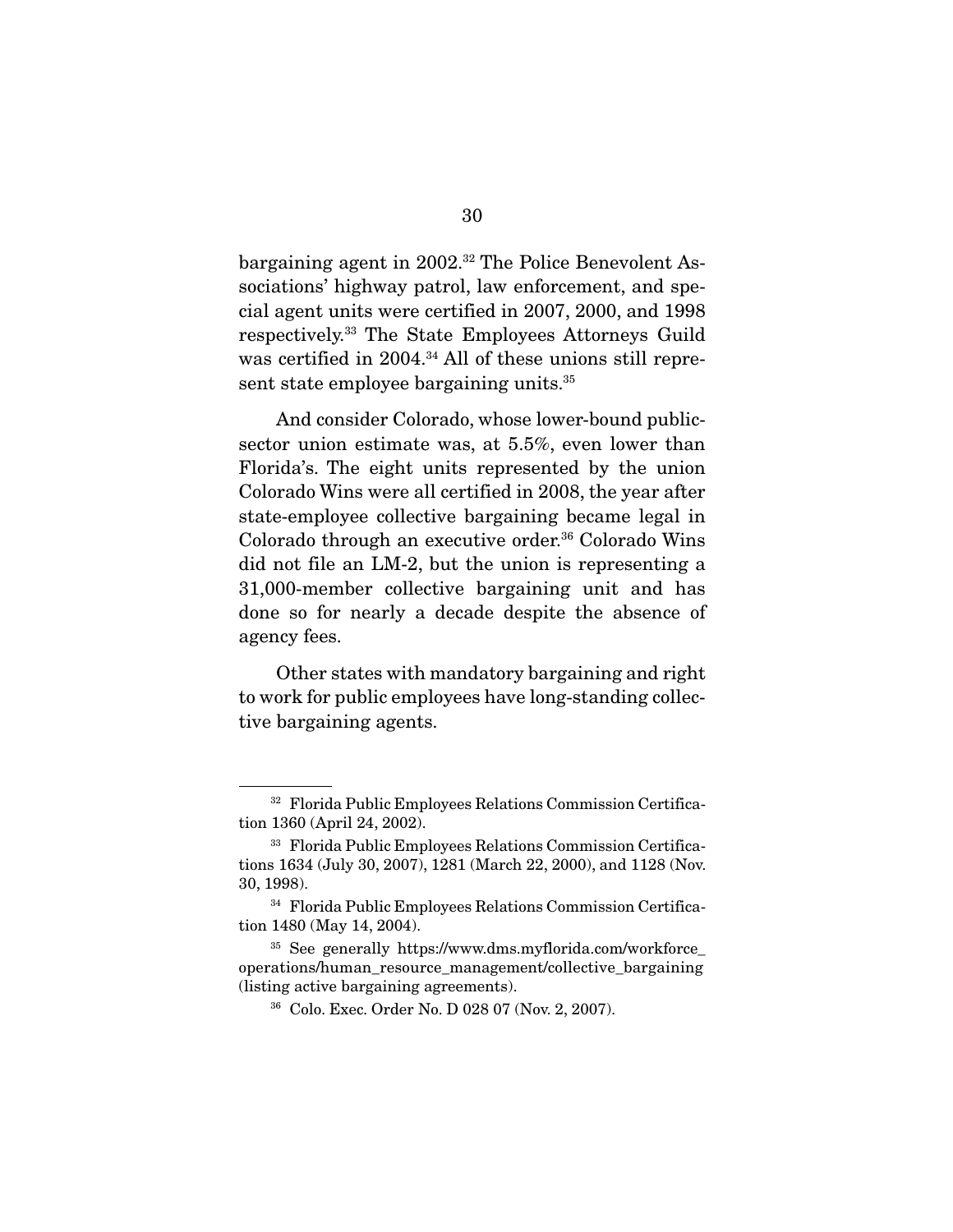bargaining agent in 2002.32 The Police Benevolent Associations' highway patrol, law enforcement, and special agent units were certified in 2007, 2000, and 1998 respectively.33 The State Employees Attorneys Guild was certified in 2004.34 All of these unions still represent state employee bargaining units.<sup>35</sup>

 And consider Colorado, whose lower-bound publicsector union estimate was, at 5.5%, even lower than Florida's. The eight units represented by the union Colorado Wins were all certified in 2008, the year after state-employee collective bargaining became legal in Colorado through an executive order.<sup>36</sup> Colorado Wins did not file an LM-2, but the union is representing a 31,000-member collective bargaining unit and has done so for nearly a decade despite the absence of agency fees.

 Other states with mandatory bargaining and right to work for public employees have long-standing collective bargaining agents.

<sup>32</sup> Florida Public Employees Relations Commission Certification 1360 (April 24, 2002).

<sup>33</sup> Florida Public Employees Relations Commission Certifications 1634 (July 30, 2007), 1281 (March 22, 2000), and 1128 (Nov. 30, 1998).

<sup>34</sup> Florida Public Employees Relations Commission Certification 1480 (May 14, 2004).

<sup>35</sup> See generally https://www.dms.myflorida.com/workforce\_ operations/human\_resource\_management/collective\_bargaining (listing active bargaining agreements).

<sup>36</sup> Colo. Exec. Order No. D 028 07 (Nov. 2, 2007).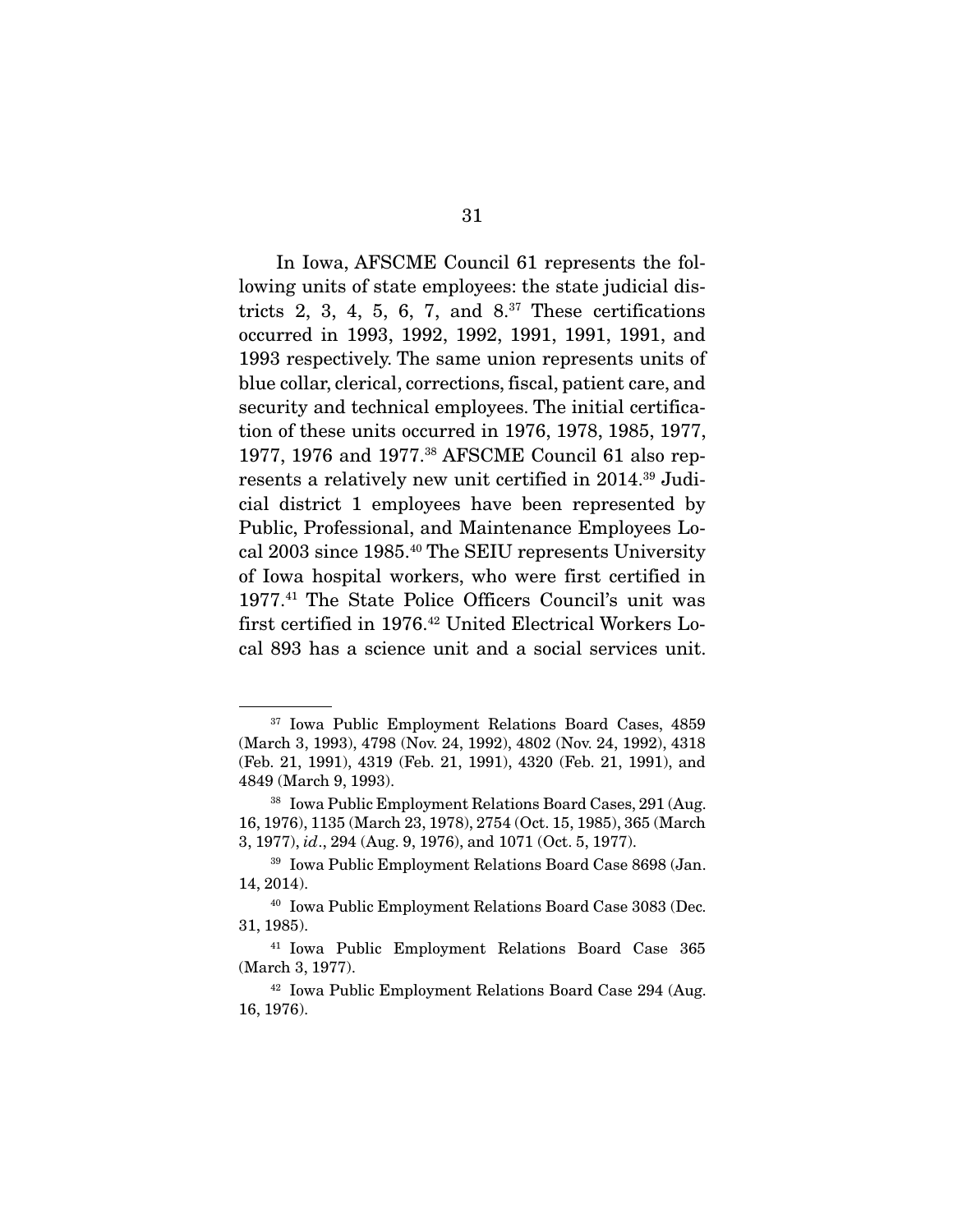In Iowa, AFSCME Council 61 represents the following units of state employees: the state judicial districts 2, 3, 4, 5, 6, 7, and  $8^{37}$  These certifications occurred in 1993, 1992, 1992, 1991, 1991, 1991, and 1993 respectively. The same union represents units of blue collar, clerical, corrections, fiscal, patient care, and security and technical employees. The initial certification of these units occurred in 1976, 1978, 1985, 1977, 1977, 1976 and 1977.38 AFSCME Council 61 also represents a relatively new unit certified in 2014.39 Judicial district 1 employees have been represented by Public, Professional, and Maintenance Employees Local 2003 since 1985.40 The SEIU represents University of Iowa hospital workers, who were first certified in 1977.41 The State Police Officers Council's unit was first certified in 1976.<sup>42</sup> United Electrical Workers Local 893 has a science unit and a social services unit.

<sup>37</sup> Iowa Public Employment Relations Board Cases, 4859 (March 3, 1993), 4798 (Nov. 24, 1992), 4802 (Nov. 24, 1992), 4318 (Feb. 21, 1991), 4319 (Feb. 21, 1991), 4320 (Feb. 21, 1991), and 4849 (March 9, 1993).

<sup>38</sup> Iowa Public Employment Relations Board Cases, 291 (Aug. 16, 1976), 1135 (March 23, 1978), 2754 (Oct. 15, 1985), 365 (March 3, 1977), id., 294 (Aug. 9, 1976), and 1071 (Oct. 5, 1977).

<sup>39</sup> Iowa Public Employment Relations Board Case 8698 (Jan. 14, 2014).

<sup>40</sup> Iowa Public Employment Relations Board Case 3083 (Dec. 31, 1985).

<sup>41</sup> Iowa Public Employment Relations Board Case 365 (March 3, 1977).

<sup>42</sup> Iowa Public Employment Relations Board Case 294 (Aug. 16, 1976).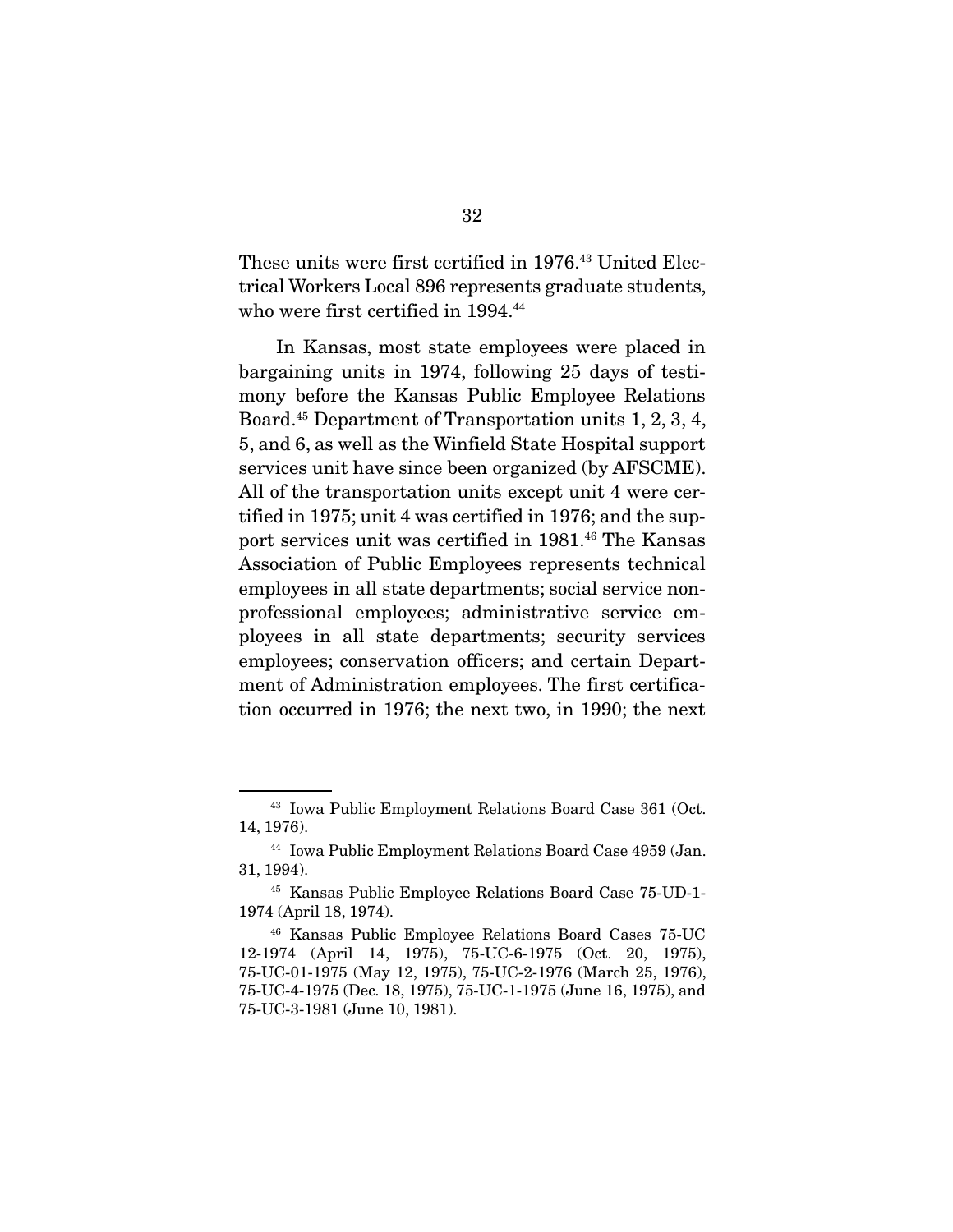These units were first certified in 1976.43 United Electrical Workers Local 896 represents graduate students, who were first certified in 1994.<sup>44</sup>

 In Kansas, most state employees were placed in bargaining units in 1974, following 25 days of testimony before the Kansas Public Employee Relations Board.45 Department of Transportation units 1, 2, 3, 4, 5, and 6, as well as the Winfield State Hospital support services unit have since been organized (by AFSCME). All of the transportation units except unit 4 were certified in 1975; unit 4 was certified in 1976; and the support services unit was certified in 1981.46 The Kansas Association of Public Employees represents technical employees in all state departments; social service nonprofessional employees; administrative service employees in all state departments; security services employees; conservation officers; and certain Department of Administration employees. The first certification occurred in 1976; the next two, in 1990; the next

<sup>43</sup> Iowa Public Employment Relations Board Case 361 (Oct. 14, 1976).

<sup>44</sup> Iowa Public Employment Relations Board Case 4959 (Jan. 31, 1994).

<sup>45</sup> Kansas Public Employee Relations Board Case 75-UD-1- 1974 (April 18, 1974).

<sup>46</sup> Kansas Public Employee Relations Board Cases 75-UC 12-1974 (April 14, 1975), 75-UC-6-1975 (Oct. 20, 1975), 75-UC-01-1975 (May 12, 1975), 75-UC-2-1976 (March 25, 1976), 75-UC-4-1975 (Dec. 18, 1975), 75-UC-1-1975 (June 16, 1975), and 75-UC-3-1981 (June 10, 1981).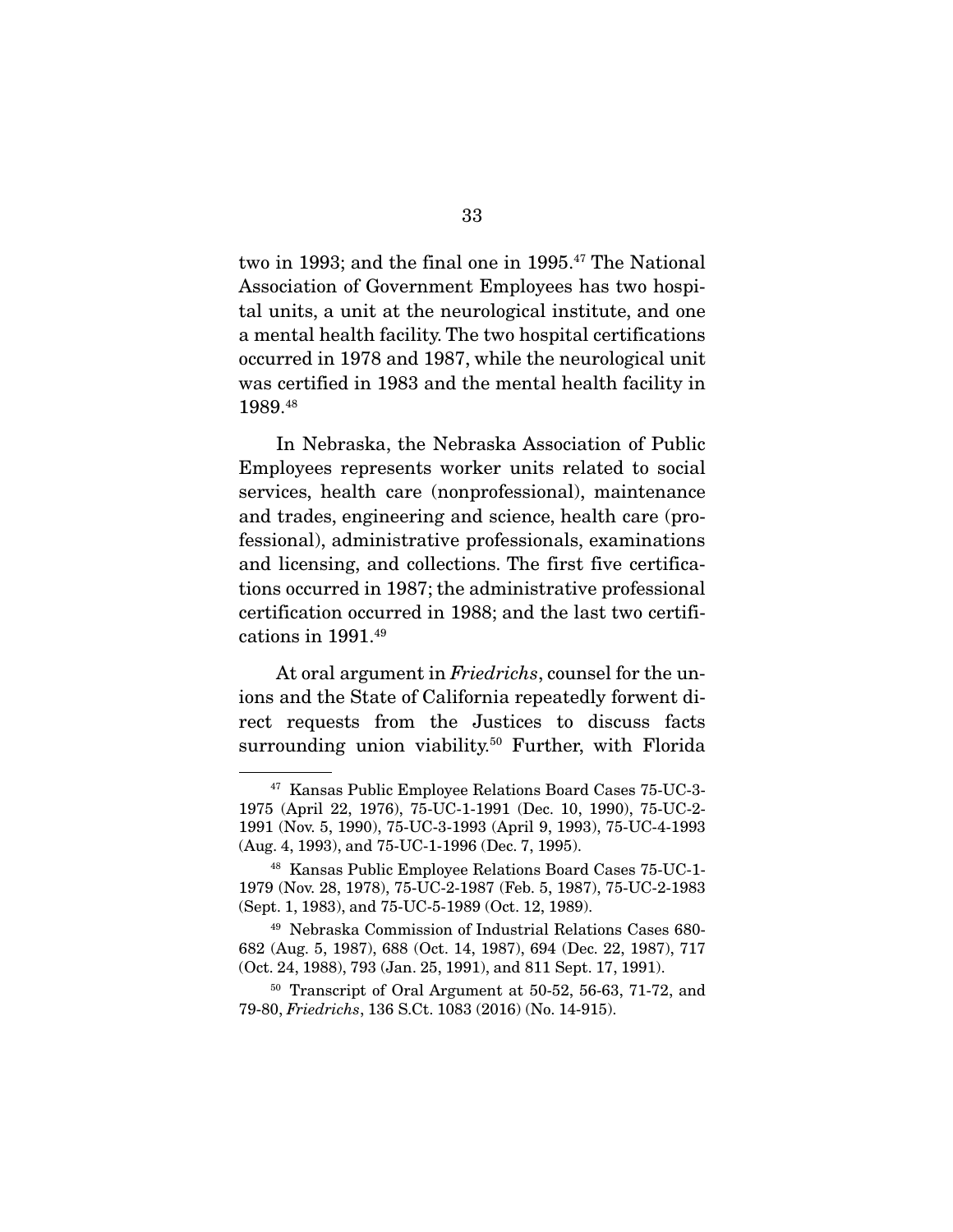two in 1993; and the final one in 1995.<sup>47</sup> The National Association of Government Employees has two hospital units, a unit at the neurological institute, and one a mental health facility. The two hospital certifications occurred in 1978 and 1987, while the neurological unit was certified in 1983 and the mental health facility in 1989.48

 In Nebraska, the Nebraska Association of Public Employees represents worker units related to social services, health care (nonprofessional), maintenance and trades, engineering and science, health care (professional), administrative professionals, examinations and licensing, and collections. The first five certifications occurred in 1987; the administrative professional certification occurred in 1988; and the last two certifications in 1991.49

At oral argument in Friedrichs, counsel for the unions and the State of California repeatedly forwent direct requests from the Justices to discuss facts surrounding union viability.<sup>50</sup> Further, with Florida

<sup>47</sup> Kansas Public Employee Relations Board Cases 75-UC-3- 1975 (April 22, 1976), 75-UC-1-1991 (Dec. 10, 1990), 75-UC-2- 1991 (Nov. 5, 1990), 75-UC-3-1993 (April 9, 1993), 75-UC-4-1993 (Aug. 4, 1993), and 75-UC-1-1996 (Dec. 7, 1995).

<sup>48</sup> Kansas Public Employee Relations Board Cases 75-UC-1- 1979 (Nov. 28, 1978), 75-UC-2-1987 (Feb. 5, 1987), 75-UC-2-1983 (Sept. 1, 1983), and 75-UC-5-1989 (Oct. 12, 1989).

<sup>49</sup> Nebraska Commission of Industrial Relations Cases 680- 682 (Aug. 5, 1987), 688 (Oct. 14, 1987), 694 (Dec. 22, 1987), 717 (Oct. 24, 1988), 793 (Jan. 25, 1991), and 811 Sept. 17, 1991).

<sup>50</sup> Transcript of Oral Argument at 50-52, 56-63, 71-72, and 79-80, Friedrichs, 136 S.Ct. 1083 (2016) (No. 14-915).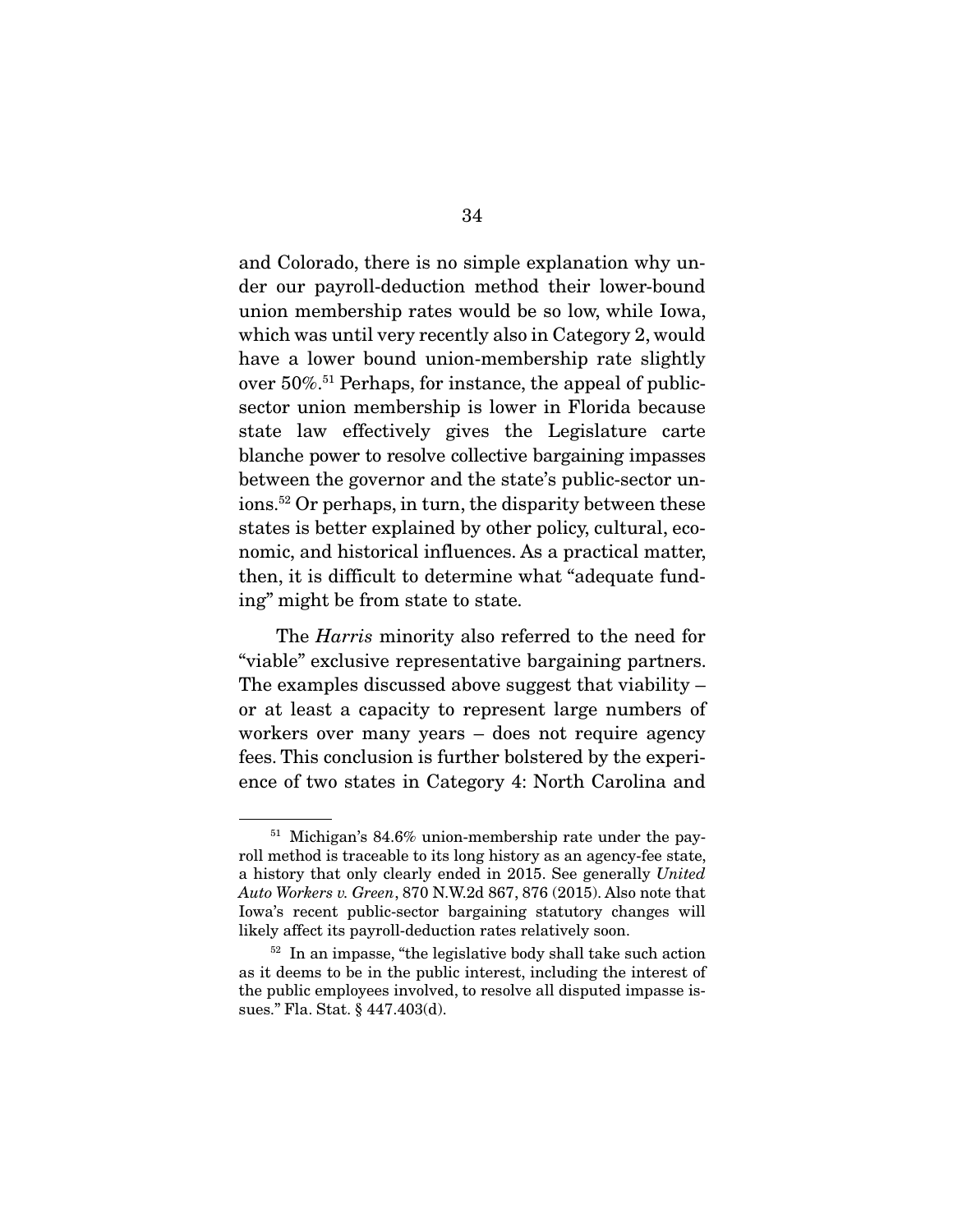and Colorado, there is no simple explanation why under our payroll-deduction method their lower-bound union membership rates would be so low, while Iowa, which was until very recently also in Category 2, would have a lower bound union-membership rate slightly over 50%.51 Perhaps, for instance, the appeal of publicsector union membership is lower in Florida because state law effectively gives the Legislature carte blanche power to resolve collective bargaining impasses between the governor and the state's public-sector unions.52 Or perhaps, in turn, the disparity between these states is better explained by other policy, cultural, economic, and historical influences. As a practical matter, then, it is difficult to determine what "adequate funding" might be from state to state.

The *Harris* minority also referred to the need for "viable" exclusive representative bargaining partners. The examples discussed above suggest that viability – or at least a capacity to represent large numbers of workers over many years – does not require agency fees. This conclusion is further bolstered by the experience of two states in Category 4: North Carolina and

<sup>51</sup> Michigan's 84.6% union-membership rate under the payroll method is traceable to its long history as an agency-fee state, a history that only clearly ended in 2015. See generally United Auto Workers v. Green, 870 N.W.2d 867, 876 (2015). Also note that Iowa's recent public-sector bargaining statutory changes will likely affect its payroll-deduction rates relatively soon.

 $52$  In an impasse, "the legislative body shall take such action as it deems to be in the public interest, including the interest of the public employees involved, to resolve all disputed impasse issues." Fla. Stat. § 447.403(d).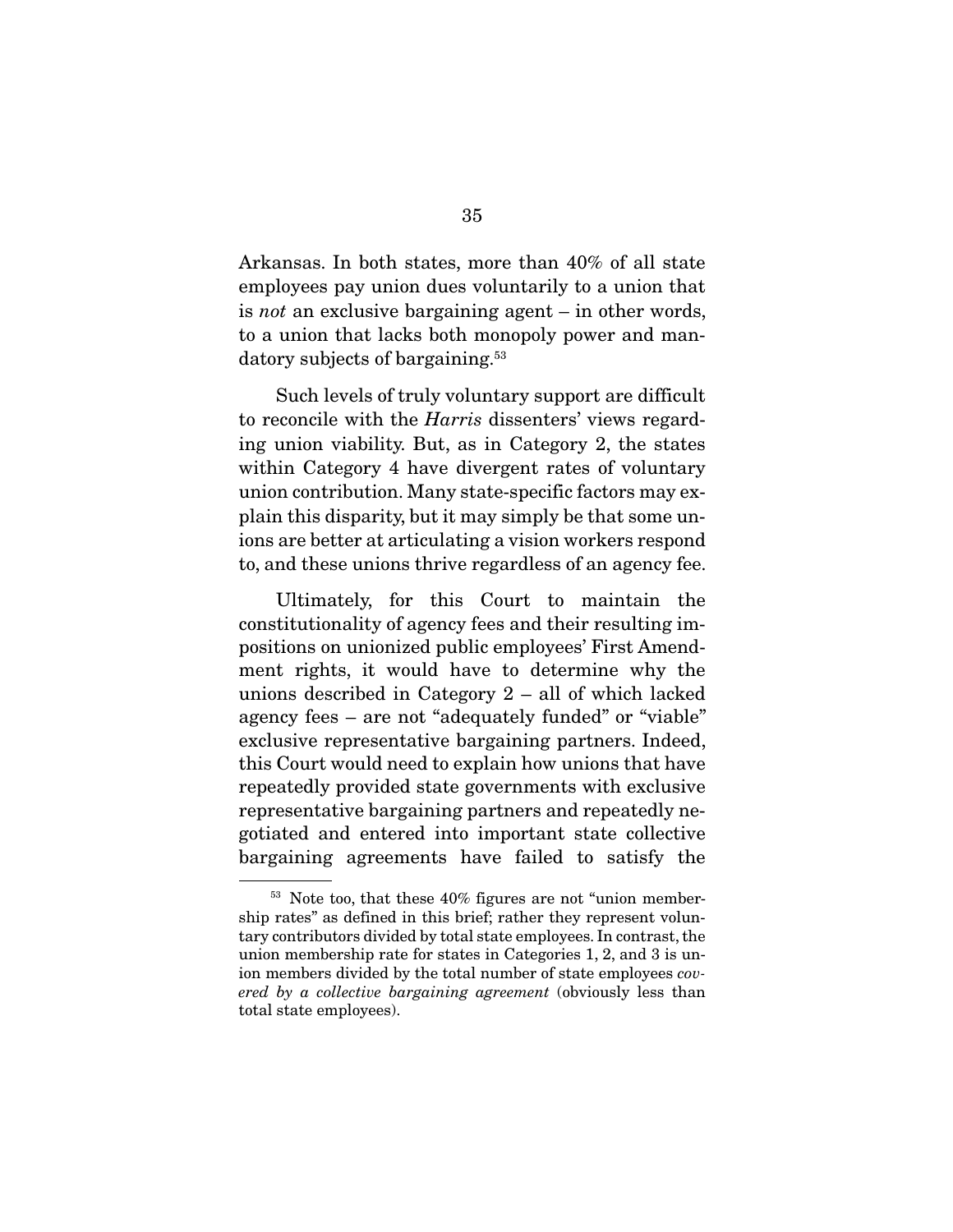Arkansas. In both states, more than 40% of all state employees pay union dues voluntarily to a union that is not an exclusive bargaining agent – in other words, to a union that lacks both monopoly power and mandatory subjects of bargaining.<sup>53</sup>

 Such levels of truly voluntary support are difficult to reconcile with the Harris dissenters' views regarding union viability. But, as in Category 2, the states within Category 4 have divergent rates of voluntary union contribution. Many state-specific factors may explain this disparity, but it may simply be that some unions are better at articulating a vision workers respond to, and these unions thrive regardless of an agency fee.

 Ultimately, for this Court to maintain the constitutionality of agency fees and their resulting impositions on unionized public employees' First Amendment rights, it would have to determine why the unions described in Category 2 – all of which lacked agency fees – are not "adequately funded" or "viable" exclusive representative bargaining partners. Indeed, this Court would need to explain how unions that have repeatedly provided state governments with exclusive representative bargaining partners and repeatedly negotiated and entered into important state collective bargaining agreements have failed to satisfy the

<sup>53</sup> Note too, that these 40% figures are not "union membership rates" as defined in this brief; rather they represent voluntary contributors divided by total state employees. In contrast, the union membership rate for states in Categories 1, 2, and 3 is union members divided by the total number of state employees covered by a collective bargaining agreement (obviously less than total state employees).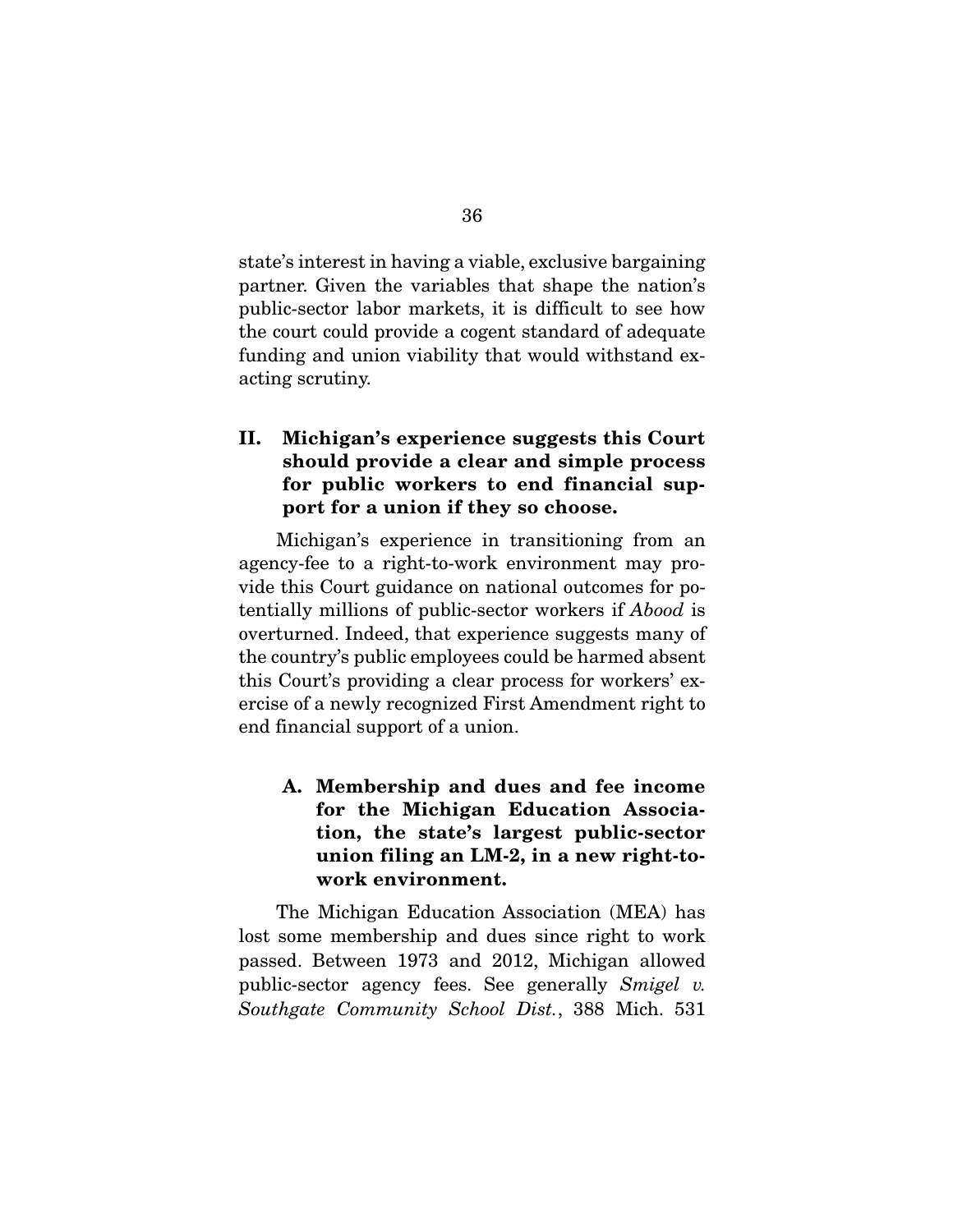state's interest in having a viable, exclusive bargaining partner. Given the variables that shape the nation's public-sector labor markets, it is difficult to see how the court could provide a cogent standard of adequate funding and union viability that would withstand exacting scrutiny.

### **II. Michigan's experience suggests this Court should provide a clear and simple process for public workers to end financial support for a union if they so choose.**

 Michigan's experience in transitioning from an agency-fee to a right-to-work environment may provide this Court guidance on national outcomes for potentially millions of public-sector workers if Abood is overturned. Indeed, that experience suggests many of the country's public employees could be harmed absent this Court's providing a clear process for workers' exercise of a newly recognized First Amendment right to end financial support of a union.

### **A. Membership and dues and fee income for the Michigan Education Association, the state's largest public-sector union filing an LM-2, in a new right-towork environment.**

 The Michigan Education Association (MEA) has lost some membership and dues since right to work passed. Between 1973 and 2012, Michigan allowed public-sector agency fees. See generally Smigel v. Southgate Community School Dist., 388 Mich. 531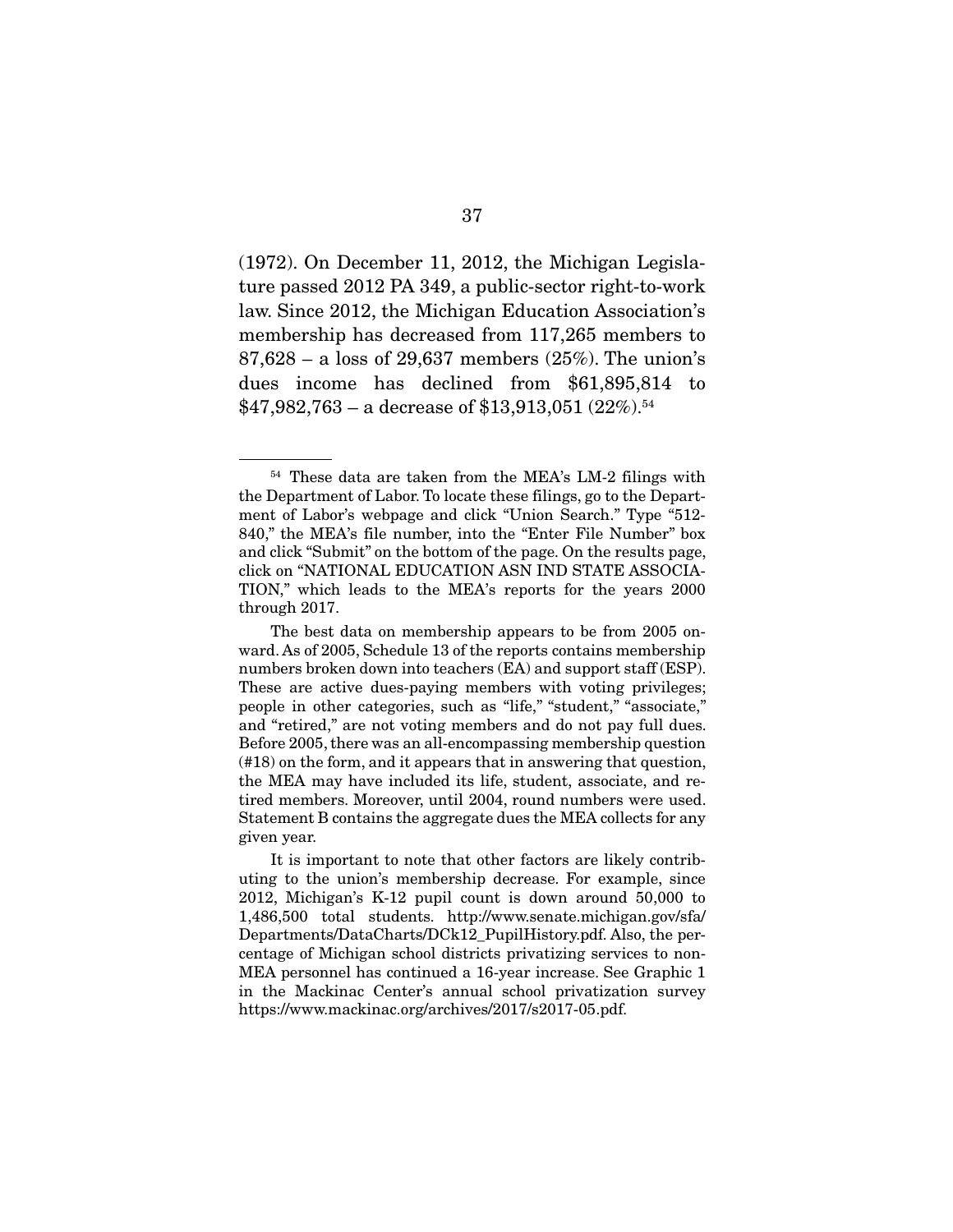(1972). On December 11, 2012, the Michigan Legislature passed 2012 PA 349, a public-sector right-to-work law. Since 2012, the Michigan Education Association's membership has decreased from 117,265 members to 87,628 – a loss of 29,637 members (25%). The union's dues income has declined from \$61,895,814 to  $$47,982,763 - a$  decrease of \$13,913,051 (22%).<sup>54</sup>

<sup>54</sup> These data are taken from the MEA's LM-2 filings with the Department of Labor. To locate these filings, go to the Department of Labor's webpage and click "Union Search." Type "512- 840," the MEA's file number, into the "Enter File Number" box and click "Submit" on the bottom of the page. On the results page, click on "NATIONAL EDUCATION ASN IND STATE ASSOCIA-TION," which leads to the MEA's reports for the years 2000 through 2017.

The best data on membership appears to be from 2005 onward. As of 2005, Schedule 13 of the reports contains membership numbers broken down into teachers (EA) and support staff (ESP). These are active dues-paying members with voting privileges; people in other categories, such as "life," "student," "associate," and "retired," are not voting members and do not pay full dues. Before 2005, there was an all-encompassing membership question (#18) on the form, and it appears that in answering that question, the MEA may have included its life, student, associate, and retired members. Moreover, until 2004, round numbers were used. Statement B contains the aggregate dues the MEA collects for any given year.

It is important to note that other factors are likely contributing to the union's membership decrease. For example, since 2012, Michigan's K-12 pupil count is down around 50,000 to 1,486,500 total students. http://www.senate.michigan.gov/sfa/ Departments/DataCharts/DCk12\_PupilHistory.pdf. Also, the percentage of Michigan school districts privatizing services to non-MEA personnel has continued a 16-year increase. See Graphic 1 in the Mackinac Center's annual school privatization survey https://www.mackinac.org/archives/2017/s2017-05.pdf.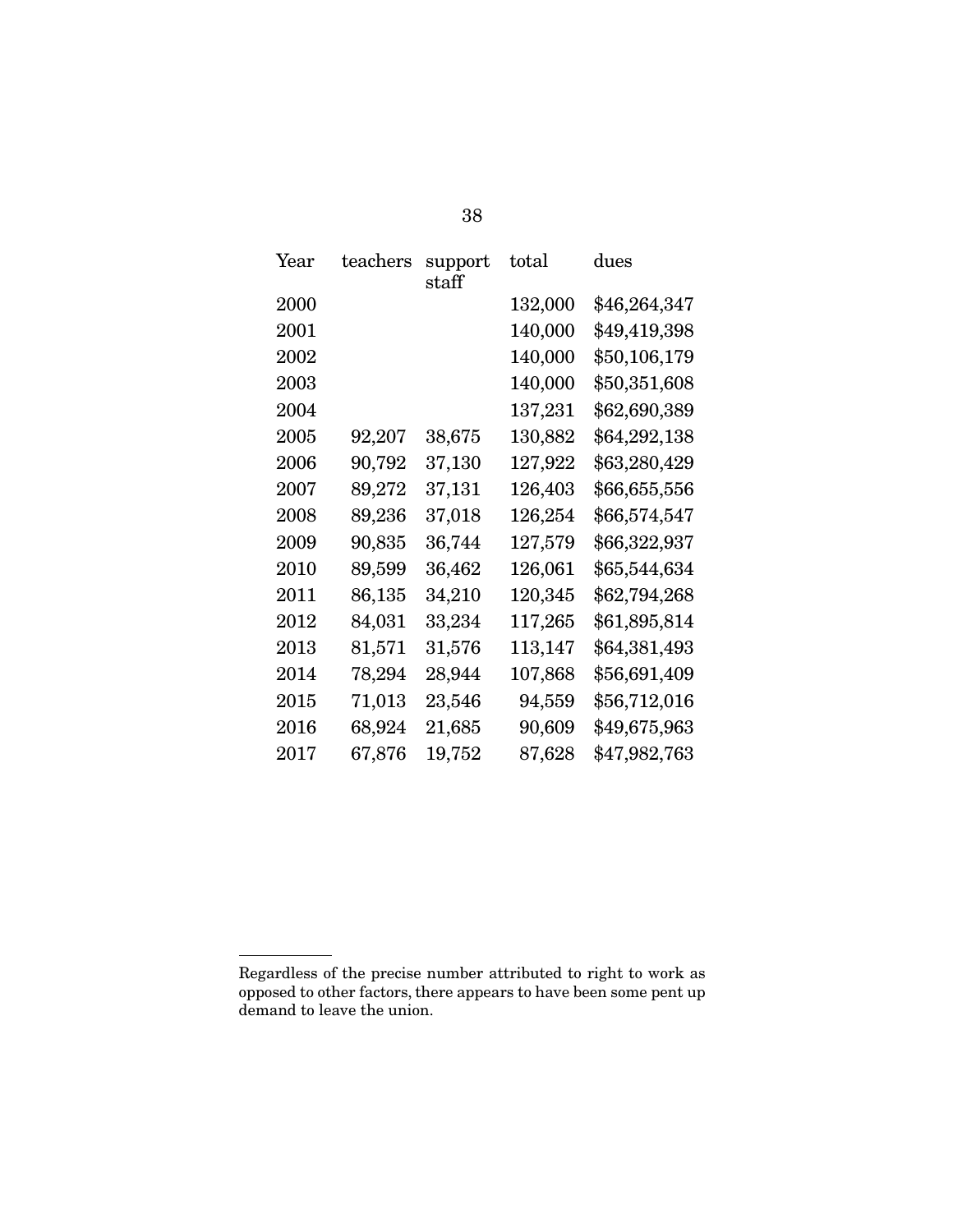| Year     | teachers   | support<br>staff | total   | dues         |
|----------|------------|------------------|---------|--------------|
| 2000     |            |                  | 132,000 | \$46,264,347 |
| 2001     |            |                  | 140,000 | \$49,419,398 |
| 2002     |            |                  | 140,000 | \$50,106,179 |
| 2003     |            |                  | 140,000 | \$50,351,608 |
| 2004     |            |                  | 137,231 | \$62,690,389 |
| 2005     | 92,207     | 38,675           | 130,882 | \$64,292,138 |
| 2006     | 90,792     | 37,130           | 127,922 | \$63,280,429 |
| 2007     | 89,272     | 37,131           | 126,403 | \$66,655,556 |
| 2008     | 89,236     | 37,018           | 126,254 | \$66,574,547 |
| 2009     | 90,835     | 36,744           | 127,579 | \$66,322,937 |
| 2010     | 89,599     | 36,462           | 126,061 | \$65,544,634 |
| 2011     | 86,135     | 34,210           | 120,345 | \$62,794,268 |
| 2012     | 84,031     | 33,234           | 117,265 | \$61,895,814 |
| 2013     | $81,\!571$ | 31,576           | 113,147 | \$64,381,493 |
| 2014     | 78,294     | 28,944           | 107,868 | \$56,691,409 |
| $2015\,$ | $71,\!013$ | 23,546           | 94,559  | \$56,712,016 |
| 2016     | 68,924     | 21,685           | 90,609  | \$49,675,963 |
| 2017     | 67,876     | 19,752           | 87,628  | \$47,982,763 |
|          |            |                  |         |              |

38

Regardless of the precise number attributed to right to work as opposed to other factors, there appears to have been some pent up demand to leave the union.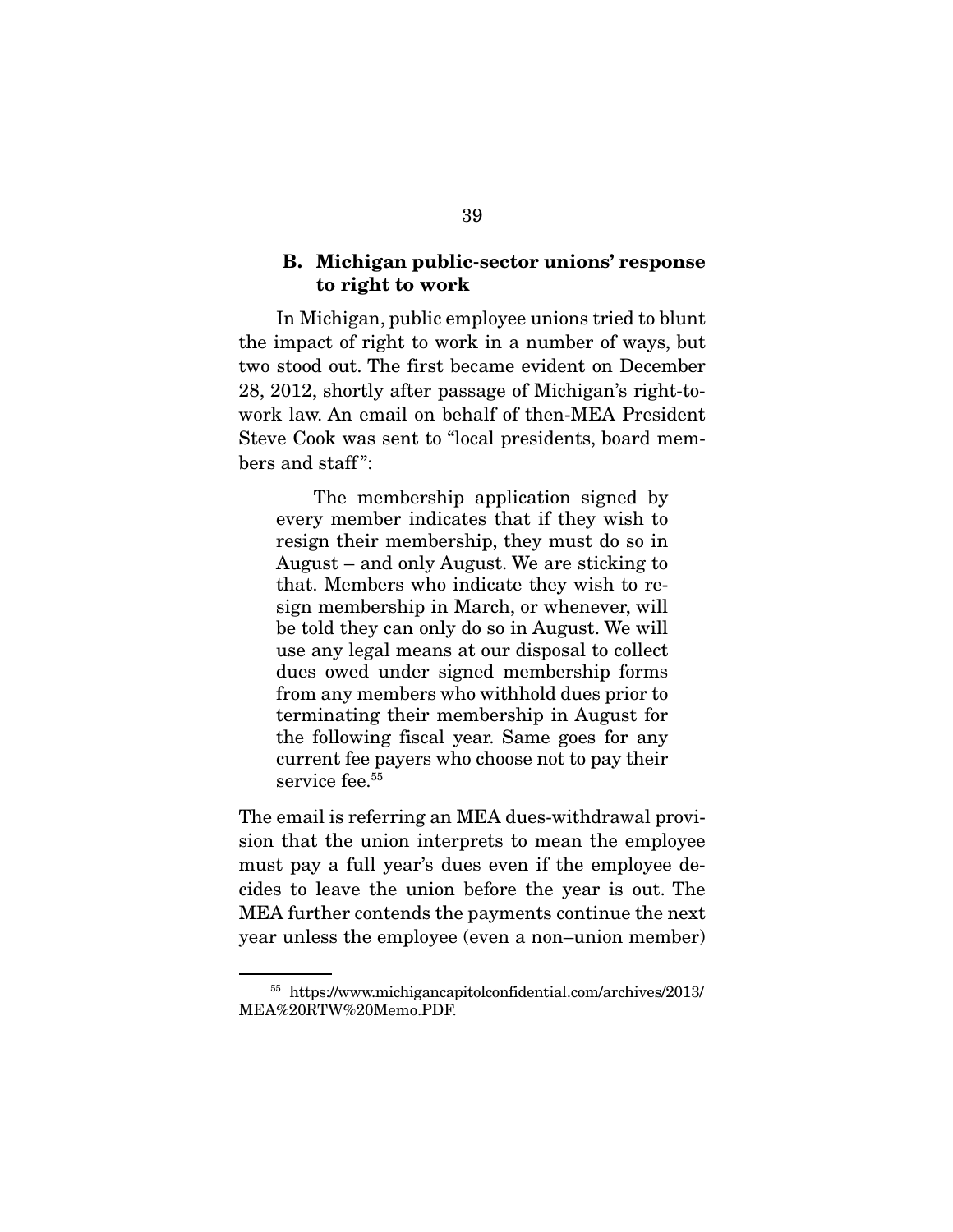#### **B. Michigan public-sector unions' response to right to work**

 In Michigan, public employee unions tried to blunt the impact of right to work in a number of ways, but two stood out. The first became evident on December 28, 2012, shortly after passage of Michigan's right-towork law. An email on behalf of then-MEA President Steve Cook was sent to "local presidents, board members and staff":

 The membership application signed by every member indicates that if they wish to resign their membership, they must do so in August – and only August. We are sticking to that. Members who indicate they wish to resign membership in March, or whenever, will be told they can only do so in August. We will use any legal means at our disposal to collect dues owed under signed membership forms from any members who withhold dues prior to terminating their membership in August for the following fiscal year. Same goes for any current fee payers who choose not to pay their service fee.<sup>55</sup>

The email is referring an MEA dues-withdrawal provision that the union interprets to mean the employee must pay a full year's dues even if the employee decides to leave the union before the year is out. The MEA further contends the payments continue the next year unless the employee (even a non–union member)

<sup>55</sup> https://www.michigancapitolconfidential.com/archives/2013/ MEA%20RTW%20Memo.PDF.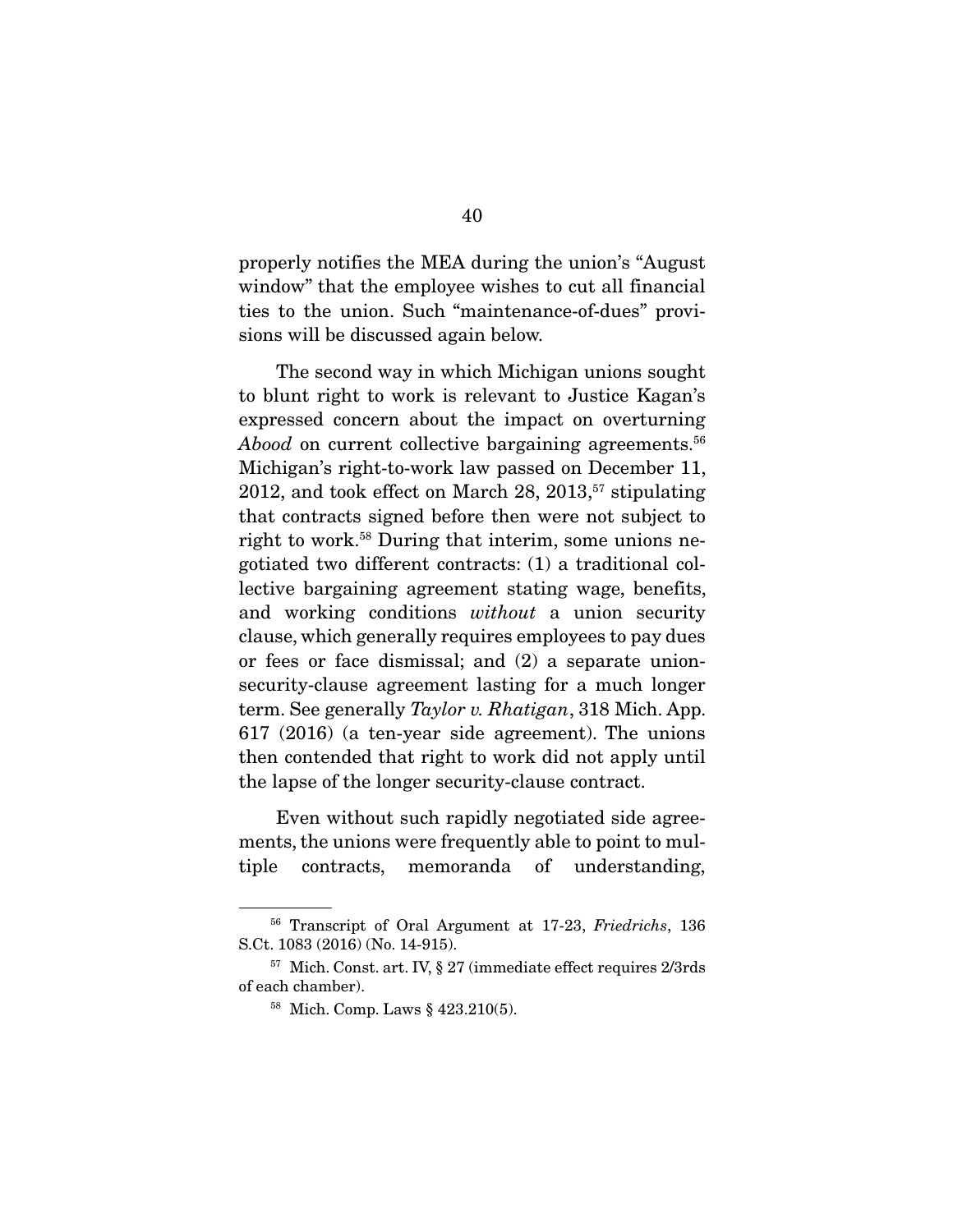properly notifies the MEA during the union's "August window" that the employee wishes to cut all financial ties to the union. Such "maintenance-of-dues" provisions will be discussed again below.

 The second way in which Michigan unions sought to blunt right to work is relevant to Justice Kagan's expressed concern about the impact on overturning Abood on current collective bargaining agreements.<sup>56</sup> Michigan's right-to-work law passed on December 11, 2012, and took effect on March  $28$ ,  $2013$ ,  $57$  stipulating that contracts signed before then were not subject to right to work.58 During that interim, some unions negotiated two different contracts: (1) a traditional collective bargaining agreement stating wage, benefits, and working conditions without a union security clause, which generally requires employees to pay dues or fees or face dismissal; and (2) a separate unionsecurity-clause agreement lasting for a much longer term. See generally Taylor v. Rhatigan, 318 Mich. App. 617 (2016) (a ten-year side agreement). The unions then contended that right to work did not apply until the lapse of the longer security-clause contract.

 Even without such rapidly negotiated side agreements, the unions were frequently able to point to multiple contracts, memoranda of understanding,

<sup>56</sup> Transcript of Oral Argument at 17-23, Friedrichs, 136 S.Ct. 1083 (2016) (No. 14-915).

<sup>57</sup> Mich. Const. art. IV, § 27 (immediate effect requires 2/3rds of each chamber).

<sup>58</sup> Mich. Comp. Laws § 423.210(5).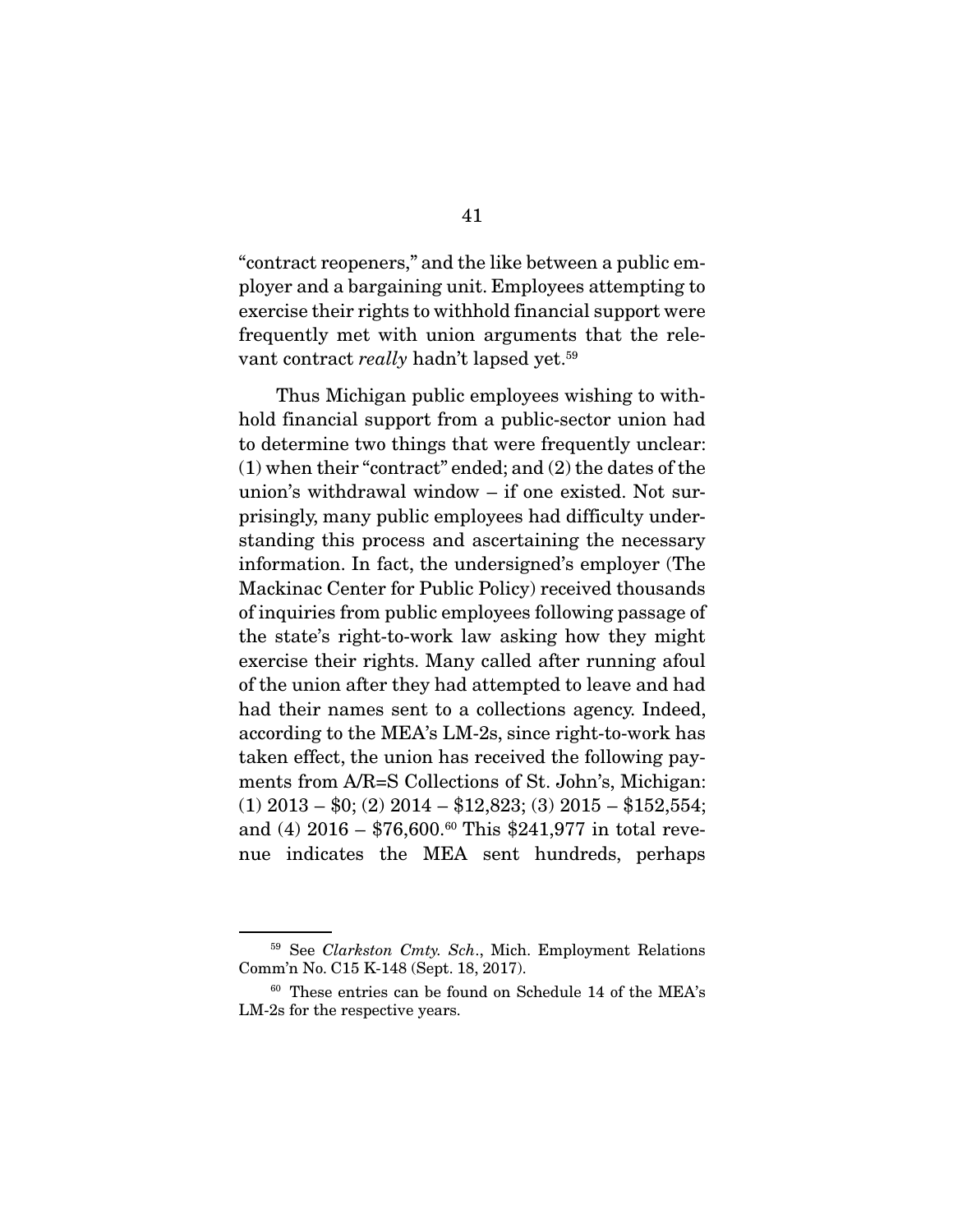"contract reopeners," and the like between a public employer and a bargaining unit. Employees attempting to exercise their rights to withhold financial support were frequently met with union arguments that the relevant contract really hadn't lapsed yet.<sup>59</sup>

 Thus Michigan public employees wishing to withhold financial support from a public-sector union had to determine two things that were frequently unclear: (1) when their "contract" ended; and (2) the dates of the union's withdrawal window – if one existed. Not surprisingly, many public employees had difficulty understanding this process and ascertaining the necessary information. In fact, the undersigned's employer (The Mackinac Center for Public Policy) received thousands of inquiries from public employees following passage of the state's right-to-work law asking how they might exercise their rights. Many called after running afoul of the union after they had attempted to leave and had had their names sent to a collections agency. Indeed, according to the MEA's LM-2s, since right-to-work has taken effect, the union has received the following payments from A/R=S Collections of St. John's, Michigan:  $(1)$  2013 – \$0; (2) 2014 – \$12,823; (3) 2015 – \$152,554; and (4) 2016 – \$76,600.<sup>60</sup> This \$241,977 in total revenue indicates the MEA sent hundreds, perhaps

<sup>&</sup>lt;sup>59</sup> See Clarkston Cmty. Sch., Mich. Employment Relations Comm'n No. C15 K-148 (Sept. 18, 2017).

<sup>60</sup> These entries can be found on Schedule 14 of the MEA's LM-2s for the respective years.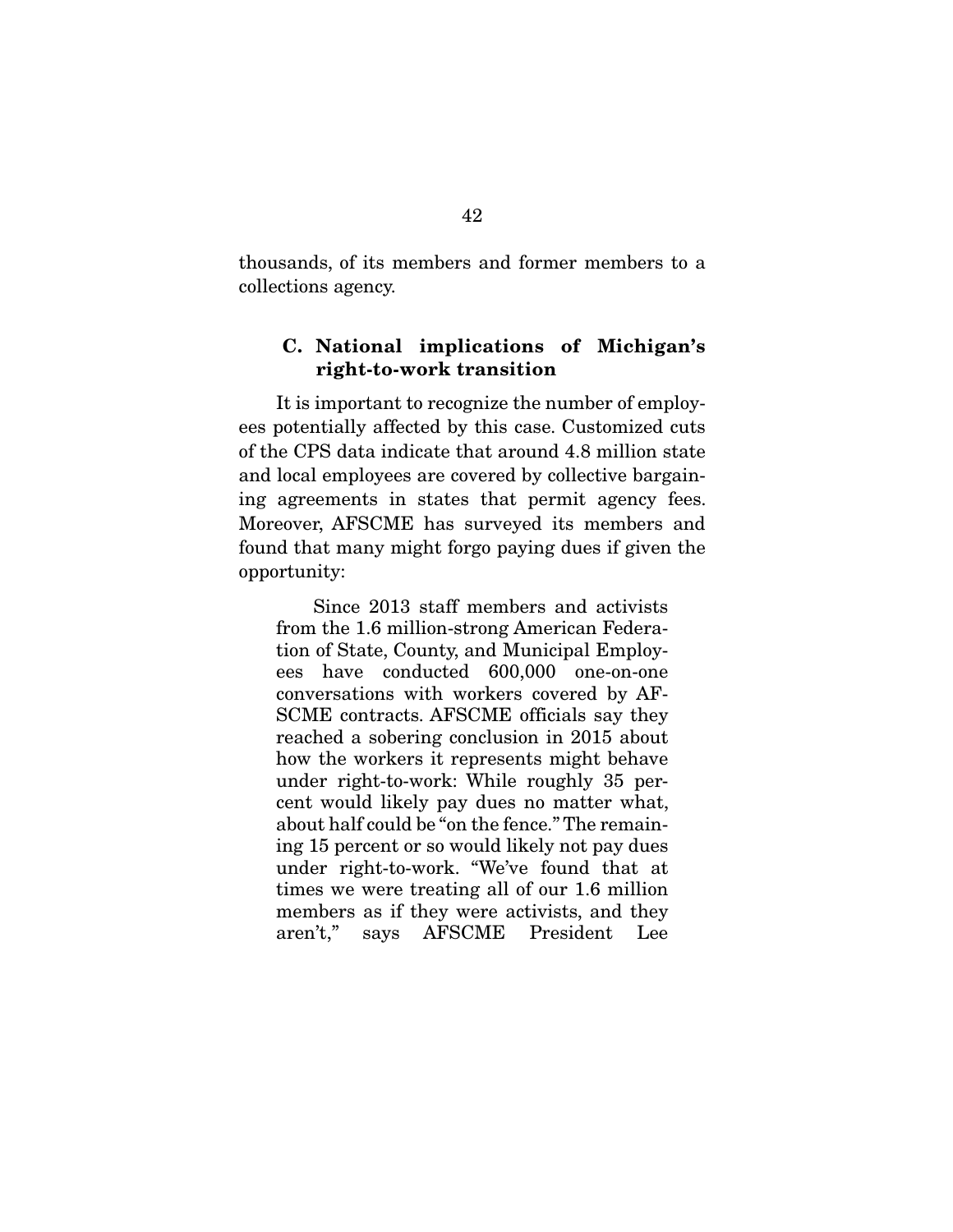thousands, of its members and former members to a collections agency.

### **C. National implications of Michigan's right-to-work transition**

 It is important to recognize the number of employees potentially affected by this case. Customized cuts of the CPS data indicate that around 4.8 million state and local employees are covered by collective bargaining agreements in states that permit agency fees. Moreover, AFSCME has surveyed its members and found that many might forgo paying dues if given the opportunity:

 Since 2013 staff members and activists from the 1.6 million-strong American Federation of State, County, and Municipal Employees have conducted 600,000 one-on-one conversations with workers covered by AF-SCME contracts. AFSCME officials say they reached a sobering conclusion in 2015 about how the workers it represents might behave under right-to-work: While roughly 35 percent would likely pay dues no matter what, about half could be "on the fence." The remaining 15 percent or so would likely not pay dues under right-to-work. "We've found that at times we were treating all of our 1.6 million members as if they were activists, and they aren't," says AFSCME President Lee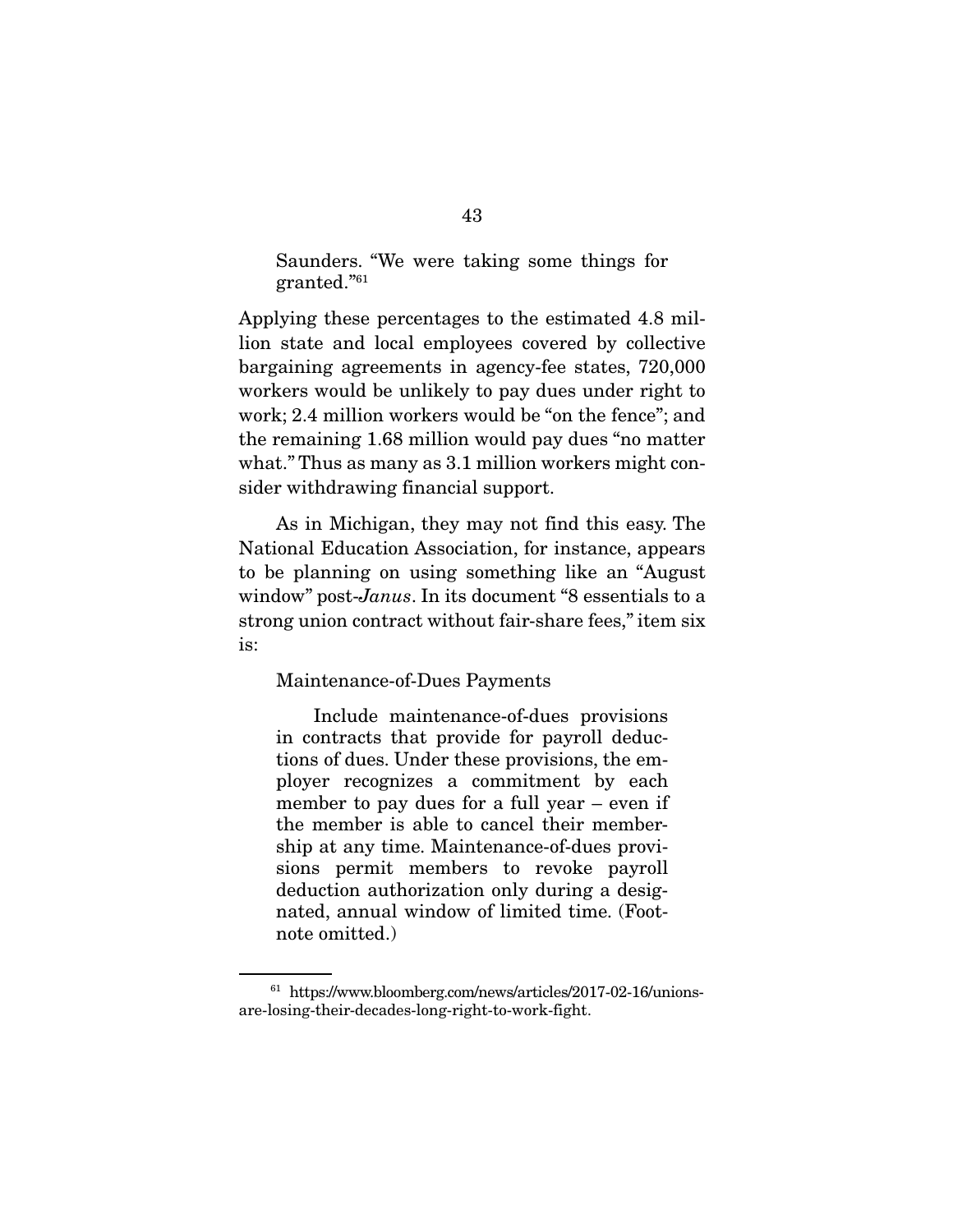Saunders. "We were taking some things for granted."61

Applying these percentages to the estimated 4.8 million state and local employees covered by collective bargaining agreements in agency-fee states, 720,000 workers would be unlikely to pay dues under right to work; 2.4 million workers would be "on the fence"; and the remaining 1.68 million would pay dues "no matter what." Thus as many as 3.1 million workers might consider withdrawing financial support.

 As in Michigan, they may not find this easy. The National Education Association, for instance, appears to be planning on using something like an "August window" post-Janus. In its document "8 essentials to a strong union contract without fair-share fees," item six is:

#### Maintenance-of-Dues Payments

 Include maintenance-of-dues provisions in contracts that provide for payroll deductions of dues. Under these provisions, the employer recognizes a commitment by each member to pay dues for a full year – even if the member is able to cancel their membership at any time. Maintenance-of-dues provisions permit members to revoke payroll deduction authorization only during a designated, annual window of limited time. (Footnote omitted.)

<sup>61</sup> https://www.bloomberg.com/news/articles/2017-02-16/unionsare-losing-their-decades-long-right-to-work-fight.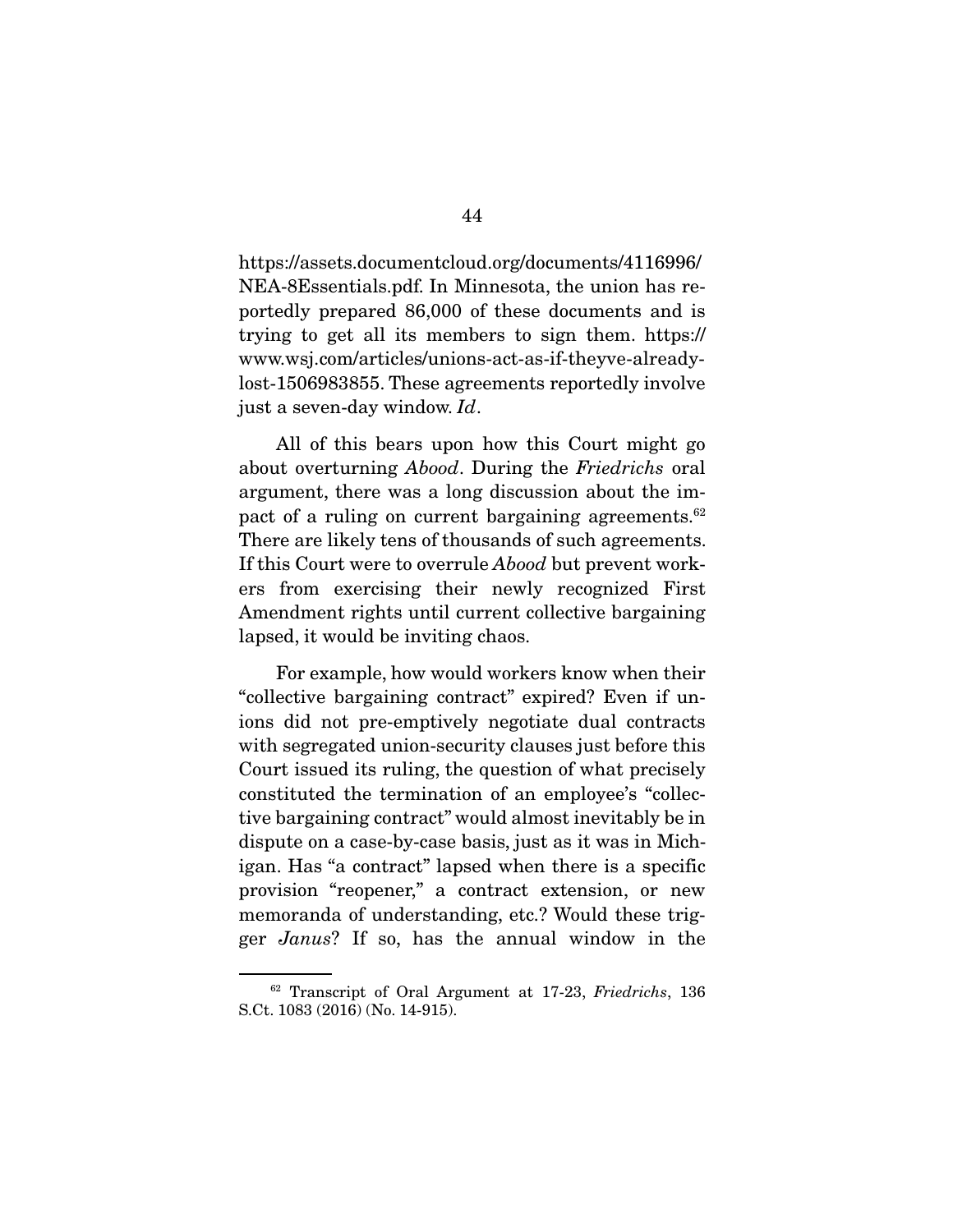https://assets.documentcloud.org/documents/4116996/ NEA-8Essentials.pdf. In Minnesota, the union has reportedly prepared 86,000 of these documents and is trying to get all its members to sign them. https:// www.wsj.com/articles/unions-act-as-if-theyve-alreadylost-1506983855. These agreements reportedly involve just a seven-day window. Id.

 All of this bears upon how this Court might go about overturning Abood. During the Friedrichs oral argument, there was a long discussion about the impact of a ruling on current bargaining agreements.<sup>62</sup> There are likely tens of thousands of such agreements. If this Court were to overrule Abood but prevent workers from exercising their newly recognized First Amendment rights until current collective bargaining lapsed, it would be inviting chaos.

 For example, how would workers know when their "collective bargaining contract" expired? Even if unions did not pre-emptively negotiate dual contracts with segregated union-security clauses just before this Court issued its ruling, the question of what precisely constituted the termination of an employee's "collective bargaining contract" would almost inevitably be in dispute on a case-by-case basis, just as it was in Michigan. Has "a contract" lapsed when there is a specific provision "reopener," a contract extension, or new memoranda of understanding, etc.? Would these trigger Janus? If so, has the annual window in the

<sup>62</sup> Transcript of Oral Argument at 17-23, Friedrichs, 136 S.Ct. 1083 (2016) (No. 14-915).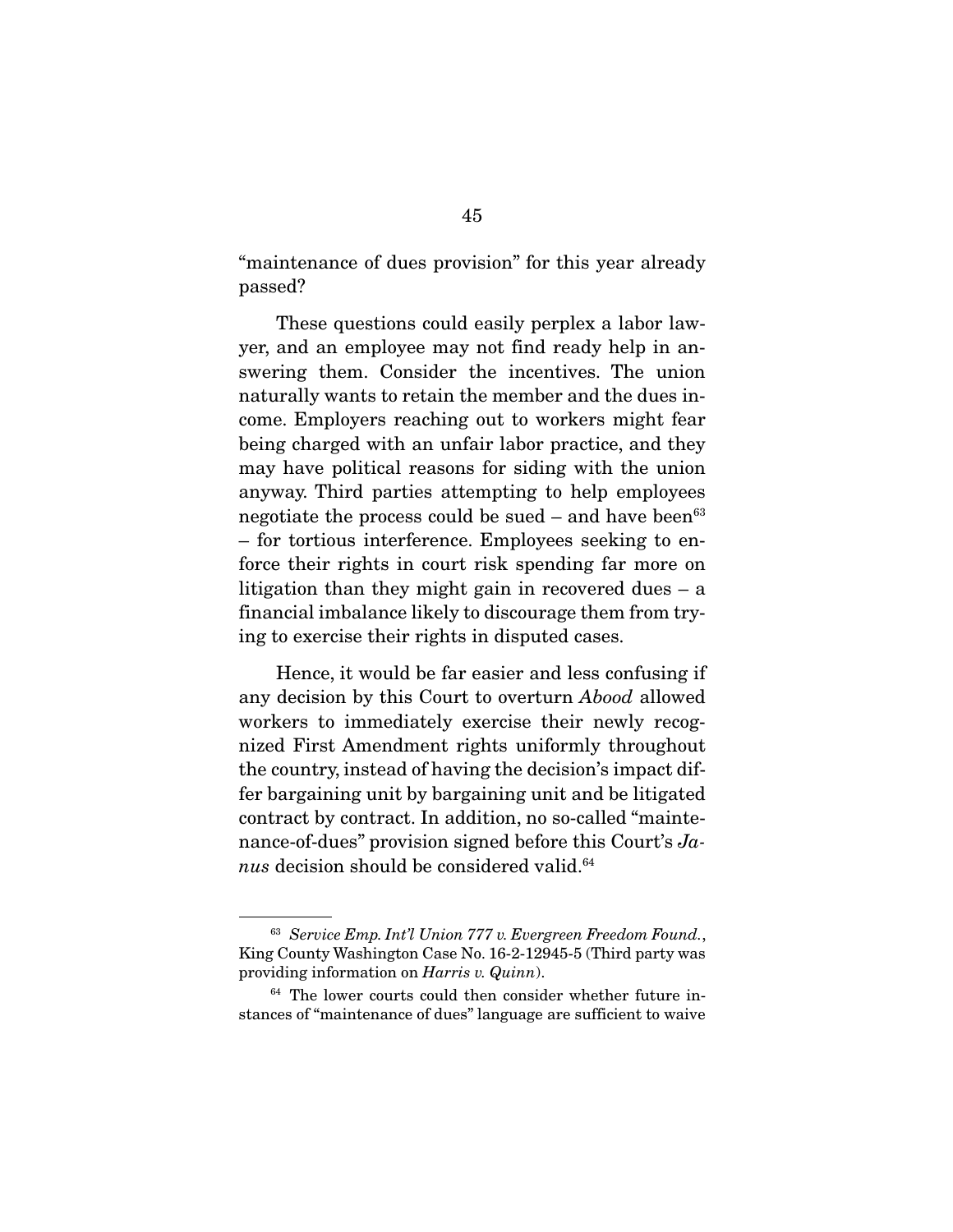"maintenance of dues provision" for this year already passed?

 These questions could easily perplex a labor lawyer, and an employee may not find ready help in answering them. Consider the incentives. The union naturally wants to retain the member and the dues income. Employers reaching out to workers might fear being charged with an unfair labor practice, and they may have political reasons for siding with the union anyway. Third parties attempting to help employees negotiate the process could be sued – and have been  $63$ – for tortious interference. Employees seeking to enforce their rights in court risk spending far more on litigation than they might gain in recovered dues – a financial imbalance likely to discourage them from trying to exercise their rights in disputed cases.

 Hence, it would be far easier and less confusing if any decision by this Court to overturn Abood allowed workers to immediately exercise their newly recognized First Amendment rights uniformly throughout the country, instead of having the decision's impact differ bargaining unit by bargaining unit and be litigated contract by contract. In addition, no so-called "maintenance-of-dues" provision signed before this Court's Janus decision should be considered valid. $64$ 

<sup>63</sup> Service Emp. Int'l Union 777 v. Evergreen Freedom Found., King County Washington Case No. 16-2-12945-5 (Third party was providing information on Harris v. Quinn).

 $64$  The lower courts could then consider whether future instances of "maintenance of dues" language are sufficient to waive